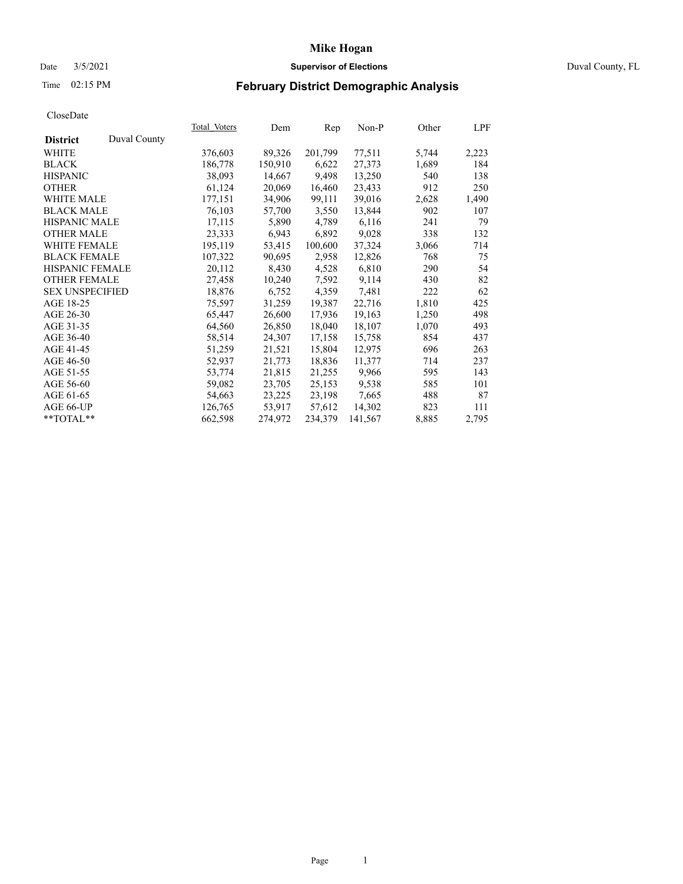### Date 3/5/2021 **Supervisor of Elections** Duval County, FL

# Time 02:15 PM **February District Demographic Analysis**

|                                 | <b>Total Voters</b> | Dem     | Rep     | $Non-P$ | Other | LPF   |
|---------------------------------|---------------------|---------|---------|---------|-------|-------|
| Duval County<br><b>District</b> |                     |         |         |         |       |       |
| WHITE                           | 376,603             | 89,326  | 201,799 | 77,511  | 5,744 | 2,223 |
| <b>BLACK</b>                    | 186,778             | 150,910 | 6,622   | 27,373  | 1,689 | 184   |
| <b>HISPANIC</b>                 | 38,093              | 14,667  | 9,498   | 13,250  | 540   | 138   |
| <b>OTHER</b>                    | 61,124              | 20,069  | 16,460  | 23,433  | 912   | 250   |
| WHITE MALE                      | 177,151             | 34,906  | 99,111  | 39,016  | 2,628 | 1,490 |
| <b>BLACK MALE</b>               | 76,103              | 57,700  | 3,550   | 13,844  | 902   | 107   |
| <b>HISPANIC MALE</b>            | 17,115              | 5,890   | 4,789   | 6,116   | 241   | 79    |
| <b>OTHER MALE</b>               | 23,333              | 6,943   | 6,892   | 9,028   | 338   | 132   |
| <b>WHITE FEMALE</b>             | 195,119             | 53,415  | 100,600 | 37,324  | 3,066 | 714   |
| <b>BLACK FEMALE</b>             | 107,322             | 90,695  | 2,958   | 12,826  | 768   | 75    |
| HISPANIC FEMALE                 | 20,112              | 8,430   | 4,528   | 6,810   | 290   | 54    |
| <b>OTHER FEMALE</b>             | 27,458              | 10,240  | 7,592   | 9,114   | 430   | 82    |
| <b>SEX UNSPECIFIED</b>          | 18,876              | 6,752   | 4,359   | 7,481   | 222   | 62    |
| AGE 18-25                       | 75,597              | 31,259  | 19,387  | 22,716  | 1,810 | 425   |
| AGE 26-30                       | 65,447              | 26,600  | 17,936  | 19,163  | 1,250 | 498   |
| AGE 31-35                       | 64,560              | 26,850  | 18,040  | 18,107  | 1,070 | 493   |
| AGE 36-40                       | 58,514              | 24,307  | 17,158  | 15,758  | 854   | 437   |
| AGE 41-45                       | 51,259              | 21,521  | 15,804  | 12,975  | 696   | 263   |
| AGE 46-50                       | 52,937              | 21,773  | 18,836  | 11,377  | 714   | 237   |
| AGE 51-55                       | 53,774              | 21,815  | 21,255  | 9,966   | 595   | 143   |
| AGE 56-60                       | 59,082              | 23,705  | 25,153  | 9,538   | 585   | 101   |
| AGE 61-65                       | 54,663              | 23,225  | 23,198  | 7,665   | 488   | 87    |
| AGE 66-UP                       | 126,765             | 53,917  | 57,612  | 14,302  | 823   | 111   |
| $*$ $TOTAL**$                   | 662,598             | 274,972 | 234,379 | 141,567 | 8,885 | 2,795 |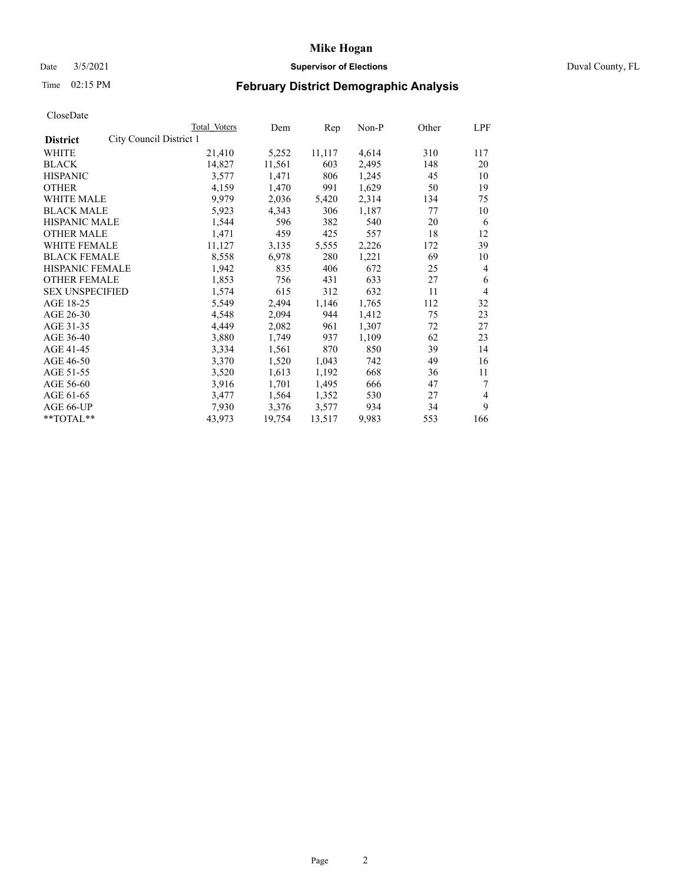# Date 3/5/2021 **Supervisor of Elections** Duval County, FL

# Time 02:15 PM **February District Demographic Analysis**

|                                            | Total Voters | Dem    | Rep    | Non-P | Other | LPF |
|--------------------------------------------|--------------|--------|--------|-------|-------|-----|
| City Council District 1<br><b>District</b> |              |        |        |       |       |     |
| WHITE                                      | 21,410       | 5,252  | 11,117 | 4,614 | 310   | 117 |
| <b>BLACK</b>                               | 14,827       | 11,561 | 603    | 2,495 | 148   | 20  |
| <b>HISPANIC</b>                            | 3,577        | 1,471  | 806    | 1,245 | 45    | 10  |
| <b>OTHER</b>                               | 4,159        | 1,470  | 991    | 1,629 | 50    | 19  |
| WHITE MALE                                 | 9,979        | 2,036  | 5,420  | 2,314 | 134   | 75  |
| <b>BLACK MALE</b>                          | 5,923        | 4,343  | 306    | 1,187 | 77    | 10  |
| <b>HISPANIC MALE</b>                       | 1,544        | 596    | 382    | 540   | 20    | 6   |
| <b>OTHER MALE</b>                          | 1,471        | 459    | 425    | 557   | 18    | 12  |
| WHITE FEMALE                               | 11,127       | 3,135  | 5,555  | 2,226 | 172   | 39  |
| <b>BLACK FEMALE</b>                        | 8,558        | 6,978  | 280    | 1,221 | 69    | 10  |
| HISPANIC FEMALE                            | 1,942        | 835    | 406    | 672   | 25    | 4   |
| <b>OTHER FEMALE</b>                        | 1,853        | 756    | 431    | 633   | 27    | 6   |
| <b>SEX UNSPECIFIED</b>                     | 1,574        | 615    | 312    | 632   | 11    | 4   |
| AGE 18-25                                  | 5,549        | 2,494  | 1,146  | 1,765 | 112   | 32  |
| AGE 26-30                                  | 4,548        | 2,094  | 944    | 1,412 | 75    | 23  |
| AGE 31-35                                  | 4,449        | 2,082  | 961    | 1,307 | 72    | 27  |
| AGE 36-40                                  | 3,880        | 1,749  | 937    | 1,109 | 62    | 23  |
| AGE 41-45                                  | 3,334        | 1,561  | 870    | 850   | 39    | 14  |
| AGE 46-50                                  | 3,370        | 1,520  | 1,043  | 742   | 49    | 16  |
| AGE 51-55                                  | 3,520        | 1,613  | 1,192  | 668   | 36    | 11  |
| AGE 56-60                                  | 3,916        | 1,701  | 1,495  | 666   | 47    | 7   |
| AGE 61-65                                  | 3,477        | 1,564  | 1,352  | 530   | 27    | 4   |
| AGE 66-UP                                  | 7,930        | 3,376  | 3,577  | 934   | 34    | 9   |
| **TOTAL**                                  | 43,973       | 19,754 | 13,517 | 9,983 | 553   | 166 |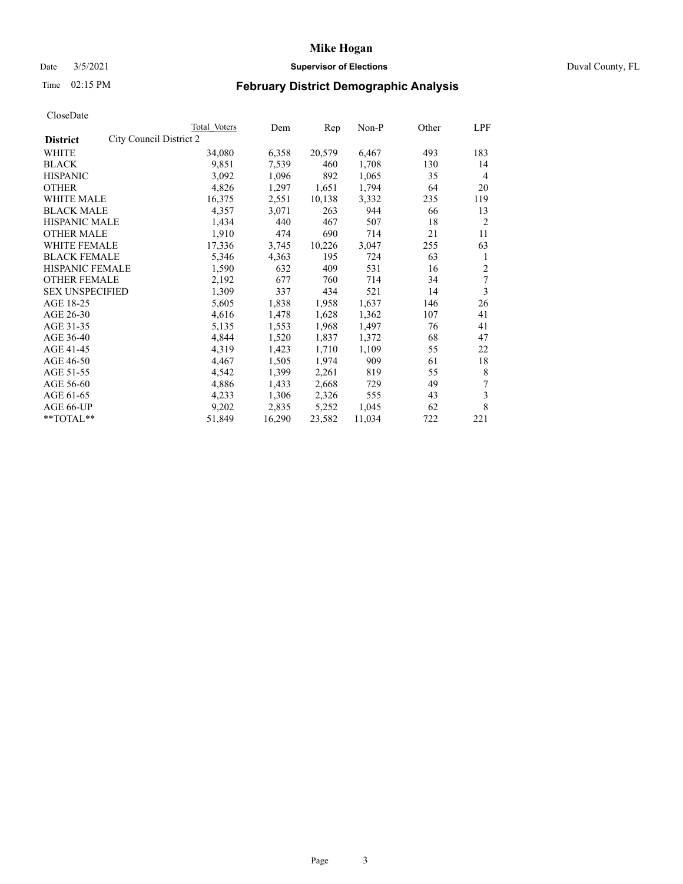# Date 3/5/2021 **Supervisor of Elections** Duval County, FL

# Time 02:15 PM **February District Demographic Analysis**

|                                            | Total Voters | Dem    | Rep    | Non-P  | Other | LPF            |
|--------------------------------------------|--------------|--------|--------|--------|-------|----------------|
| City Council District 2<br><b>District</b> |              |        |        |        |       |                |
| WHITE                                      | 34,080       | 6,358  | 20,579 | 6,467  | 493   | 183            |
| <b>BLACK</b>                               | 9,851        | 7,539  | 460    | 1,708  | 130   | 14             |
| <b>HISPANIC</b>                            | 3,092        | 1,096  | 892    | 1,065  | 35    | $\overline{4}$ |
| <b>OTHER</b>                               | 4,826        | 1,297  | 1,651  | 1,794  | 64    | 20             |
| WHITE MALE                                 | 16,375       | 2,551  | 10,138 | 3,332  | 235   | 119            |
| <b>BLACK MALE</b>                          | 4,357        | 3,071  | 263    | 944    | 66    | 13             |
| <b>HISPANIC MALE</b>                       | 1,434        | 440    | 467    | 507    | 18    | $\overline{2}$ |
| <b>OTHER MALE</b>                          | 1,910        | 474    | 690    | 714    | 21    | 11             |
| WHITE FEMALE                               | 17,336       | 3,745  | 10,226 | 3,047  | 255   | 63             |
| <b>BLACK FEMALE</b>                        | 5,346        | 4,363  | 195    | 724    | 63    | 1              |
| HISPANIC FEMALE                            | 1,590        | 632    | 409    | 531    | 16    | 2              |
| <b>OTHER FEMALE</b>                        | 2,192        | 677    | 760    | 714    | 34    | 7              |
| <b>SEX UNSPECIFIED</b>                     | 1,309        | 337    | 434    | 521    | 14    | 3              |
| AGE 18-25                                  | 5,605        | 1,838  | 1,958  | 1,637  | 146   | 26             |
| AGE 26-30                                  | 4,616        | 1,478  | 1,628  | 1,362  | 107   | 41             |
| AGE 31-35                                  | 5,135        | 1,553  | 1,968  | 1,497  | 76    | 41             |
| AGE 36-40                                  | 4,844        | 1,520  | 1,837  | 1,372  | 68    | 47             |
| AGE 41-45                                  | 4,319        | 1,423  | 1,710  | 1,109  | 55    | 22             |
| AGE 46-50                                  | 4,467        | 1,505  | 1,974  | 909    | 61    | 18             |
| AGE 51-55                                  | 4,542        | 1,399  | 2,261  | 819    | 55    | 8              |
| AGE 56-60                                  | 4,886        | 1,433  | 2,668  | 729    | 49    | 7              |
| AGE 61-65                                  | 4,233        | 1,306  | 2,326  | 555    | 43    | 3              |
| AGE 66-UP                                  | 9,202        | 2,835  | 5,252  | 1,045  | 62    | 8              |
| **TOTAL**                                  | 51,849       | 16,290 | 23,582 | 11,034 | 722   | 221            |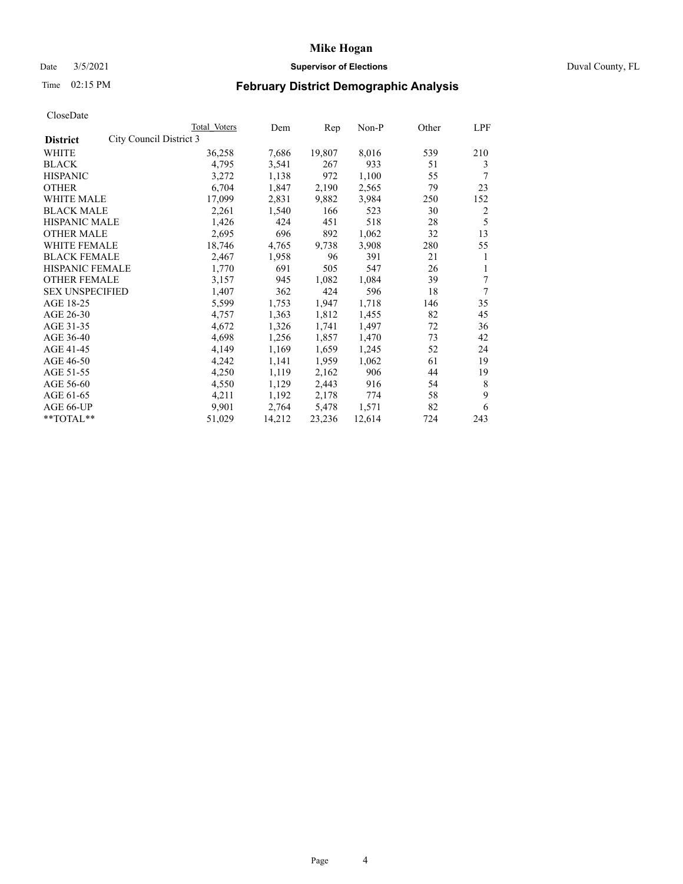# Date 3/5/2021 **Supervisor of Elections** Duval County, FL

# Time 02:15 PM **February District Demographic Analysis**

|                        |                         | Total Voters | Dem    | Rep    | $Non-P$ | Other | LPF |
|------------------------|-------------------------|--------------|--------|--------|---------|-------|-----|
| <b>District</b>        | City Council District 3 |              |        |        |         |       |     |
| WHITE                  |                         | 36,258       | 7,686  | 19,807 | 8,016   | 539   | 210 |
| <b>BLACK</b>           |                         | 4,795        | 3,541  | 267    | 933     | 51    | 3   |
| <b>HISPANIC</b>        |                         | 3,272        | 1,138  | 972    | 1,100   | 55    | 7   |
| <b>OTHER</b>           |                         | 6,704        | 1,847  | 2,190  | 2,565   | 79    | 23  |
| WHITE MALE             |                         | 17,099       | 2,831  | 9,882  | 3,984   | 250   | 152 |
| <b>BLACK MALE</b>      |                         | 2,261        | 1,540  | 166    | 523     | 30    | 2   |
| <b>HISPANIC MALE</b>   |                         | 1,426        | 424    | 451    | 518     | 28    | 5   |
| <b>OTHER MALE</b>      |                         | 2,695        | 696    | 892    | 1,062   | 32    | 13  |
| WHITE FEMALE           |                         | 18,746       | 4,765  | 9,738  | 3,908   | 280   | 55  |
| <b>BLACK FEMALE</b>    |                         | 2,467        | 1,958  | 96     | 391     | 21    | 1   |
| HISPANIC FEMALE        |                         | 1,770        | 691    | 505    | 547     | 26    | 1   |
| <b>OTHER FEMALE</b>    |                         | 3,157        | 945    | 1,082  | 1,084   | 39    | 7   |
| <b>SEX UNSPECIFIED</b> |                         | 1,407        | 362    | 424    | 596     | 18    | 7   |
| AGE 18-25              |                         | 5,599        | 1,753  | 1,947  | 1,718   | 146   | 35  |
| AGE 26-30              |                         | 4,757        | 1,363  | 1,812  | 1,455   | 82    | 45  |
| AGE 31-35              |                         | 4,672        | 1,326  | 1,741  | 1,497   | 72    | 36  |
| AGE 36-40              |                         | 4,698        | 1,256  | 1,857  | 1,470   | 73    | 42  |
| AGE 41-45              |                         | 4,149        | 1,169  | 1,659  | 1,245   | 52    | 24  |
| AGE 46-50              |                         | 4,242        | 1,141  | 1,959  | 1,062   | 61    | 19  |
| AGE 51-55              |                         | 4,250        | 1,119  | 2,162  | 906     | 44    | 19  |
| AGE 56-60              |                         | 4,550        | 1,129  | 2,443  | 916     | 54    | 8   |
| AGE 61-65              |                         | 4,211        | 1,192  | 2,178  | 774     | 58    | 9   |
| AGE 66-UP              |                         | 9.901        | 2,764  | 5,478  | 1,571   | 82    | 6   |
| **TOTAL**              |                         | 51,029       | 14,212 | 23,236 | 12,614  | 724   | 243 |
|                        |                         |              |        |        |         |       |     |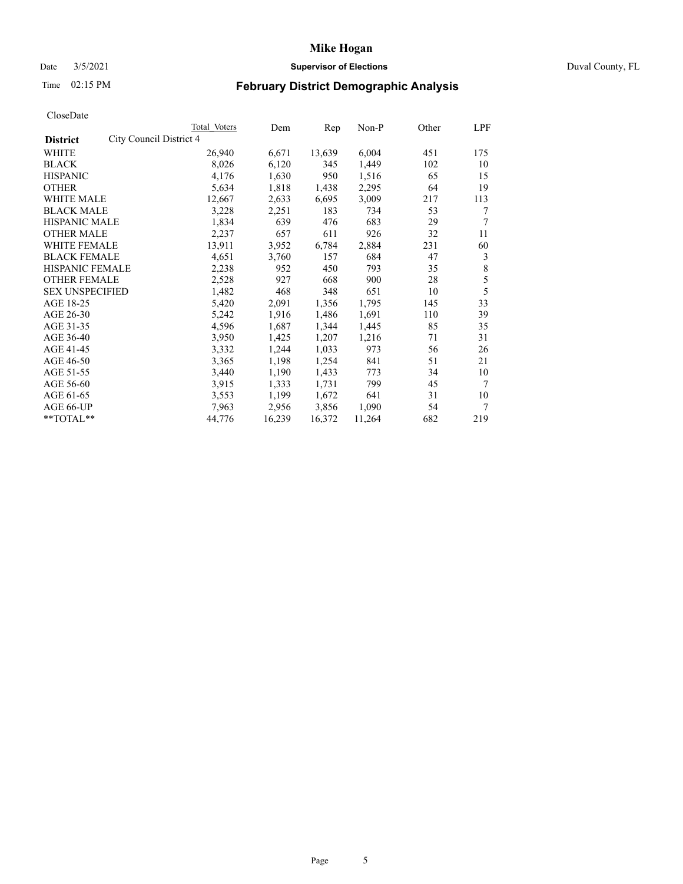# Date 3/5/2021 **Supervisor of Elections** Duval County, FL

# Time 02:15 PM **February District Demographic Analysis**

|                                            | Total Voters | Dem    | Rep    | Non-P  | Other | LPF |
|--------------------------------------------|--------------|--------|--------|--------|-------|-----|
| City Council District 4<br><b>District</b> |              |        |        |        |       |     |
| WHITE                                      | 26,940       | 6,671  | 13,639 | 6,004  | 451   | 175 |
| <b>BLACK</b>                               | 8,026        | 6,120  | 345    | 1,449  | 102   | 10  |
| <b>HISPANIC</b>                            | 4,176        | 1,630  | 950    | 1,516  | 65    | 15  |
| <b>OTHER</b>                               | 5,634        | 1,818  | 1,438  | 2,295  | 64    | 19  |
| WHITE MALE                                 | 12,667       | 2,633  | 6,695  | 3,009  | 217   | 113 |
| <b>BLACK MALE</b>                          | 3,228        | 2,251  | 183    | 734    | 53    | 7   |
| <b>HISPANIC MALE</b>                       | 1,834        | 639    | 476    | 683    | 29    | 7   |
| <b>OTHER MALE</b>                          | 2,237        | 657    | 611    | 926    | 32    | 11  |
| WHITE FEMALE                               | 13,911       | 3,952  | 6,784  | 2,884  | 231   | 60  |
| <b>BLACK FEMALE</b>                        | 4,651        | 3,760  | 157    | 684    | 47    | 3   |
| HISPANIC FEMALE                            | 2,238        | 952    | 450    | 793    | 35    | 8   |
| <b>OTHER FEMALE</b>                        | 2,528        | 927    | 668    | 900    | 28    | 5   |
| <b>SEX UNSPECIFIED</b>                     | 1,482        | 468    | 348    | 651    | 10    | 5   |
| AGE 18-25                                  | 5,420        | 2,091  | 1,356  | 1,795  | 145   | 33  |
| AGE 26-30                                  | 5,242        | 1,916  | 1,486  | 1,691  | 110   | 39  |
| AGE 31-35                                  | 4,596        | 1,687  | 1,344  | 1,445  | 85    | 35  |
| AGE 36-40                                  | 3,950        | 1,425  | 1,207  | 1,216  | 71    | 31  |
| AGE 41-45                                  | 3,332        | 1,244  | 1,033  | 973    | 56    | 26  |
| AGE 46-50                                  | 3,365        | 1,198  | 1,254  | 841    | 51    | 21  |
| AGE 51-55                                  | 3,440        | 1,190  | 1,433  | 773    | 34    | 10  |
| AGE 56-60                                  | 3,915        | 1,333  | 1,731  | 799    | 45    | 7   |
| AGE 61-65                                  | 3,553        | 1,199  | 1,672  | 641    | 31    | 10  |
| AGE 66-UP                                  | 7,963        | 2,956  | 3,856  | 1,090  | 54    | 7   |
| **TOTAL**                                  | 44,776       | 16,239 | 16,372 | 11,264 | 682   | 219 |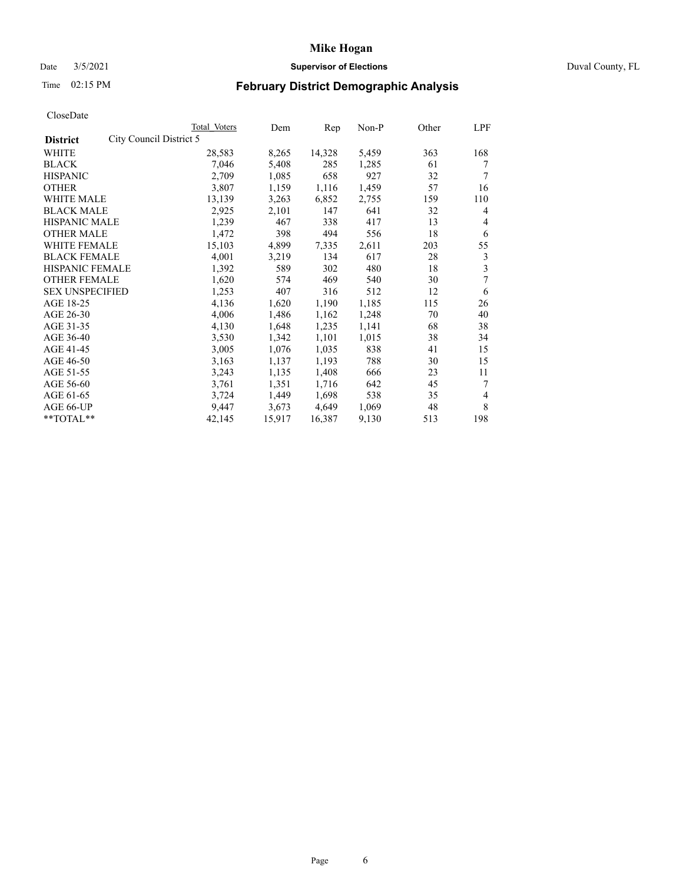# Date 3/5/2021 **Supervisor of Elections** Duval County, FL

# Time 02:15 PM **February District Demographic Analysis**

|                                            | Total Voters | Dem    | Rep    | Non-P | Other | LPF |
|--------------------------------------------|--------------|--------|--------|-------|-------|-----|
| City Council District 5<br><b>District</b> |              |        |        |       |       |     |
| WHITE                                      | 28,583       | 8,265  | 14,328 | 5,459 | 363   | 168 |
| <b>BLACK</b>                               | 7,046        | 5,408  | 285    | 1,285 | 61    | 7   |
| <b>HISPANIC</b>                            | 2,709        | 1,085  | 658    | 927   | 32    | 7   |
| <b>OTHER</b>                               | 3,807        | 1,159  | 1,116  | 1,459 | 57    | 16  |
| WHITE MALE                                 | 13,139       | 3,263  | 6,852  | 2,755 | 159   | 110 |
| <b>BLACK MALE</b>                          | 2,925        | 2,101  | 147    | 641   | 32    | 4   |
| <b>HISPANIC MALE</b>                       | 1,239        | 467    | 338    | 417   | 13    | 4   |
| <b>OTHER MALE</b>                          | 1,472        | 398    | 494    | 556   | 18    | 6   |
| WHITE FEMALE                               | 15,103       | 4,899  | 7,335  | 2,611 | 203   | 55  |
| <b>BLACK FEMALE</b>                        | 4,001        | 3,219  | 134    | 617   | 28    | 3   |
| HISPANIC FEMALE                            | 1,392        | 589    | 302    | 480   | 18    | 3   |
| <b>OTHER FEMALE</b>                        | 1,620        | 574    | 469    | 540   | 30    | 7   |
| <b>SEX UNSPECIFIED</b>                     | 1,253        | 407    | 316    | 512   | 12    | 6   |
| AGE 18-25                                  | 4,136        | 1,620  | 1,190  | 1,185 | 115   | 26  |
| AGE 26-30                                  | 4,006        | 1,486  | 1,162  | 1,248 | 70    | 40  |
| AGE 31-35                                  | 4,130        | 1,648  | 1,235  | 1,141 | 68    | 38  |
| AGE 36-40                                  | 3,530        | 1,342  | 1,101  | 1,015 | 38    | 34  |
| AGE 41-45                                  | 3,005        | 1,076  | 1,035  | 838   | 41    | 15  |
| AGE 46-50                                  | 3,163        | 1,137  | 1,193  | 788   | 30    | 15  |
| AGE 51-55                                  | 3,243        | 1,135  | 1,408  | 666   | 23    | 11  |
| AGE 56-60                                  | 3,761        | 1,351  | 1,716  | 642   | 45    | 7   |
| AGE 61-65                                  | 3,724        | 1,449  | 1,698  | 538   | 35    | 4   |
| AGE 66-UP                                  | 9,447        | 3,673  | 4,649  | 1,069 | 48    | 8   |
| **TOTAL**                                  | 42,145       | 15,917 | 16,387 | 9,130 | 513   | 198 |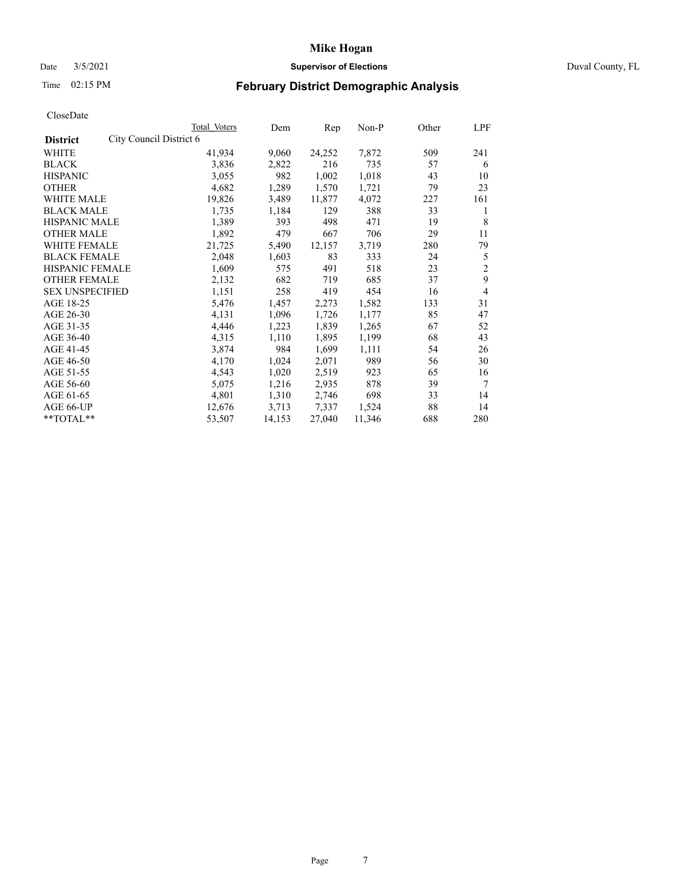### Date 3/5/2021 **Supervisor of Elections** Duval County, FL

# Time 02:15 PM **February District Demographic Analysis**

|                        |                         | Total Voters | Dem    | Rep    | Non-P  | Other | LPF            |
|------------------------|-------------------------|--------------|--------|--------|--------|-------|----------------|
| <b>District</b>        | City Council District 6 |              |        |        |        |       |                |
| WHITE                  |                         | 41,934       | 9,060  | 24,252 | 7,872  | 509   | 241            |
| <b>BLACK</b>           |                         | 3,836        | 2,822  | 216    | 735    | 57    | 6              |
| <b>HISPANIC</b>        |                         | 3,055        | 982    | 1,002  | 1,018  | 43    | 10             |
| <b>OTHER</b>           |                         | 4,682        | 1,289  | 1,570  | 1,721  | 79    | 23             |
| WHITE MALE             |                         | 19,826       | 3,489  | 11,877 | 4,072  | 227   | 161            |
| <b>BLACK MALE</b>      |                         | 1,735        | 1,184  | 129    | 388    | 33    | 1              |
| <b>HISPANIC MALE</b>   |                         | 1,389        | 393    | 498    | 471    | 19    | 8              |
| <b>OTHER MALE</b>      |                         | 1,892        | 479    | 667    | 706    | 29    | 11             |
| WHITE FEMALE           |                         | 21,725       | 5,490  | 12,157 | 3,719  | 280   | 79             |
| <b>BLACK FEMALE</b>    |                         | 2,048        | 1,603  | 83     | 333    | 24    | 5              |
| HISPANIC FEMALE        |                         | 1,609        | 575    | 491    | 518    | 23    | $\overline{c}$ |
| <b>OTHER FEMALE</b>    |                         | 2,132        | 682    | 719    | 685    | 37    | 9              |
| <b>SEX UNSPECIFIED</b> |                         | 1,151        | 258    | 419    | 454    | 16    | $\overline{4}$ |
| AGE 18-25              |                         | 5,476        | 1,457  | 2,273  | 1,582  | 133   | 31             |
| AGE 26-30              |                         | 4,131        | 1,096  | 1,726  | 1,177  | 85    | 47             |
| AGE 31-35              |                         | 4,446        | 1,223  | 1,839  | 1,265  | 67    | 52             |
| AGE 36-40              |                         | 4,315        | 1,110  | 1,895  | 1,199  | 68    | 43             |
| AGE 41-45              |                         | 3,874        | 984    | 1,699  | 1,111  | 54    | 26             |
| AGE 46-50              |                         | 4,170        | 1,024  | 2,071  | 989    | 56    | 30             |
| AGE 51-55              |                         | 4,543        | 1,020  | 2,519  | 923    | 65    | 16             |
| AGE 56-60              |                         | 5,075        | 1,216  | 2,935  | 878    | 39    | 7              |
| AGE 61-65              |                         | 4,801        | 1,310  | 2,746  | 698    | 33    | 14             |
| AGE 66-UP              |                         | 12,676       | 3,713  | 7,337  | 1,524  | 88    | 14             |
| **TOTAL**              |                         | 53,507       | 14,153 | 27,040 | 11,346 | 688   | 280            |
|                        |                         |              |        |        |        |       |                |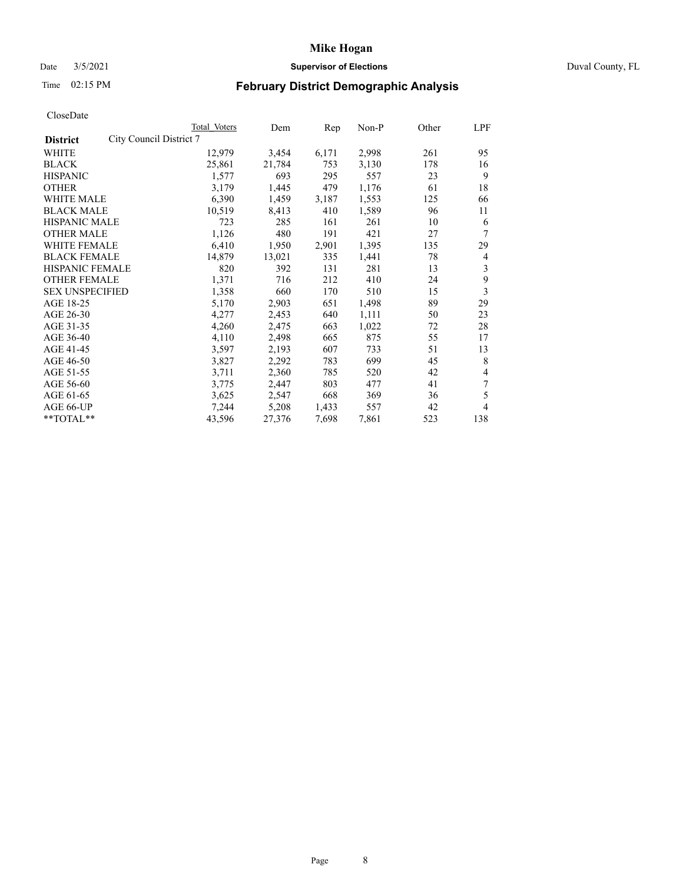# Date 3/5/2021 **Supervisor of Elections** Duval County, FL

# Time 02:15 PM **February District Demographic Analysis**

|                                            | Total Voters | Dem    | Rep   | Non-P | Other | LPF |
|--------------------------------------------|--------------|--------|-------|-------|-------|-----|
| City Council District 7<br><b>District</b> |              |        |       |       |       |     |
| WHITE                                      | 12,979       | 3,454  | 6,171 | 2,998 | 261   | 95  |
| <b>BLACK</b>                               | 25,861       | 21,784 | 753   | 3,130 | 178   | 16  |
| <b>HISPANIC</b>                            | 1,577        | 693    | 295   | 557   | 23    | 9   |
| <b>OTHER</b>                               | 3,179        | 1,445  | 479   | 1,176 | 61    | 18  |
| WHITE MALE                                 | 6,390        | 1,459  | 3,187 | 1,553 | 125   | 66  |
| <b>BLACK MALE</b>                          | 10,519       | 8,413  | 410   | 1,589 | 96    | 11  |
| <b>HISPANIC MALE</b>                       | 723          | 285    | 161   | 261   | 10    | 6   |
| <b>OTHER MALE</b>                          | 1,126        | 480    | 191   | 421   | 27    | 7   |
| WHITE FEMALE                               | 6,410        | 1,950  | 2,901 | 1,395 | 135   | 29  |
| <b>BLACK FEMALE</b>                        | 14,879       | 13,021 | 335   | 1,441 | 78    | 4   |
| HISPANIC FEMALE                            | 820          | 392    | 131   | 281   | 13    | 3   |
| <b>OTHER FEMALE</b>                        | 1,371        | 716    | 212   | 410   | 24    | 9   |
| <b>SEX UNSPECIFIED</b>                     | 1,358        | 660    | 170   | 510   | 15    | 3   |
| AGE 18-25                                  | 5,170        | 2,903  | 651   | 1,498 | 89    | 29  |
| AGE 26-30                                  | 4,277        | 2,453  | 640   | 1,111 | 50    | 23  |
| AGE 31-35                                  | 4,260        | 2,475  | 663   | 1,022 | 72    | 28  |
| AGE 36-40                                  | 4,110        | 2,498  | 665   | 875   | 55    | 17  |
| AGE 41-45                                  | 3,597        | 2,193  | 607   | 733   | 51    | 13  |
| AGE 46-50                                  | 3,827        | 2,292  | 783   | 699   | 45    | 8   |
| AGE 51-55                                  | 3,711        | 2,360  | 785   | 520   | 42    | 4   |
| AGE 56-60                                  | 3,775        | 2,447  | 803   | 477   | 41    | 7   |
| AGE 61-65                                  | 3,625        | 2,547  | 668   | 369   | 36    | 5   |
| AGE 66-UP                                  | 7,244        | 5,208  | 1,433 | 557   | 42    | 4   |
| **TOTAL**                                  | 43,596       | 27,376 | 7,698 | 7,861 | 523   | 138 |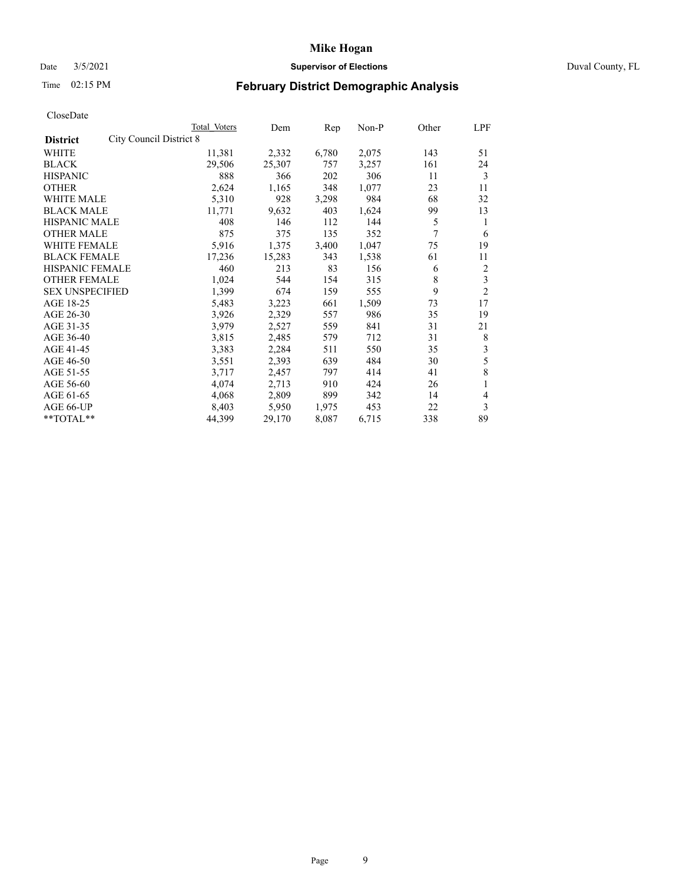# Date 3/5/2021 **Supervisor of Elections** Duval County, FL

# Time 02:15 PM **February District Demographic Analysis**

| Total Voters            | Dem    | Rep   | $Non-P$ | Other | LPF            |
|-------------------------|--------|-------|---------|-------|----------------|
| City Council District 8 |        |       |         |       |                |
| 11,381                  | 2,332  | 6,780 | 2,075   | 143   | 51             |
| 29,506                  | 25,307 | 757   | 3,257   | 161   | 24             |
| 888                     | 366    | 202   | 306     | 11    | 3              |
| 2,624                   | 1,165  | 348   | 1,077   | 23    | 11             |
| 5,310                   | 928    | 3,298 | 984     | 68    | 32             |
| 11,771                  | 9,632  | 403   | 1,624   | 99    | 13             |
| 408                     | 146    | 112   | 144     | 5     | 1              |
| 875                     | 375    | 135   | 352     | 7     | 6              |
| 5,916                   | 1,375  | 3,400 | 1,047   | 75    | 19             |
| 17,236                  | 15,283 | 343   | 1,538   | 61    | 11             |
| 460                     | 213    | 83    | 156     | 6     | $\overline{c}$ |
| 1,024                   | 544    | 154   | 315     | 8     | $\mathfrak{Z}$ |
| 1,399                   | 674    | 159   | 555     | 9     | $\overline{2}$ |
| 5,483                   | 3,223  | 661   | 1,509   | 73    | 17             |
| 3,926                   | 2,329  | 557   | 986     | 35    | 19             |
| 3,979                   | 2,527  | 559   | 841     | 31    | 21             |
| 3,815                   | 2,485  | 579   | 712     | 31    | 8              |
| 3,383                   | 2,284  | 511   | 550     | 35    | 3              |
| 3,551                   | 2,393  | 639   | 484     | 30    | 5              |
| 3,717                   | 2,457  | 797   | 414     | 41    | 8              |
| 4,074                   | 2,713  | 910   | 424     | 26    | 1              |
| 4,068                   | 2,809  | 899   | 342     | 14    | 4              |
| 8,403                   | 5,950  | 1,975 | 453     | 22    | 3              |
| 44,399                  | 29,170 | 8,087 | 6,715   | 338   | 89             |
|                         |        |       |         |       |                |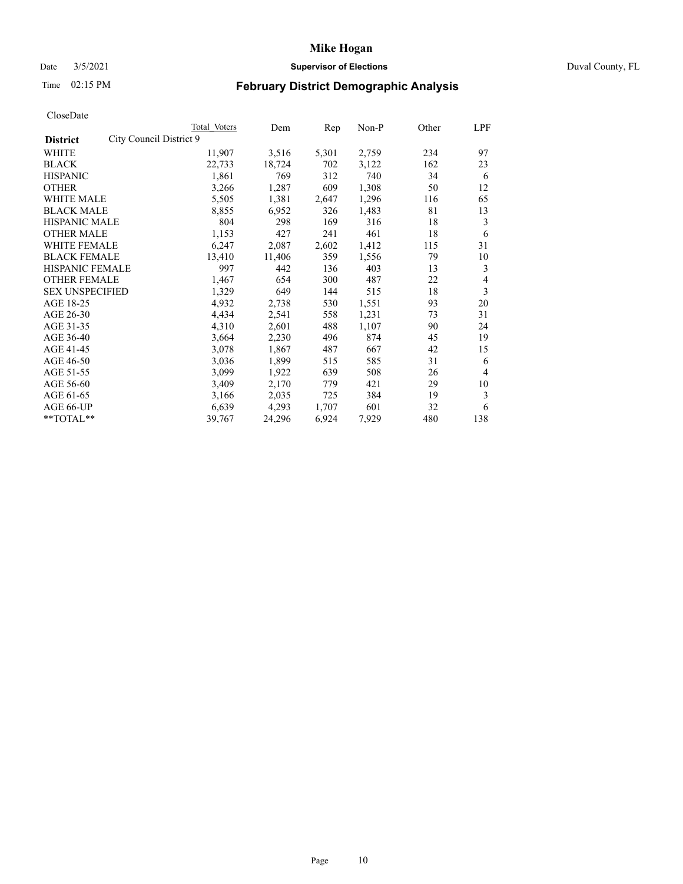# Date 3/5/2021 **Supervisor of Elections** Duval County, FL

# Time 02:15 PM **February District Demographic Analysis**

|                                            | Total Voters | Dem    | Rep   | Non-P | Other | LPF            |
|--------------------------------------------|--------------|--------|-------|-------|-------|----------------|
| City Council District 9<br><b>District</b> |              |        |       |       |       |                |
| WHITE                                      | 11,907       | 3,516  | 5,301 | 2,759 | 234   | 97             |
| <b>BLACK</b>                               | 22,733       | 18,724 | 702   | 3,122 | 162   | 23             |
| <b>HISPANIC</b>                            | 1,861        | 769    | 312   | 740   | 34    | 6              |
| <b>OTHER</b>                               | 3,266        | 1,287  | 609   | 1,308 | 50    | 12             |
| WHITE MALE                                 | 5,505        | 1,381  | 2,647 | 1,296 | 116   | 65             |
| <b>BLACK MALE</b>                          | 8,855        | 6,952  | 326   | 1,483 | 81    | 13             |
| <b>HISPANIC MALE</b>                       | 804          | 298    | 169   | 316   | 18    | 3              |
| <b>OTHER MALE</b>                          | 1,153        | 427    | 241   | 461   | 18    | 6              |
| WHITE FEMALE                               | 6,247        | 2,087  | 2,602 | 1,412 | 115   | 31             |
| <b>BLACK FEMALE</b>                        | 13,410       | 11,406 | 359   | 1,556 | 79    | 10             |
| HISPANIC FEMALE                            | 997          | 442    | 136   | 403   | 13    | 3              |
| <b>OTHER FEMALE</b>                        | 1,467        | 654    | 300   | 487   | 22    | $\overline{4}$ |
| <b>SEX UNSPECIFIED</b>                     | 1,329        | 649    | 144   | 515   | 18    | 3              |
| AGE 18-25                                  | 4,932        | 2,738  | 530   | 1,551 | 93    | 20             |
| AGE 26-30                                  | 4,434        | 2,541  | 558   | 1,231 | 73    | 31             |
| AGE 31-35                                  | 4,310        | 2,601  | 488   | 1,107 | 90    | 24             |
| AGE 36-40                                  | 3,664        | 2,230  | 496   | 874   | 45    | 19             |
| AGE 41-45                                  | 3,078        | 1,867  | 487   | 667   | 42    | 15             |
| AGE 46-50                                  | 3,036        | 1,899  | 515   | 585   | 31    | 6              |
| AGE 51-55                                  | 3,099        | 1,922  | 639   | 508   | 26    | $\overline{4}$ |
| AGE 56-60                                  | 3,409        | 2,170  | 779   | 421   | 29    | 10             |
| AGE 61-65                                  | 3,166        | 2,035  | 725   | 384   | 19    | 3              |
| AGE 66-UP                                  | 6,639        | 4,293  | 1,707 | 601   | 32    | 6              |
| **TOTAL**                                  | 39,767       | 24,296 | 6,924 | 7,929 | 480   | 138            |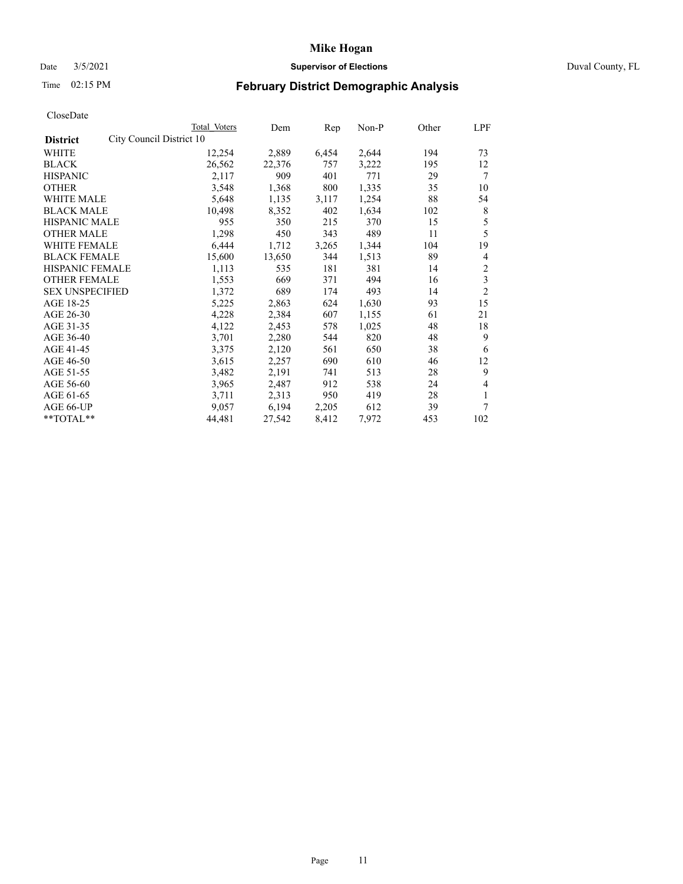# Date 3/5/2021 **Supervisor of Elections** Duval County, FL

# Time 02:15 PM **February District Demographic Analysis**

|                        |                          | Total Voters | Dem    | Rep   | Non-P | Other | LPF            |
|------------------------|--------------------------|--------------|--------|-------|-------|-------|----------------|
| <b>District</b>        | City Council District 10 |              |        |       |       |       |                |
| WHITE                  |                          | 12,254       | 2,889  | 6,454 | 2,644 | 194   | 73             |
| <b>BLACK</b>           |                          | 26,562       | 22,376 | 757   | 3,222 | 195   | 12             |
| <b>HISPANIC</b>        |                          | 2,117        | 909    | 401   | 771   | 29    | 7              |
| <b>OTHER</b>           |                          | 3,548        | 1,368  | 800   | 1,335 | 35    | 10             |
| WHITE MALE             |                          | 5,648        | 1,135  | 3,117 | 1,254 | 88    | 54             |
| <b>BLACK MALE</b>      |                          | 10,498       | 8,352  | 402   | 1,634 | 102   | 8              |
| <b>HISPANIC MALE</b>   |                          | 955          | 350    | 215   | 370   | 15    | 5              |
| <b>OTHER MALE</b>      |                          | 1,298        | 450    | 343   | 489   | 11    | 5              |
| WHITE FEMALE           |                          | 6,444        | 1,712  | 3,265 | 1,344 | 104   | 19             |
| <b>BLACK FEMALE</b>    |                          | 15,600       | 13,650 | 344   | 1,513 | 89    | 4              |
| HISPANIC FEMALE        |                          | 1,113        | 535    | 181   | 381   | 14    | 2              |
| <b>OTHER FEMALE</b>    |                          | 1,553        | 669    | 371   | 494   | 16    | 3              |
| <b>SEX UNSPECIFIED</b> |                          | 1,372        | 689    | 174   | 493   | 14    | $\overline{2}$ |
| AGE 18-25              |                          | 5,225        | 2,863  | 624   | 1,630 | 93    | 15             |
| AGE 26-30              |                          | 4,228        | 2,384  | 607   | 1,155 | 61    | 21             |
| AGE 31-35              |                          | 4,122        | 2,453  | 578   | 1,025 | 48    | 18             |
| AGE 36-40              |                          | 3,701        | 2,280  | 544   | 820   | 48    | 9              |
| AGE 41-45              |                          | 3,375        | 2,120  | 561   | 650   | 38    | 6              |
| AGE 46-50              |                          | 3,615        | 2,257  | 690   | 610   | 46    | 12             |
| AGE 51-55              |                          | 3,482        | 2,191  | 741   | 513   | 28    | 9              |
| AGE 56-60              |                          | 3,965        | 2,487  | 912   | 538   | 24    | 4              |
| AGE 61-65              |                          | 3,711        | 2,313  | 950   | 419   | 28    | 1              |
| AGE 66-UP              |                          | 9,057        | 6,194  | 2,205 | 612   | 39    | 7              |
| **TOTAL**              |                          | 44,481       | 27,542 | 8,412 | 7,972 | 453   | 102            |
|                        |                          |              |        |       |       |       |                |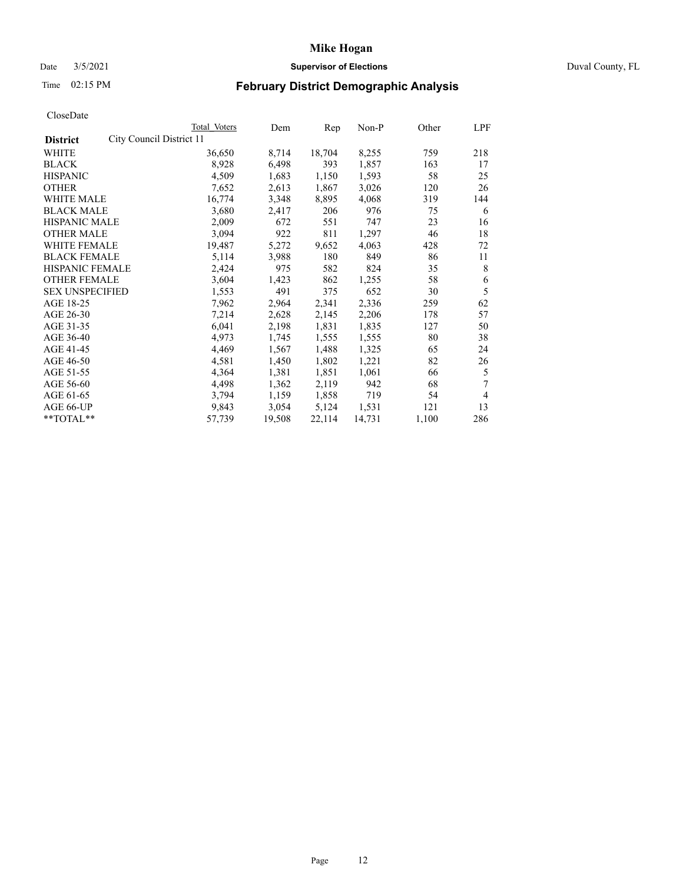# Date 3/5/2021 **Supervisor of Elections** Duval County, FL

# Time 02:15 PM **February District Demographic Analysis**

| Total Voters                                                                                                                                                                                          | Dem                               | Rep    | $Non-P$ | Other | LPF |
|-------------------------------------------------------------------------------------------------------------------------------------------------------------------------------------------------------|-----------------------------------|--------|---------|-------|-----|
|                                                                                                                                                                                                       |                                   |        |         |       |     |
| 36,650                                                                                                                                                                                                | 8,714                             | 18,704 | 8,255   | 759   | 218 |
| 8,928                                                                                                                                                                                                 | 6,498                             | 393    | 1,857   | 163   | 17  |
| 4,509                                                                                                                                                                                                 | 1,683                             | 1,150  | 1,593   | 58    | 25  |
| 7,652                                                                                                                                                                                                 | 2,613                             | 1,867  | 3,026   | 120   | 26  |
| 16,774                                                                                                                                                                                                | 3,348                             | 8,895  | 4,068   | 319   | 144 |
| 3,680                                                                                                                                                                                                 | 2,417                             | 206    | 976     | 75    | 6   |
| 2,009                                                                                                                                                                                                 | 672                               | 551    | 747     | 23    | 16  |
| 3,094                                                                                                                                                                                                 | 922                               | 811    | 1,297   | 46    | 18  |
| 19,487                                                                                                                                                                                                | 5,272                             | 9,652  | 4,063   | 428   | 72  |
| 5,114                                                                                                                                                                                                 | 3,988                             | 180    | 849     | 86    | 11  |
| 2,424                                                                                                                                                                                                 | 975                               | 582    | 824     | 35    | 8   |
| 3,604                                                                                                                                                                                                 | 1,423                             | 862    | 1,255   | 58    | 6   |
| 1,553                                                                                                                                                                                                 | 491                               | 375    | 652     | 30    | 5   |
| 7,962                                                                                                                                                                                                 | 2,964                             | 2,341  | 2,336   | 259   | 62  |
| 7,214                                                                                                                                                                                                 | 2,628                             | 2,145  | 2,206   | 178   | 57  |
|                                                                                                                                                                                                       | 2,198                             | 1,831  | 1,835   | 127   | 50  |
| 4,973                                                                                                                                                                                                 | 1,745                             | 1,555  | 1,555   | 80    | 38  |
| 4,469                                                                                                                                                                                                 | 1,567                             | 1,488  | 1,325   | 65    | 24  |
| 4,581                                                                                                                                                                                                 | 1,450                             | 1,802  | 1,221   | 82    | 26  |
| 4,364                                                                                                                                                                                                 | 1,381                             | 1,851  | 1,061   | 66    | 5   |
| 4,498                                                                                                                                                                                                 | 1,362                             | 2,119  | 942     | 68    | 7   |
| 3,794                                                                                                                                                                                                 | 1,159                             | 1,858  | 719     | 54    | 4   |
| 9,843                                                                                                                                                                                                 | 3,054                             | 5,124  | 1,531   | 121   | 13  |
| 57,739                                                                                                                                                                                                | 19,508                            | 22,114 | 14,731  | 1,100 | 286 |
| <b>WHITE MALE</b><br><b>BLACK MALE</b><br><b>HISPANIC MALE</b><br><b>OTHER MALE</b><br><b>WHITE FEMALE</b><br><b>BLACK FEMALE</b><br>HISPANIC FEMALE<br><b>OTHER FEMALE</b><br><b>SEX UNSPECIFIED</b> | City Council District 11<br>6,041 |        |         |       |     |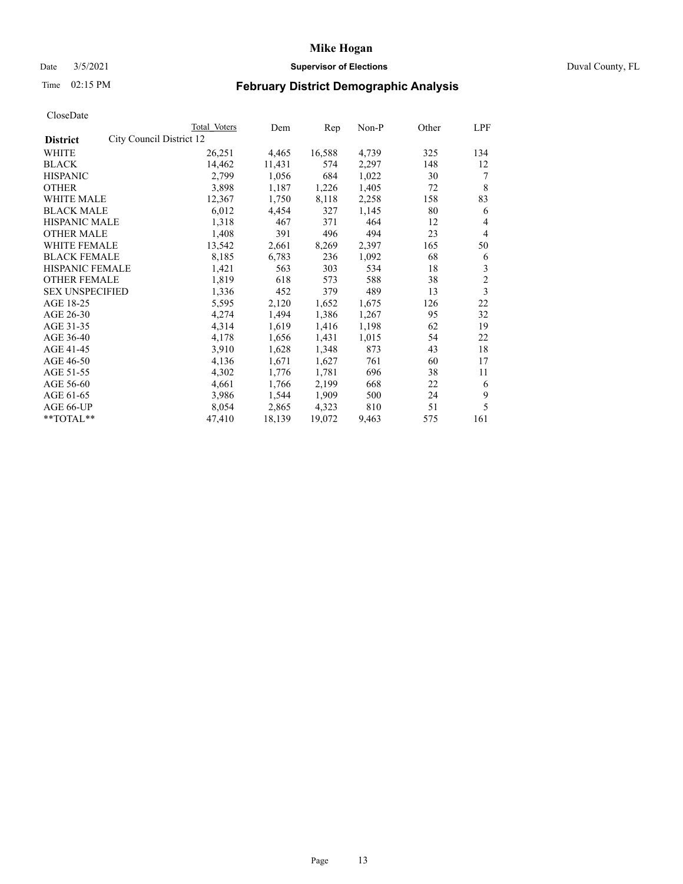# Date 3/5/2021 **Supervisor of Elections** Duval County, FL

# Time 02:15 PM **February District Demographic Analysis**

|                                             | Total Voters | Dem    | Rep    | Non-P | Other | LPF            |
|---------------------------------------------|--------------|--------|--------|-------|-------|----------------|
| City Council District 12<br><b>District</b> |              |        |        |       |       |                |
| WHITE                                       | 26,251       | 4,465  | 16,588 | 4,739 | 325   | 134            |
| <b>BLACK</b>                                | 14,462       | 11,431 | 574    | 2,297 | 148   | 12             |
| <b>HISPANIC</b>                             | 2,799        | 1,056  | 684    | 1,022 | 30    | 7              |
| <b>OTHER</b>                                | 3,898        | 1,187  | 1,226  | 1,405 | 72    | 8              |
| WHITE MALE                                  | 12,367       | 1,750  | 8,118  | 2,258 | 158   | 83             |
| <b>BLACK MALE</b>                           | 6,012        | 4,454  | 327    | 1,145 | 80    | 6              |
| <b>HISPANIC MALE</b>                        | 1,318        | 467    | 371    | 464   | 12    | 4              |
| <b>OTHER MALE</b>                           | 1,408        | 391    | 496    | 494   | 23    | 4              |
| WHITE FEMALE                                | 13,542       | 2,661  | 8,269  | 2,397 | 165   | 50             |
| <b>BLACK FEMALE</b>                         | 8,185        | 6,783  | 236    | 1,092 | 68    | 6              |
| HISPANIC FEMALE                             | 1,421        | 563    | 303    | 534   | 18    | 3              |
| <b>OTHER FEMALE</b>                         | 1,819        | 618    | 573    | 588   | 38    | $\overline{c}$ |
| <b>SEX UNSPECIFIED</b>                      | 1,336        | 452    | 379    | 489   | 13    | 3              |
| AGE 18-25                                   | 5,595        | 2,120  | 1,652  | 1,675 | 126   | 22             |
| AGE 26-30                                   | 4,274        | 1,494  | 1,386  | 1,267 | 95    | 32             |
| AGE 31-35                                   | 4,314        | 1,619  | 1,416  | 1,198 | 62    | 19             |
| AGE 36-40                                   | 4,178        | 1,656  | 1,431  | 1,015 | 54    | 22             |
| AGE 41-45                                   | 3,910        | 1,628  | 1,348  | 873   | 43    | 18             |
| AGE 46-50                                   | 4,136        | 1,671  | 1,627  | 761   | 60    | 17             |
| AGE 51-55                                   | 4,302        | 1,776  | 1,781  | 696   | 38    | 11             |
| AGE 56-60                                   | 4,661        | 1,766  | 2,199  | 668   | 22    | 6              |
| AGE 61-65                                   | 3,986        | 1,544  | 1,909  | 500   | 24    | 9              |
| AGE 66-UP                                   | 8,054        | 2,865  | 4,323  | 810   | 51    | 5              |
| **TOTAL**                                   | 47,410       | 18,139 | 19,072 | 9,463 | 575   | 161            |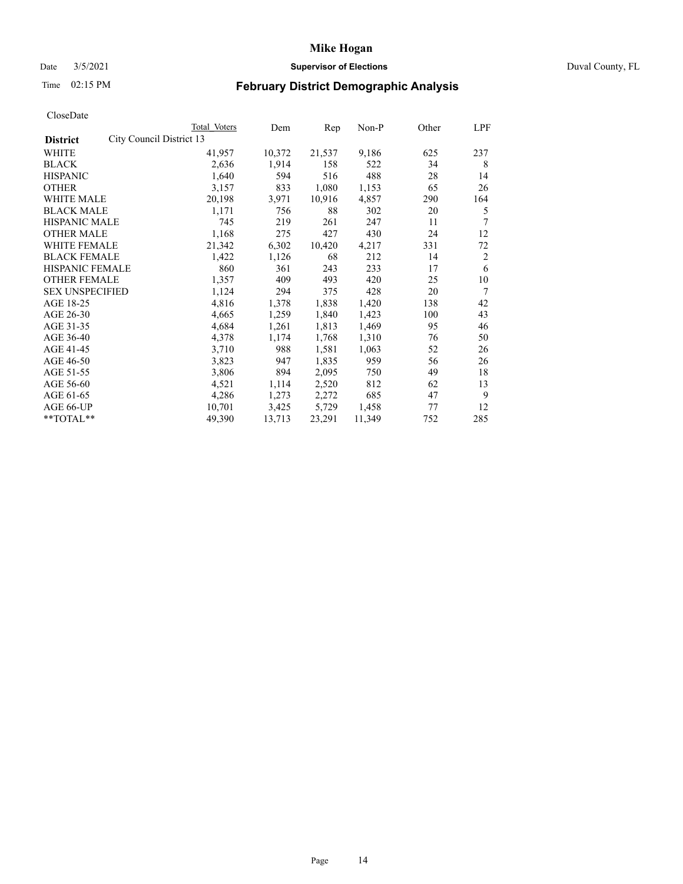# Date 3/5/2021 **Supervisor of Elections** Duval County, FL

# Time 02:15 PM **February District Demographic Analysis**

|                                             | Total Voters | Dem    | Rep    | $Non-P$ | Other | LPF            |
|---------------------------------------------|--------------|--------|--------|---------|-------|----------------|
| City Council District 13<br><b>District</b> |              |        |        |         |       |                |
| WHITE                                       | 41,957       | 10,372 | 21,537 | 9,186   | 625   | 237            |
| <b>BLACK</b>                                | 2,636        | 1,914  | 158    | 522     | 34    | 8              |
| <b>HISPANIC</b>                             | 1,640        | 594    | 516    | 488     | 28    | 14             |
| <b>OTHER</b>                                | 3,157        | 833    | 1,080  | 1,153   | 65    | 26             |
| WHITE MALE                                  | 20,198       | 3,971  | 10,916 | 4,857   | 290   | 164            |
| <b>BLACK MALE</b>                           | 1,171        | 756    | 88     | 302     | 20    | 5              |
| <b>HISPANIC MALE</b>                        | 745          | 219    | 261    | 247     | 11    | 7              |
| <b>OTHER MALE</b>                           | 1,168        | 275    | 427    | 430     | 24    | 12             |
| WHITE FEMALE                                | 21,342       | 6,302  | 10,420 | 4,217   | 331   | 72             |
| <b>BLACK FEMALE</b>                         | 1,422        | 1,126  | 68     | 212     | 14    | $\overline{2}$ |
| HISPANIC FEMALE                             | 860          | 361    | 243    | 233     | 17    | 6              |
| <b>OTHER FEMALE</b>                         | 1,357        | 409    | 493    | 420     | 25    | 10             |
| <b>SEX UNSPECIFIED</b>                      | 1,124        | 294    | 375    | 428     | 20    | 7              |
| AGE 18-25                                   | 4,816        | 1,378  | 1,838  | 1,420   | 138   | 42             |
| AGE 26-30                                   | 4,665        | 1,259  | 1,840  | 1,423   | 100   | 43             |
| AGE 31-35                                   | 4,684        | 1,261  | 1,813  | 1,469   | 95    | 46             |
| AGE 36-40                                   | 4,378        | 1,174  | 1,768  | 1,310   | 76    | 50             |
| AGE 41-45                                   | 3,710        | 988    | 1,581  | 1,063   | 52    | 26             |
| AGE 46-50                                   | 3,823        | 947    | 1,835  | 959     | 56    | 26             |
| AGE 51-55                                   | 3,806        | 894    | 2,095  | 750     | 49    | 18             |
| AGE 56-60                                   | 4,521        | 1,114  | 2,520  | 812     | 62    | 13             |
| AGE 61-65                                   | 4,286        | 1,273  | 2,272  | 685     | 47    | 9              |
| AGE 66-UP                                   | 10,701       | 3,425  | 5,729  | 1,458   | 77    | 12             |
| **TOTAL**                                   | 49,390       | 13,713 | 23,291 | 11,349  | 752   | 285            |
|                                             |              |        |        |         |       |                |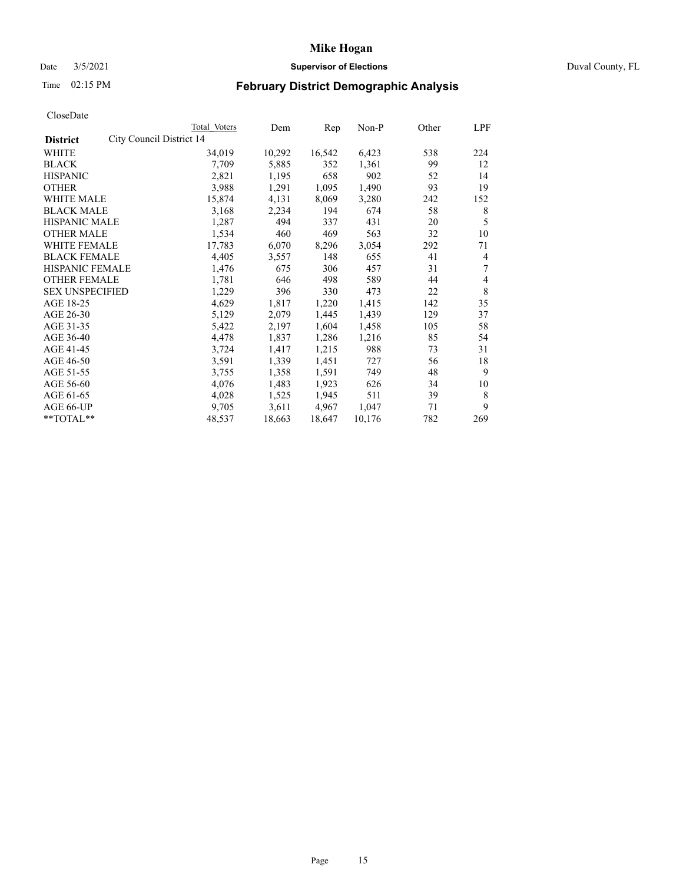# Date 3/5/2021 **Supervisor of Elections** Duval County, FL

# Time 02:15 PM **February District Demographic Analysis**

|                        |                          | Total Voters | Dem    | Rep    | Non-P  | Other | LPF |
|------------------------|--------------------------|--------------|--------|--------|--------|-------|-----|
| <b>District</b>        | City Council District 14 |              |        |        |        |       |     |
| WHITE                  |                          | 34,019       | 10,292 | 16,542 | 6,423  | 538   | 224 |
| <b>BLACK</b>           |                          | 7,709        | 5,885  | 352    | 1,361  | 99    | 12  |
| <b>HISPANIC</b>        |                          | 2,821        | 1,195  | 658    | 902    | 52    | 14  |
| <b>OTHER</b>           |                          | 3,988        | 1,291  | 1,095  | 1,490  | 93    | 19  |
| WHITE MALE             |                          | 15,874       | 4,131  | 8,069  | 3,280  | 242   | 152 |
| <b>BLACK MALE</b>      |                          | 3,168        | 2,234  | 194    | 674    | 58    | 8   |
| <b>HISPANIC MALE</b>   |                          | 1,287        | 494    | 337    | 431    | 20    | 5   |
| <b>OTHER MALE</b>      |                          | 1,534        | 460    | 469    | 563    | 32    | 10  |
| WHITE FEMALE           |                          | 17,783       | 6,070  | 8,296  | 3,054  | 292   | 71  |
| <b>BLACK FEMALE</b>    |                          | 4,405        | 3,557  | 148    | 655    | 41    | 4   |
| HISPANIC FEMALE        |                          | 1,476        | 675    | 306    | 457    | 31    | 7   |
| <b>OTHER FEMALE</b>    |                          | 1,781        | 646    | 498    | 589    | 44    | 4   |
| <b>SEX UNSPECIFIED</b> |                          | 1,229        | 396    | 330    | 473    | 22    | 8   |
| AGE 18-25              |                          | 4,629        | 1,817  | 1,220  | 1,415  | 142   | 35  |
| AGE 26-30              |                          | 5,129        | 2,079  | 1,445  | 1,439  | 129   | 37  |
| AGE 31-35              |                          | 5,422        | 2,197  | 1,604  | 1,458  | 105   | 58  |
| AGE 36-40              |                          | 4,478        | 1,837  | 1,286  | 1,216  | 85    | 54  |
| AGE 41-45              |                          | 3,724        | 1,417  | 1,215  | 988    | 73    | 31  |
| AGE 46-50              |                          | 3,591        | 1,339  | 1,451  | 727    | 56    | 18  |
| AGE 51-55              |                          | 3,755        | 1,358  | 1,591  | 749    | 48    | 9   |
| AGE 56-60              |                          | 4,076        | 1,483  | 1,923  | 626    | 34    | 10  |
| AGE 61-65              |                          | 4,028        | 1,525  | 1,945  | 511    | 39    | 8   |
| AGE 66-UP              |                          | 9,705        | 3,611  | 4,967  | 1,047  | 71    | 9   |
| **TOTAL**              |                          | 48,537       | 18,663 | 18,647 | 10,176 | 782   | 269 |
|                        |                          |              |        |        |        |       |     |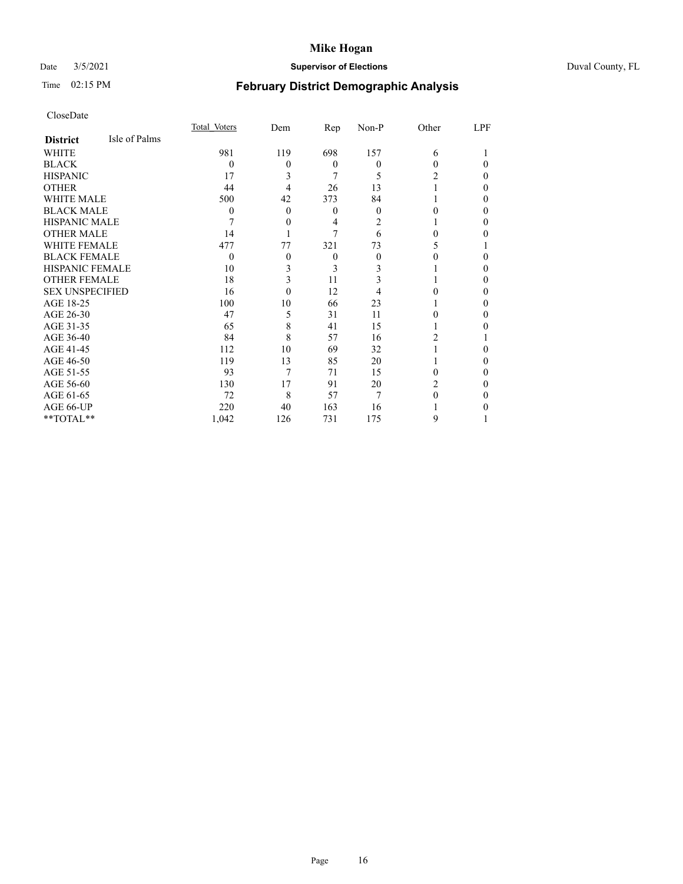# Date 3/5/2021 **Supervisor of Elections** Duval County, FL

# Time 02:15 PM **February District Demographic Analysis**

|                        |               | Total Voters | Dem      | Rep      | Non-P    | Other | LPF |
|------------------------|---------------|--------------|----------|----------|----------|-------|-----|
| <b>District</b>        | Isle of Palms |              |          |          |          |       |     |
| WHITE                  |               | 981          | 119      | 698      | 157      | 6     |     |
| <b>BLACK</b>           |               | $\theta$     | 0        | $\Omega$ | $\theta$ | 0     | 0   |
| <b>HISPANIC</b>        |               | 17           | 3        | 7        | 5        | 2     | 0   |
| <b>OTHER</b>           |               | 44           | 4        | 26       | 13       |       | 0   |
| WHITE MALE             |               | 500          | 42       | 373      | 84       |       | 0   |
| <b>BLACK MALE</b>      |               | $\theta$     | $\Omega$ | $\theta$ | $\theta$ | 0     | 0   |
| <b>HISPANIC MALE</b>   |               |              | 0        | 4        | 2        |       | 0   |
| <b>OTHER MALE</b>      |               | 14           |          | 7        | 6        | 0     | 0   |
| WHITE FEMALE           |               | 477          | 77       | 321      | 73       | 5     |     |
| <b>BLACK FEMALE</b>    |               | $\Omega$     | 0        | $\theta$ | $\theta$ |       | 0   |
| <b>HISPANIC FEMALE</b> |               | 10           | 3        | 3        | 3        |       | 0   |
| <b>OTHER FEMALE</b>    |               | 18           | 3        | 11       | 3        |       | 0   |
| <b>SEX UNSPECIFIED</b> |               | 16           | $\theta$ | 12       | 4        |       | 0   |
| AGE 18-25              |               | 100          | 10       | 66       | 23       |       | 0   |
| AGE 26-30              |               | 47           | 5        | 31       | 11       | 0     | 0   |
| AGE 31-35              |               | 65           | 8        | 41       | 15       |       | 0   |
| AGE 36-40              |               | 84           | 8        | 57       | 16       | 2     |     |
| AGE 41-45              |               | 112          | 10       | 69       | 32       |       | 0   |
| AGE 46-50              |               | 119          | 13       | 85       | 20       |       | 0   |
| AGE 51-55              |               | 93           | 7        | 71       | 15       | 0     | 0   |
| AGE 56-60              |               | 130          | 17       | 91       | 20       | 2     | 0   |
| AGE 61-65              |               | 72           | 8        | 57       | 7        | 0     | 0   |
| AGE 66-UP              |               | 220          | 40       | 163      | 16       |       |     |
| **TOTAL**              |               | 1,042        | 126      | 731      | 175      | 9     |     |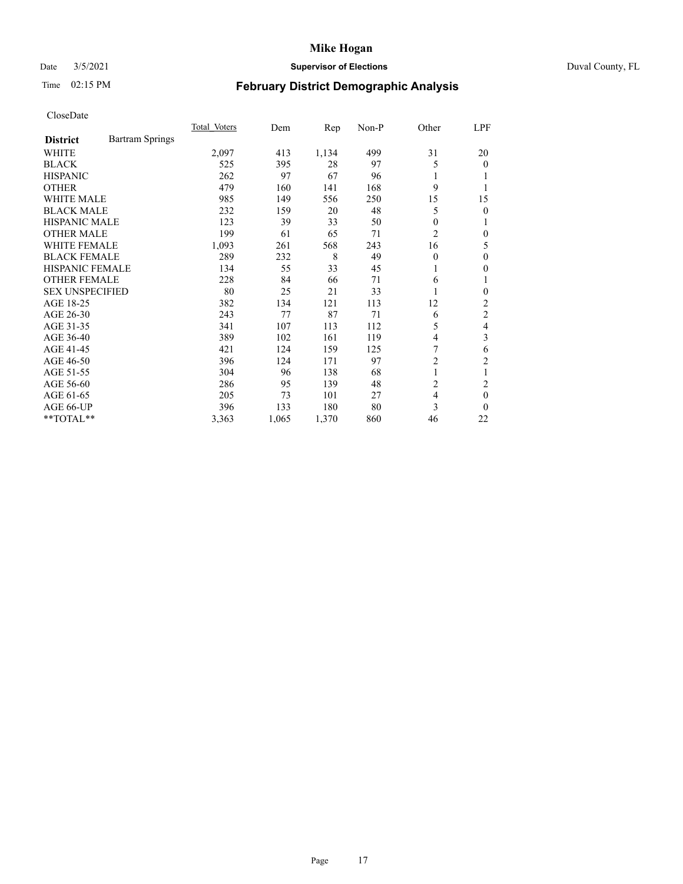# Date 3/5/2021 **Supervisor of Elections** Duval County, FL

# Time 02:15 PM **February District Demographic Analysis**

|                        |                        | Total Voters | Dem   | Rep   | Non-P | Other          | LPF            |
|------------------------|------------------------|--------------|-------|-------|-------|----------------|----------------|
| <b>District</b>        | <b>Bartram Springs</b> |              |       |       |       |                |                |
| WHITE                  |                        | 2,097        | 413   | 1,134 | 499   | 31             | 20             |
| <b>BLACK</b>           |                        | 525          | 395   | 28    | 97    | 5              | $\overline{0}$ |
| <b>HISPANIC</b>        |                        | 262          | 97    | 67    | 96    | 1              |                |
| <b>OTHER</b>           |                        | 479          | 160   | 141   | 168   | 9              |                |
| <b>WHITE MALE</b>      |                        | 985          | 149   | 556   | 250   | 15             | 15             |
| <b>BLACK MALE</b>      |                        | 232          | 159   | 20    | 48    | 5              | 0              |
| <b>HISPANIC MALE</b>   |                        | 123          | 39    | 33    | 50    | 0              |                |
| <b>OTHER MALE</b>      |                        | 199          | 61    | 65    | 71    | $\overline{2}$ | 0              |
| WHITE FEMALE           |                        | 1,093        | 261   | 568   | 243   | 16             | 5              |
| <b>BLACK FEMALE</b>    |                        | 289          | 232   | 8     | 49    | $\Omega$       | 0              |
| <b>HISPANIC FEMALE</b> |                        | 134          | 55    | 33    | 45    | 1              | 0              |
| <b>OTHER FEMALE</b>    |                        | 228          | 84    | 66    | 71    | 6              |                |
| <b>SEX UNSPECIFIED</b> |                        | 80           | 25    | 21    | 33    |                | 0              |
| AGE 18-25              |                        | 382          | 134   | 121   | 113   | 12             | 2              |
| AGE 26-30              |                        | 243          | 77    | 87    | 71    | 6              | 2              |
| AGE 31-35              |                        | 341          | 107   | 113   | 112   | 5              | 4              |
| AGE 36-40              |                        | 389          | 102   | 161   | 119   | 4              | 3              |
| AGE 41-45              |                        | 421          | 124   | 159   | 125   | 7              | 6              |
| AGE 46-50              |                        | 396          | 124   | 171   | 97    | 2              | 2              |
| AGE 51-55              |                        | 304          | 96    | 138   | 68    | 1              | 1              |
| AGE 56-60              |                        | 286          | 95    | 139   | 48    | 2              | 2              |
| AGE 61-65              |                        | 205          | 73    | 101   | 27    | 4              | 0              |
| AGE 66-UP              |                        | 396          | 133   | 180   | 80    | 3              | 0              |
| **TOTAL**              |                        | 3,363        | 1,065 | 1,370 | 860   | 46             | 22             |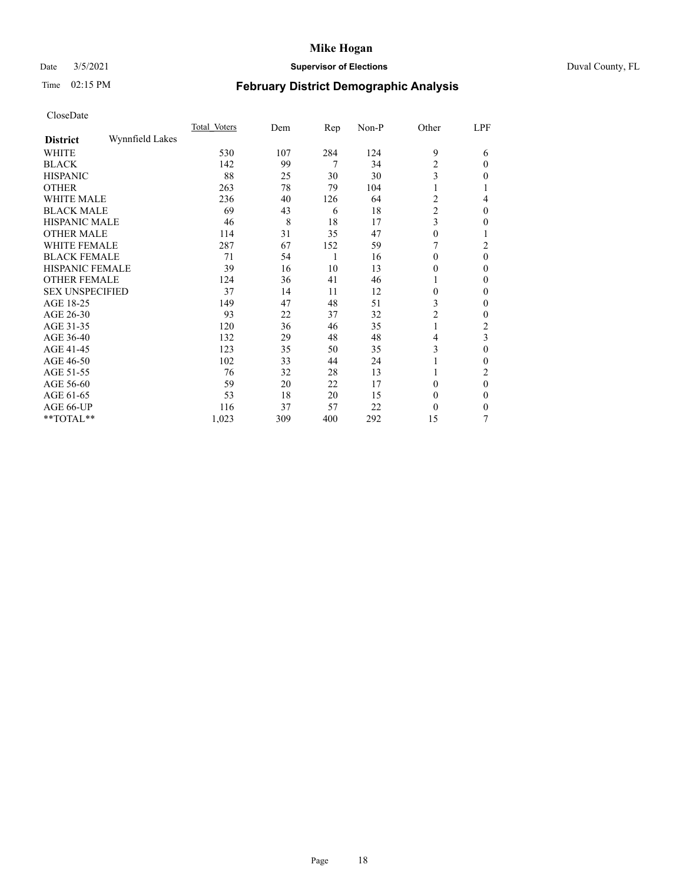# Date 3/5/2021 **Supervisor of Elections** Duval County, FL

# Time 02:15 PM **February District Demographic Analysis**

|                        |                 | Total Voters | Dem | Rep | Non-P | Other          | LPF            |
|------------------------|-----------------|--------------|-----|-----|-------|----------------|----------------|
| <b>District</b>        | Wynnfield Lakes |              |     |     |       |                |                |
| WHITE                  |                 | 530          | 107 | 284 | 124   | 9              | 6              |
| <b>BLACK</b>           |                 | 142          | 99  | 7   | 34    | 2              | $\Omega$       |
| <b>HISPANIC</b>        |                 | 88           | 25  | 30  | 30    | 3              | $\Omega$       |
| <b>OTHER</b>           |                 | 263          | 78  | 79  | 104   |                |                |
| WHITE MALE             |                 | 236          | 40  | 126 | 64    | 2              | 4              |
| <b>BLACK MALE</b>      |                 | 69           | 43  | 6   | 18    | $\overline{c}$ | $\theta$       |
| <b>HISPANIC MALE</b>   |                 | 46           | 8   | 18  | 17    | 3              | 0              |
| <b>OTHER MALE</b>      |                 | 114          | 31  | 35  | 47    | 0              |                |
| <b>WHITE FEMALE</b>    |                 | 287          | 67  | 152 | 59    |                | 2              |
| <b>BLACK FEMALE</b>    |                 | 71           | 54  | 1   | 16    | $\Omega$       | $\theta$       |
| <b>HISPANIC FEMALE</b> |                 | 39           | 16  | 10  | 13    | 0              | $\Omega$       |
| <b>OTHER FEMALE</b>    |                 | 124          | 36  | 41  | 46    |                | $\Omega$       |
| <b>SEX UNSPECIFIED</b> |                 | 37           | 14  | 11  | 12    | $\theta$       | $\Omega$       |
| AGE 18-25              |                 | 149          | 47  | 48  | 51    | 3              | 0              |
| AGE 26-30              |                 | 93           | 22  | 37  | 32    | 2              | $\mathbf{0}$   |
| AGE 31-35              |                 | 120          | 36  | 46  | 35    |                | $\overline{c}$ |
| AGE 36-40              |                 | 132          | 29  | 48  | 48    | 4              | 3              |
| AGE 41-45              |                 | 123          | 35  | 50  | 35    | 3              | $\Omega$       |
| AGE 46-50              |                 | 102          | 33  | 44  | 24    |                | $\theta$       |
| AGE 51-55              |                 | 76           | 32  | 28  | 13    |                | 2              |
| AGE 56-60              |                 | 59           | 20  | 22  | 17    | 0              | $\theta$       |
| AGE 61-65              |                 | 53           | 18  | 20  | 15    | $\theta$       | $\theta$       |
| AGE 66-UP              |                 | 116          | 37  | 57  | 22    | 0              | $\Omega$       |
| **TOTAL**              |                 | 1,023        | 309 | 400 | 292   | 15             |                |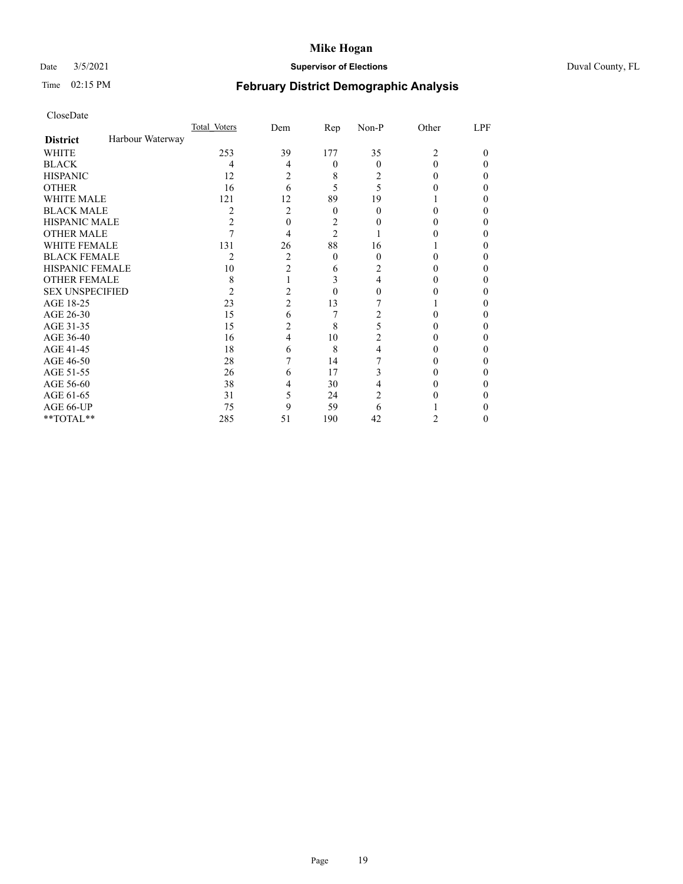# Date 3/5/2021 **Supervisor of Elections** Duval County, FL

# Time 02:15 PM **February District Demographic Analysis**

|                        |                  | Total Voters   | Dem            | Rep            | Non-P    | Other                       | LPF    |
|------------------------|------------------|----------------|----------------|----------------|----------|-----------------------------|--------|
| <b>District</b>        | Harbour Waterway |                |                |                |          |                             |        |
| WHITE                  |                  | 253            | 39             | 177            | 35       | $\mathcal{D}_{\mathcal{L}}$ | $_{0}$ |
| <b>BLACK</b>           |                  | 4              | 4              | 0              | 0        |                             |        |
| HISPANIC               |                  | 12             | 2              | 8              | 2        |                             |        |
| <b>OTHER</b>           |                  | 16             | 6              | 5              | 5        |                             |        |
| WHITE MALE             |                  | 121            | 12             | 89             | 19       |                             |        |
| BLACK MALE             |                  | 2              | 2              | $\theta$       | $\theta$ |                             |        |
| HISPANIC MALE          |                  | $\overline{c}$ | $\Omega$       | $\overline{c}$ |          |                             |        |
| OTHER MALE             |                  | 7              | 4              | $\mathfrak{D}$ |          |                             |        |
| WHITE FEMALE           |                  | 131            | 26             | 88             | 16       |                             |        |
| BLACK FEMALE           |                  | $\overline{c}$ | 2              | 0              | $\theta$ |                             |        |
| HISPANIC FEMALE        |                  | 10             | $\mathfrak{D}$ | 6              |          |                             |        |
| <b>OTHER FEMALE</b>    |                  | 8              |                | 3              | 4        |                             |        |
| <b>SEX UNSPECIFIED</b> |                  | 2              | 2              | 0              |          |                             |        |
| AGE 18-25              |                  | 23             | $\overline{c}$ | 13             |          |                             |        |
| AGE 26-30              |                  | 15             | 6              | 7              |          |                             |        |
| AGE 31-35              |                  | 15             | 2              | 8              |          |                             |        |
| AGE 36-40              |                  | 16             | 4              | 10             | 2        |                             |        |
| AGE 41-45              |                  | 18             | 6              | 8              |          |                             |        |
| AGE 46-50              |                  | 28             |                | 14             |          |                             |        |
| AGE 51-55              |                  | 26             | 6              | 17             |          |                             |        |
| AGE 56-60              |                  | 38             |                | 30             |          |                             |        |
| AGE 61-65              |                  | 31             | 5              | 24             |          |                             |        |
| AGE 66-UP              |                  | 75             | 9              | 59             | 6        |                             |        |
| $*$ $TOTAL**$          |                  | 285            | 51             | 190            | 42       | 2                           | 0      |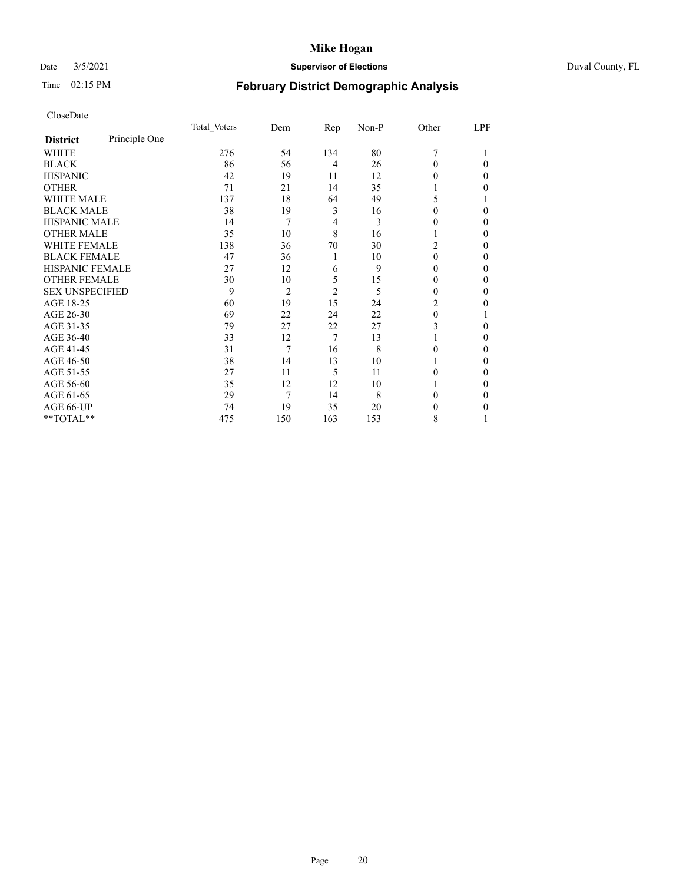# Date 3/5/2021 **Supervisor of Elections** Duval County, FL

# Time 02:15 PM **February District Demographic Analysis**

|                        |               | Total Voters | Dem            | Rep            | Non-P | Other          | LPF      |
|------------------------|---------------|--------------|----------------|----------------|-------|----------------|----------|
| <b>District</b>        | Principle One |              |                |                |       |                |          |
| WHITE                  |               | 276          | 54             | 134            | 80    | 7              |          |
| <b>BLACK</b>           |               | 86           | 56             | $\overline{4}$ | 26    | $\Omega$       | $\Omega$ |
| <b>HISPANIC</b>        |               | 42           | 19             | 11             | 12    | 0              | 0        |
| <b>OTHER</b>           |               | 71           | 21             | 14             | 35    |                | 0        |
| WHITE MALE             |               | 137          | 18             | 64             | 49    | 5              |          |
| <b>BLACK MALE</b>      |               | 38           | 19             | 3              | 16    | 0              | 0        |
| <b>HISPANIC MALE</b>   |               | 14           | 7              | 4              | 3     | 0              | 0        |
| <b>OTHER MALE</b>      |               | 35           | 10             | 8              | 16    |                | 0        |
| WHITE FEMALE           |               | 138          | 36             | 70             | 30    | $\overline{c}$ | 0        |
| <b>BLACK FEMALE</b>    |               | 47           | 36             | 1              | 10    | $\theta$       | 0        |
| <b>HISPANIC FEMALE</b> |               | 27           | 12             | 6              | 9     | 0              | 0        |
| <b>OTHER FEMALE</b>    |               | 30           | 10             | 5              | 15    | 0              | 0        |
| <b>SEX UNSPECIFIED</b> |               | 9            | $\overline{2}$ | 2              | 5     | 0              | 0        |
| AGE 18-25              |               | 60           | 19             | 15             | 24    | 2              | 0        |
| AGE 26-30              |               | 69           | 22             | 24             | 22    | $\theta$       |          |
| AGE 31-35              |               | 79           | 27             | 22             | 27    | 3              | 0        |
| AGE 36-40              |               | 33           | 12             | 7              | 13    |                | 0        |
| AGE 41-45              |               | 31           | 7              | 16             | 8     | 0              | 0        |
| AGE 46-50              |               | 38           | 14             | 13             | 10    |                | 0        |
| AGE 51-55              |               | 27           | 11             | 5              | 11    | 0              | 0        |
| AGE 56-60              |               | 35           | 12             | 12             | 10    |                | 0        |
| AGE 61-65              |               | 29           | 7              | 14             | 8     | 0              | 0        |
| AGE 66-UP              |               | 74           | 19             | 35             | 20    | 0              | 0        |
| **TOTAL**              |               | 475          | 150            | 163            | 153   | 8              |          |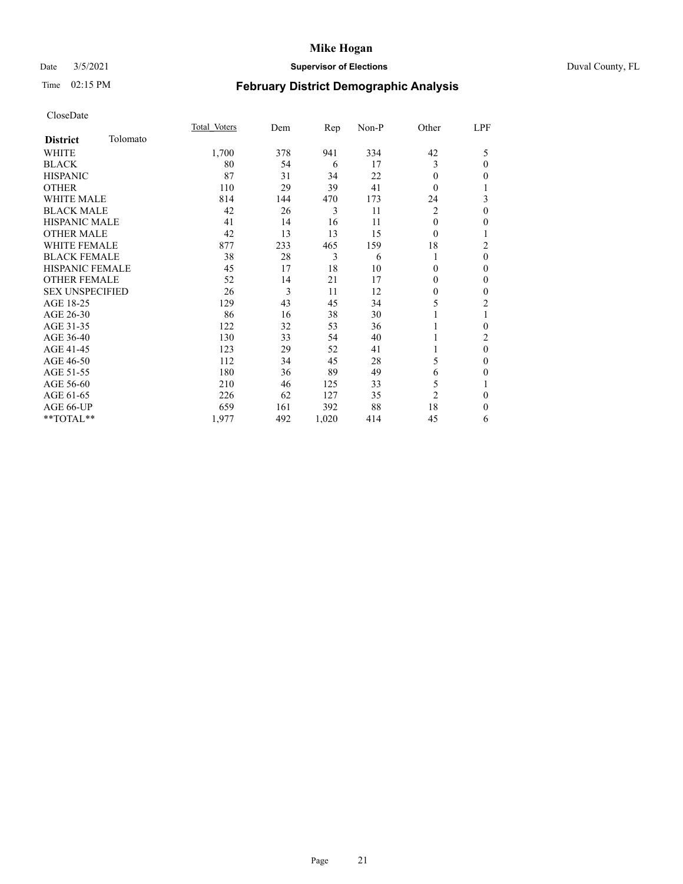# Date 3/5/2021 **Supervisor of Elections** Duval County, FL

# Time 02:15 PM **February District Demographic Analysis**

|                        |          | Total Voters | Dem | Rep   | $Non-P$ | Other          | LPF            |
|------------------------|----------|--------------|-----|-------|---------|----------------|----------------|
| <b>District</b>        | Tolomato |              |     |       |         |                |                |
| WHITE                  |          | 1,700        | 378 | 941   | 334     | 42             | 5              |
| <b>BLACK</b>           |          | 80           | 54  | 6     | 17      | 3              | $\theta$       |
| <b>HISPANIC</b>        |          | 87           | 31  | 34    | 22      | 0              | $\mathbf{0}$   |
| <b>OTHER</b>           |          | 110          | 29  | 39    | 41      | 0              | 1              |
| <b>WHITE MALE</b>      |          | 814          | 144 | 470   | 173     | 24             | 3              |
| <b>BLACK MALE</b>      |          | 42           | 26  | 3     | 11      | 2              | $\mathbf{0}$   |
| <b>HISPANIC MALE</b>   |          | 41           | 14  | 16    | 11      | $\Omega$       | $\mathbf{0}$   |
| <b>OTHER MALE</b>      |          | 42           | 13  | 13    | 15      | 0              | 1              |
| <b>WHITE FEMALE</b>    |          | 877          | 233 | 465   | 159     | 18             | 2              |
| <b>BLACK FEMALE</b>    |          | 38           | 28  | 3     | 6       | 1              | $\theta$       |
| <b>HISPANIC FEMALE</b> |          | 45           | 17  | 18    | 10      | 0              | $\theta$       |
| <b>OTHER FEMALE</b>    |          | 52           | 14  | 21    | 17      | 0              | $\mathbf{0}$   |
| <b>SEX UNSPECIFIED</b> |          | 26           | 3   | 11    | 12      | $\mathbf{0}$   | $\mathbf{0}$   |
| AGE 18-25              |          | 129          | 43  | 45    | 34      | 5              | $\overline{c}$ |
| AGE 26-30              |          | 86           | 16  | 38    | 30      |                | 1              |
| AGE 31-35              |          | 122          | 32  | 53    | 36      |                | $\theta$       |
| AGE 36-40              |          | 130          | 33  | 54    | 40      |                | $\overline{2}$ |
| AGE 41-45              |          | 123          | 29  | 52    | 41      |                | $\mathbf{0}$   |
| AGE 46-50              |          | 112          | 34  | 45    | 28      | 5              | $\mathbf{0}$   |
| AGE 51-55              |          | 180          | 36  | 89    | 49      | 6              | $\mathbf{0}$   |
| AGE 56-60              |          | 210          | 46  | 125   | 33      | 5              | 1              |
| AGE 61-65              |          | 226          | 62  | 127   | 35      | $\overline{c}$ | $\mathbf{0}$   |
| AGE 66-UP              |          | 659          | 161 | 392   | 88      | 18             | $\mathbf{0}$   |
| $**TOTAL**$            |          | 1,977        | 492 | 1,020 | 414     | 45             | 6              |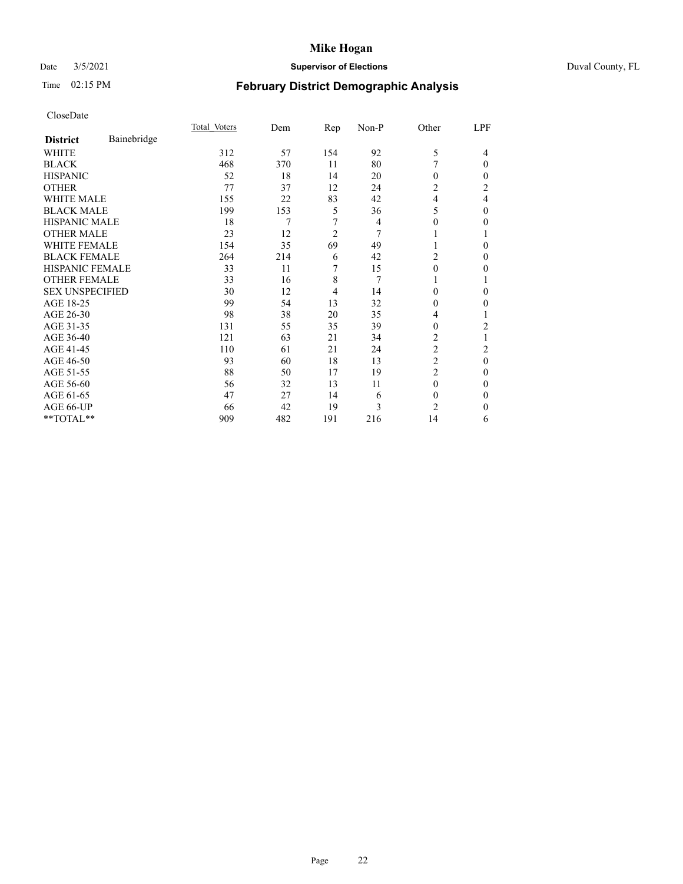# Date 3/5/2021 **Supervisor of Elections** Duval County, FL

# Time 02:15 PM **February District Demographic Analysis**

|                        |             | Total Voters | Dem | Rep            | Non-P | Other          | LPF            |
|------------------------|-------------|--------------|-----|----------------|-------|----------------|----------------|
| <b>District</b>        | Bainebridge |              |     |                |       |                |                |
| WHITE                  |             | 312          | 57  | 154            | 92    | 5              | 4              |
| <b>BLACK</b>           |             | 468          | 370 | 11             | 80    | 7              | $\theta$       |
| <b>HISPANIC</b>        |             | 52           | 18  | 14             | 20    | $\Omega$       | 0              |
| <b>OTHER</b>           |             | 77           | 37  | 12             | 24    | $\overline{2}$ | $\overline{2}$ |
| <b>WHITE MALE</b>      |             | 155          | 22  | 83             | 42    | 4              | 4              |
| <b>BLACK MALE</b>      |             | 199          | 153 | 5              | 36    | 5              | $\Omega$       |
| HISPANIC MALE          |             | 18           | 7   | 7              | 4     | 0              | 0              |
| <b>OTHER MALE</b>      |             | 23           | 12  | $\overline{2}$ | 7     |                |                |
| WHITE FEMALE           |             | 154          | 35  | 69             | 49    |                | 0              |
| <b>BLACK FEMALE</b>    |             | 264          | 214 | 6              | 42    | 2              | 0              |
| <b>HISPANIC FEMALE</b> |             | 33           | 11  | 7              | 15    | $\Omega$       | 0              |
| <b>OTHER FEMALE</b>    |             | 33           | 16  | 8              | 7     |                |                |
| <b>SEX UNSPECIFIED</b> |             | 30           | 12  | $\overline{4}$ | 14    | $\Omega$       | 0              |
| AGE 18-25              |             | 99           | 54  | 13             | 32    | 0              | 0              |
| AGE 26-30              |             | 98           | 38  | 20             | 35    | 4              |                |
| AGE 31-35              |             | 131          | 55  | 35             | 39    | 0              | 2              |
| AGE 36-40              |             | 121          | 63  | 21             | 34    | $\overline{2}$ |                |
| AGE 41-45              |             | 110          | 61  | 21             | 24    | $\overline{c}$ | 2              |
| AGE 46-50              |             | 93           | 60  | 18             | 13    | $\overline{2}$ | $\theta$       |
| AGE 51-55              |             | 88           | 50  | 17             | 19    | $\overline{2}$ | 0              |
| AGE 56-60              |             | 56           | 32  | 13             | 11    | $\theta$       | 0              |
| AGE 61-65              |             | 47           | 27  | 14             | 6     | $\theta$       | 0              |
| AGE 66-UP              |             | 66           | 42  | 19             | 3     | $\overline{c}$ | 0              |
| **TOTAL**              |             | 909          | 482 | 191            | 216   | 14             | 6              |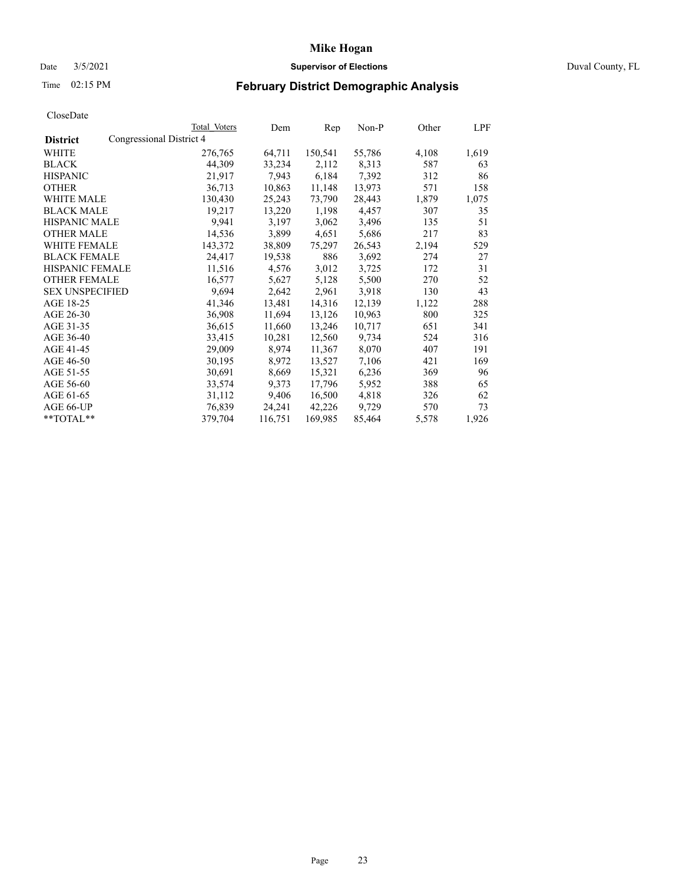# Date 3/5/2021 **Supervisor of Elections** Duval County, FL

# Time 02:15 PM **February District Demographic Analysis**

|                        |                          | Total Voters | Dem     | Rep     | Non-P  | Other | LPF   |
|------------------------|--------------------------|--------------|---------|---------|--------|-------|-------|
| <b>District</b>        | Congressional District 4 |              |         |         |        |       |       |
| WHITE                  |                          | 276,765      | 64,711  | 150,541 | 55,786 | 4,108 | 1,619 |
| <b>BLACK</b>           |                          | 44,309       | 33,234  | 2,112   | 8,313  | 587   | 63    |
| <b>HISPANIC</b>        |                          | 21,917       | 7,943   | 6,184   | 7,392  | 312   | 86    |
| <b>OTHER</b>           |                          | 36,713       | 10,863  | 11,148  | 13,973 | 571   | 158   |
| WHITE MALE             |                          | 130,430      | 25,243  | 73,790  | 28,443 | 1,879 | 1,075 |
| <b>BLACK MALE</b>      |                          | 19,217       | 13,220  | 1,198   | 4,457  | 307   | 35    |
| <b>HISPANIC MALE</b>   |                          | 9,941        | 3,197   | 3,062   | 3,496  | 135   | 51    |
| <b>OTHER MALE</b>      |                          | 14,536       | 3,899   | 4,651   | 5,686  | 217   | 83    |
| <b>WHITE FEMALE</b>    |                          | 143,372      | 38,809  | 75,297  | 26,543 | 2,194 | 529   |
| <b>BLACK FEMALE</b>    |                          | 24,417       | 19,538  | 886     | 3,692  | 274   | 27    |
| <b>HISPANIC FEMALE</b> |                          | 11,516       | 4,576   | 3,012   | 3,725  | 172   | 31    |
| <b>OTHER FEMALE</b>    |                          | 16,577       | 5,627   | 5,128   | 5,500  | 270   | 52    |
| <b>SEX UNSPECIFIED</b> |                          | 9,694        | 2,642   | 2,961   | 3,918  | 130   | 43    |
| AGE 18-25              |                          | 41,346       | 13,481  | 14,316  | 12,139 | 1,122 | 288   |
| AGE 26-30              |                          | 36,908       | 11,694  | 13,126  | 10,963 | 800   | 325   |
| AGE 31-35              |                          | 36,615       | 11,660  | 13,246  | 10,717 | 651   | 341   |
| AGE 36-40              |                          | 33,415       | 10,281  | 12,560  | 9,734  | 524   | 316   |
| AGE 41-45              |                          | 29,009       | 8,974   | 11,367  | 8,070  | 407   | 191   |
| AGE 46-50              |                          | 30,195       | 8,972   | 13,527  | 7,106  | 421   | 169   |
| AGE 51-55              |                          | 30,691       | 8,669   | 15,321  | 6,236  | 369   | 96    |
| AGE 56-60              |                          | 33,574       | 9,373   | 17,796  | 5,952  | 388   | 65    |
| AGE 61-65              |                          | 31,112       | 9,406   | 16,500  | 4,818  | 326   | 62    |
| AGE 66-UP              |                          | 76,839       | 24,241  | 42,226  | 9,729  | 570   | 73    |
| $*$ TOTAL $*$          |                          | 379,704      | 116,751 | 169,985 | 85,464 | 5,578 | 1,926 |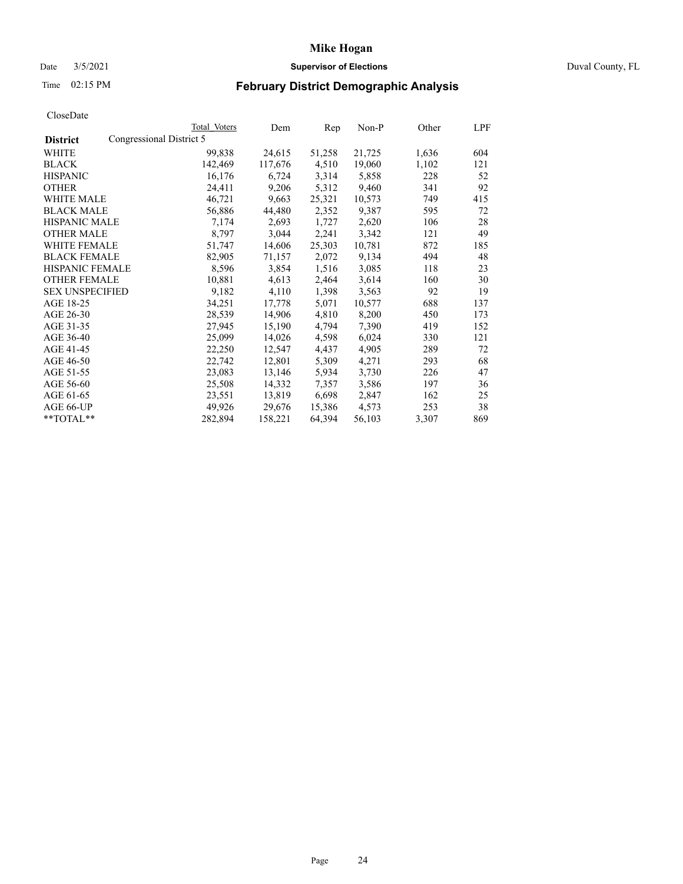# Date 3/5/2021 **Supervisor of Elections** Duval County, FL

# Time 02:15 PM **February District Demographic Analysis**

|                        |                          | Total Voters | Dem     | Rep    | Non-P  | Other | LPF |
|------------------------|--------------------------|--------------|---------|--------|--------|-------|-----|
| <b>District</b>        | Congressional District 5 |              |         |        |        |       |     |
| WHITE                  |                          | 99,838       | 24,615  | 51,258 | 21,725 | 1,636 | 604 |
| <b>BLACK</b>           |                          | 142,469      | 117,676 | 4,510  | 19,060 | 1,102 | 121 |
| <b>HISPANIC</b>        |                          | 16,176       | 6,724   | 3,314  | 5,858  | 228   | 52  |
| <b>OTHER</b>           |                          | 24,411       | 9,206   | 5,312  | 9,460  | 341   | 92  |
| <b>WHITE MALE</b>      |                          | 46,721       | 9,663   | 25,321 | 10,573 | 749   | 415 |
| <b>BLACK MALE</b>      |                          | 56,886       | 44,480  | 2,352  | 9,387  | 595   | 72  |
| <b>HISPANIC MALE</b>   |                          | 7,174        | 2,693   | 1,727  | 2,620  | 106   | 28  |
| <b>OTHER MALE</b>      |                          | 8,797        | 3,044   | 2,241  | 3,342  | 121   | 49  |
| <b>WHITE FEMALE</b>    |                          | 51,747       | 14,606  | 25,303 | 10,781 | 872   | 185 |
| <b>BLACK FEMALE</b>    |                          | 82,905       | 71,157  | 2,072  | 9,134  | 494   | 48  |
| HISPANIC FEMALE        |                          | 8,596        | 3,854   | 1,516  | 3,085  | 118   | 23  |
| <b>OTHER FEMALE</b>    |                          | 10,881       | 4,613   | 2,464  | 3,614  | 160   | 30  |
| <b>SEX UNSPECIFIED</b> |                          | 9,182        | 4,110   | 1,398  | 3,563  | 92    | 19  |
| AGE 18-25              |                          | 34,251       | 17,778  | 5,071  | 10,577 | 688   | 137 |
| AGE 26-30              |                          | 28,539       | 14,906  | 4,810  | 8,200  | 450   | 173 |
| AGE 31-35              |                          | 27,945       | 15,190  | 4,794  | 7,390  | 419   | 152 |
| AGE 36-40              |                          | 25,099       | 14,026  | 4,598  | 6,024  | 330   | 121 |
| AGE 41-45              |                          | 22,250       | 12,547  | 4,437  | 4,905  | 289   | 72  |
| AGE 46-50              |                          | 22,742       | 12,801  | 5,309  | 4,271  | 293   | 68  |
| AGE 51-55              |                          | 23,083       | 13,146  | 5,934  | 3,730  | 226   | 47  |
| AGE 56-60              |                          | 25,508       | 14,332  | 7,357  | 3,586  | 197   | 36  |
| AGE 61-65              |                          | 23,551       | 13,819  | 6,698  | 2,847  | 162   | 25  |
| AGE 66-UP              |                          | 49,926       | 29,676  | 15,386 | 4,573  | 253   | 38  |
| $*$ $TOTAL**$          |                          | 282,894      | 158,221 | 64,394 | 56,103 | 3,307 | 869 |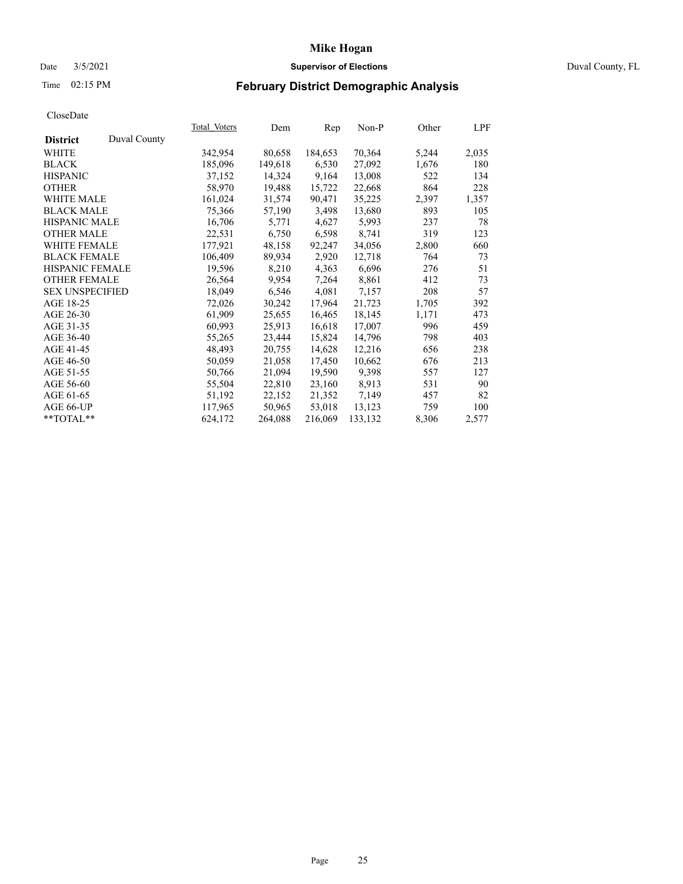# Date 3/5/2021 **Supervisor of Elections** Duval County, FL

# Time 02:15 PM **February District Demographic Analysis**

|                        |              | Total Voters | Dem     | Rep     | Non-P   | Other | LPF   |
|------------------------|--------------|--------------|---------|---------|---------|-------|-------|
| <b>District</b>        | Duval County |              |         |         |         |       |       |
| WHITE                  |              | 342,954      | 80,658  | 184,653 | 70,364  | 5,244 | 2,035 |
| <b>BLACK</b>           |              | 185,096      | 149,618 | 6,530   | 27,092  | 1,676 | 180   |
| <b>HISPANIC</b>        |              | 37,152       | 14,324  | 9,164   | 13,008  | 522   | 134   |
| <b>OTHER</b>           |              | 58,970       | 19,488  | 15,722  | 22,668  | 864   | 228   |
| WHITE MALE             |              | 161,024      | 31,574  | 90,471  | 35,225  | 2,397 | 1,357 |
| <b>BLACK MALE</b>      |              | 75,366       | 57,190  | 3,498   | 13,680  | 893   | 105   |
| <b>HISPANIC MALE</b>   |              | 16,706       | 5,771   | 4,627   | 5,993   | 237   | 78    |
| <b>OTHER MALE</b>      |              | 22,531       | 6,750   | 6,598   | 8,741   | 319   | 123   |
| <b>WHITE FEMALE</b>    |              | 177,921      | 48,158  | 92,247  | 34,056  | 2,800 | 660   |
| <b>BLACK FEMALE</b>    |              | 106,409      | 89,934  | 2,920   | 12,718  | 764   | 73    |
| <b>HISPANIC FEMALE</b> |              | 19,596       | 8,210   | 4,363   | 6,696   | 276   | 51    |
| <b>OTHER FEMALE</b>    |              | 26,564       | 9,954   | 7,264   | 8,861   | 412   | 73    |
| <b>SEX UNSPECIFIED</b> |              | 18,049       | 6,546   | 4,081   | 7,157   | 208   | 57    |
| AGE 18-25              |              | 72,026       | 30,242  | 17,964  | 21,723  | 1,705 | 392   |
| AGE 26-30              |              | 61,909       | 25,655  | 16,465  | 18,145  | 1,171 | 473   |
| AGE 31-35              |              | 60,993       | 25,913  | 16,618  | 17,007  | 996   | 459   |
| AGE 36-40              |              | 55,265       | 23,444  | 15,824  | 14,796  | 798   | 403   |
| AGE 41-45              |              | 48,493       | 20,755  | 14,628  | 12,216  | 656   | 238   |
| AGE 46-50              |              | 50,059       | 21,058  | 17,450  | 10,662  | 676   | 213   |
| AGE 51-55              |              | 50,766       | 21,094  | 19,590  | 9,398   | 557   | 127   |
| AGE 56-60              |              | 55,504       | 22,810  | 23,160  | 8,913   | 531   | 90    |
| AGE 61-65              |              | 51,192       | 22,152  | 21,352  | 7,149   | 457   | 82    |
| AGE 66-UP              |              | 117,965      | 50,965  | 53,018  | 13,123  | 759   | 100   |
| $*$ TOTAL $*$          |              | 624,172      | 264,088 | 216,069 | 133,132 | 8,306 | 2,577 |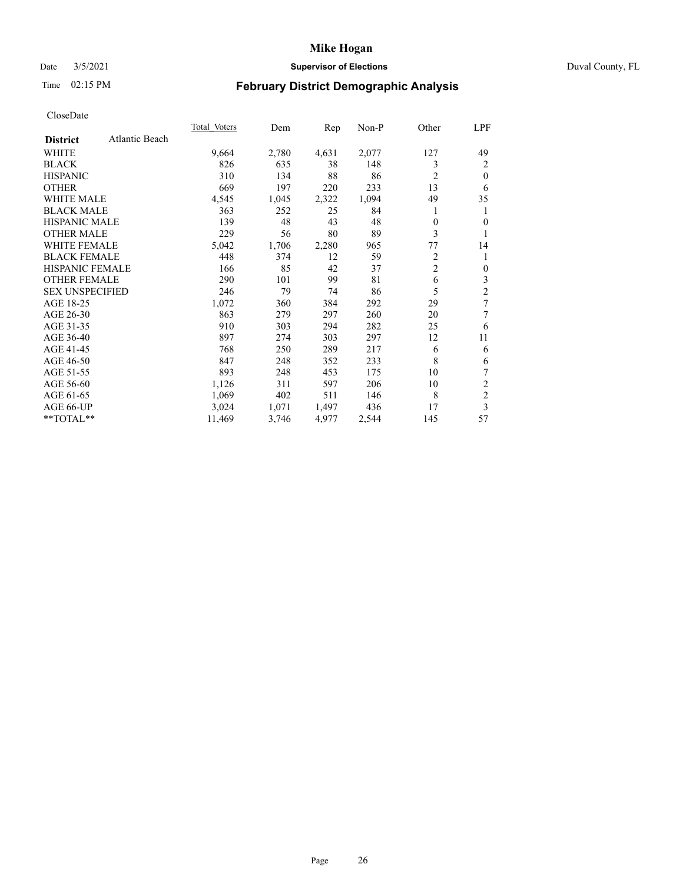# Date 3/5/2021 **Supervisor of Elections** Duval County, FL

# Time 02:15 PM **February District Demographic Analysis**

|                        |                | <b>Total Voters</b> | Dem   | Rep   | $Non-P$ | Other          | LPF            |
|------------------------|----------------|---------------------|-------|-------|---------|----------------|----------------|
| <b>District</b>        | Atlantic Beach |                     |       |       |         |                |                |
| WHITE                  |                | 9,664               | 2,780 | 4,631 | 2,077   | 127            | 49             |
| <b>BLACK</b>           |                | 826                 | 635   | 38    | 148     | 3              | 2              |
| <b>HISPANIC</b>        |                | 310                 | 134   | 88    | 86      | $\overline{2}$ | $\theta$       |
| <b>OTHER</b>           |                | 669                 | 197   | 220   | 233     | 13             | 6              |
| <b>WHITE MALE</b>      |                | 4,545               | 1,045 | 2,322 | 1,094   | 49             | 35             |
| <b>BLACK MALE</b>      |                | 363                 | 252   | 25    | 84      | 1              | 1              |
| <b>HISPANIC MALE</b>   |                | 139                 | 48    | 43    | 48      | $\theta$       | 0              |
| <b>OTHER MALE</b>      |                | 229                 | 56    | 80    | 89      | 3              | 1              |
| <b>WHITE FEMALE</b>    |                | 5,042               | 1,706 | 2,280 | 965     | 77             | 14             |
| <b>BLACK FEMALE</b>    |                | 448                 | 374   | 12    | 59      | 2              | 1              |
| HISPANIC FEMALE        |                | 166                 | 85    | 42    | 37      | $\overline{c}$ | $\overline{0}$ |
| <b>OTHER FEMALE</b>    |                | 290                 | 101   | 99    | 81      | 6              | 3              |
| <b>SEX UNSPECIFIED</b> |                | 246                 | 79    | 74    | 86      | 5              | 2              |
| AGE 18-25              |                | 1,072               | 360   | 384   | 292     | 29             | 7              |
| AGE 26-30              |                | 863                 | 279   | 297   | 260     | 20             | 7              |
| AGE 31-35              |                | 910                 | 303   | 294   | 282     | 25             | 6              |
| AGE 36-40              |                | 897                 | 274   | 303   | 297     | 12             | 11             |
| AGE 41-45              |                | 768                 | 250   | 289   | 217     | 6              | 6              |
| AGE 46-50              |                | 847                 | 248   | 352   | 233     | 8              | 6              |
| AGE 51-55              |                | 893                 | 248   | 453   | 175     | 10             | 7              |
| AGE 56-60              |                | 1,126               | 311   | 597   | 206     | 10             | $\overline{c}$ |
| AGE 61-65              |                | 1,069               | 402   | 511   | 146     | 8              | $\overline{c}$ |
| AGE 66-UP              |                | 3,024               | 1,071 | 1,497 | 436     | 17             | 3              |
| **TOTAL**              |                | 11,469              | 3,746 | 4,977 | 2,544   | 145            | 57             |
|                        |                |                     |       |       |         |                |                |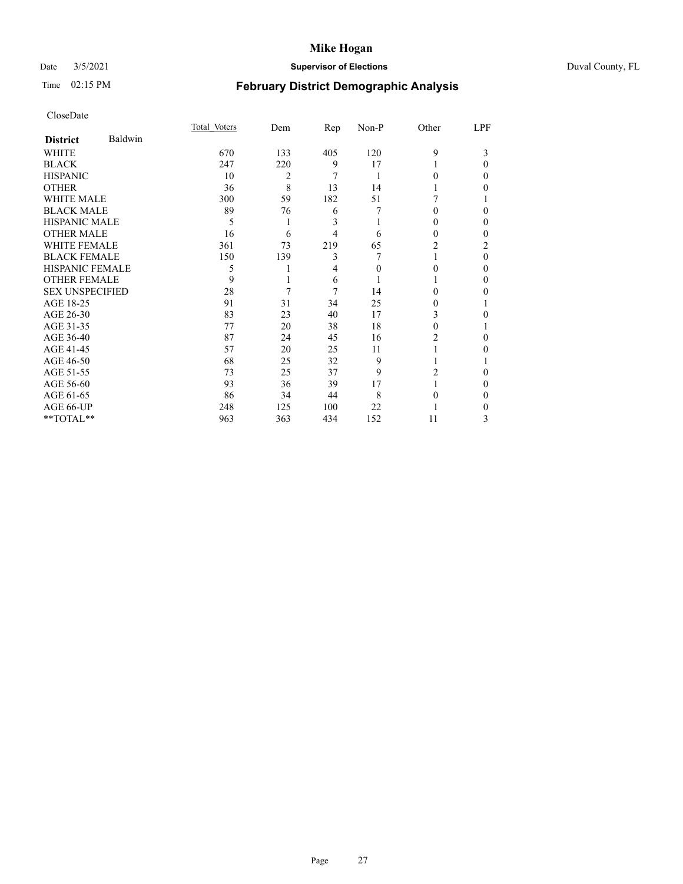# Date 3/5/2021 **Supervisor of Elections** Duval County, FL

# Time 02:15 PM **February District Demographic Analysis**

|                        |         | Total Voters | Dem | Rep | Non-P | Other  | LPF      |
|------------------------|---------|--------------|-----|-----|-------|--------|----------|
| <b>District</b>        | Baldwin |              |     |     |       |        |          |
| WHITE                  |         | 670          | 133 | 405 | 120   | 9      | 3        |
| <b>BLACK</b>           |         | 247          | 220 | 9   | 17    |        | 0        |
| <b>HISPANIC</b>        |         | 10           | 2   | 7   | 1     | $_{0}$ | 0        |
| <b>OTHER</b>           |         | 36           | 8   | 13  | 14    |        | 0        |
| WHITE MALE             |         | 300          | 59  | 182 | 51    |        |          |
| <b>BLACK MALE</b>      |         | 89           | 76  | 6   | 7     | $_{0}$ | 0        |
| HISPANIC MALE          |         | 5            | 1   | 3   |       | 0      | 0        |
| <b>OTHER MALE</b>      |         | 16           | 6   | 4   | 6     | 0      | 0        |
| WHITE FEMALE           |         | 361          | 73  | 219 | 65    | 2      | 2        |
| <b>BLACK FEMALE</b>    |         | 150          | 139 | 3   |       |        | $\Omega$ |
| <b>HISPANIC FEMALE</b> |         | 5            |     | 4   | 0     | 0      | 0        |
| <b>OTHER FEMALE</b>    |         | 9            |     | 6   |       |        | 0        |
| <b>SEX UNSPECIFIED</b> |         | 28           | 7   | 7   | 14    | 0      | 0        |
| AGE 18-25              |         | 91           | 31  | 34  | 25    | 0      |          |
| AGE 26-30              |         | 83           | 23  | 40  | 17    | 3      | 0        |
| AGE 31-35              |         | 77           | 20  | 38  | 18    | 0      |          |
| AGE 36-40              |         | 87           | 24  | 45  | 16    | 2      | 0        |
| AGE 41-45              |         | 57           | 20  | 25  | 11    |        | 0        |
| AGE 46-50              |         | 68           | 25  | 32  | 9     |        |          |
| AGE 51-55              |         | 73           | 25  | 37  | 9     | 2      | 0        |
| AGE 56-60              |         | 93           | 36  | 39  | 17    |        | 0        |
| AGE 61-65              |         | 86           | 34  | 44  | 8     | 0      | 0        |
| AGE 66-UP              |         | 248          | 125 | 100 | 22    |        | 0        |
| **TOTAL**              |         | 963          | 363 | 434 | 152   | 11     | 3        |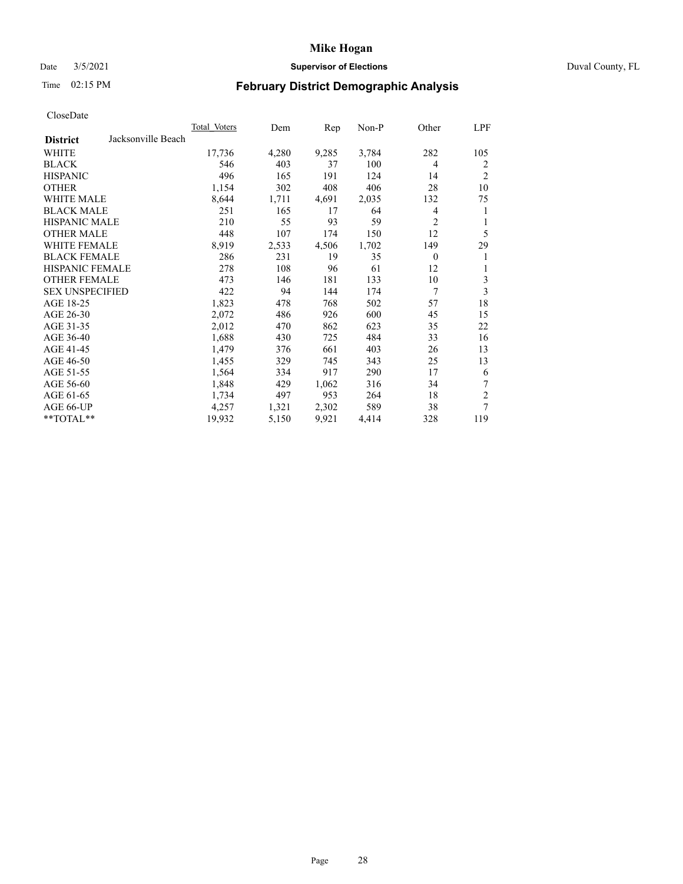# Date 3/5/2021 **Supervisor of Elections** Duval County, FL

# Time 02:15 PM **February District Demographic Analysis**

|                        |                    | <b>Total Voters</b> | Dem   | Rep   | $Non-P$ | Other          | LPF            |
|------------------------|--------------------|---------------------|-------|-------|---------|----------------|----------------|
| <b>District</b>        | Jacksonville Beach |                     |       |       |         |                |                |
| WHITE                  |                    | 17,736              | 4,280 | 9,285 | 3,784   | 282            | 105            |
| <b>BLACK</b>           |                    | 546                 | 403   | 37    | 100     | $\overline{4}$ | 2              |
| <b>HISPANIC</b>        |                    | 496                 | 165   | 191   | 124     | 14             | $\overline{2}$ |
| <b>OTHER</b>           |                    | 1,154               | 302   | 408   | 406     | 28             | 10             |
| <b>WHITE MALE</b>      |                    | 8,644               | 1,711 | 4,691 | 2,035   | 132            | 75             |
| <b>BLACK MALE</b>      |                    | 251                 | 165   | 17    | 64      | 4              | 1              |
| <b>HISPANIC MALE</b>   |                    | 210                 | 55    | 93    | 59      | $\overline{2}$ | 1              |
| <b>OTHER MALE</b>      |                    | 448                 | 107   | 174   | 150     | 12             | 5              |
| WHITE FEMALE           |                    | 8,919               | 2,533 | 4,506 | 1,702   | 149            | 29             |
| <b>BLACK FEMALE</b>    |                    | 286                 | 231   | 19    | 35      | $\theta$       | 1              |
| <b>HISPANIC FEMALE</b> |                    | 278                 | 108   | 96    | 61      | 12             | 1              |
| <b>OTHER FEMALE</b>    |                    | 473                 | 146   | 181   | 133     | 10             | 3              |
| <b>SEX UNSPECIFIED</b> |                    | 422                 | 94    | 144   | 174     | 7              | 3              |
| AGE 18-25              |                    | 1,823               | 478   | 768   | 502     | 57             | 18             |
| AGE 26-30              |                    | 2,072               | 486   | 926   | 600     | 45             | 15             |
| AGE 31-35              |                    | 2,012               | 470   | 862   | 623     | 35             | 22             |
| AGE 36-40              |                    | 1,688               | 430   | 725   | 484     | 33             | 16             |
| AGE 41-45              |                    | 1,479               | 376   | 661   | 403     | 26             | 13             |
| AGE 46-50              |                    | 1,455               | 329   | 745   | 343     | 25             | 13             |
| AGE 51-55              |                    | 1,564               | 334   | 917   | 290     | 17             | 6              |
| AGE 56-60              |                    | 1,848               | 429   | 1,062 | 316     | 34             | 7              |
| AGE 61-65              |                    | 1,734               | 497   | 953   | 264     | 18             | $\mathfrak{2}$ |
| AGE 66-UP              |                    | 4,257               | 1,321 | 2,302 | 589     | 38             | 7              |
| **TOTAL**              |                    | 19,932              | 5,150 | 9,921 | 4,414   | 328            | 119            |
|                        |                    |                     |       |       |         |                |                |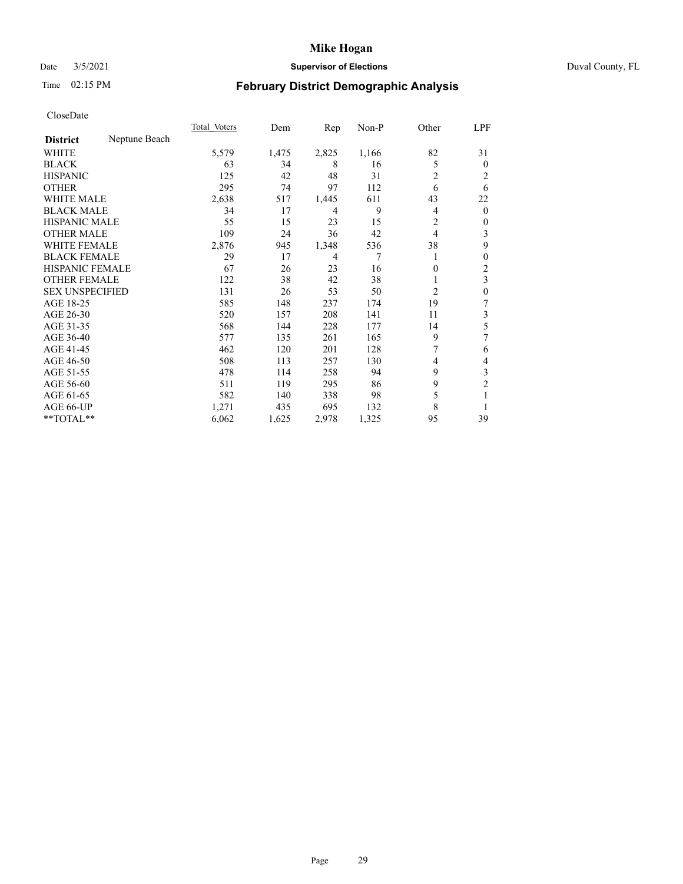# Date 3/5/2021 **Supervisor of Elections** Duval County, FL

# Time 02:15 PM **February District Demographic Analysis**

|                        |               | Total Voters | Dem   | Rep   | Non-P | Other          | LPF              |
|------------------------|---------------|--------------|-------|-------|-------|----------------|------------------|
| <b>District</b>        | Neptune Beach |              |       |       |       |                |                  |
| WHITE                  |               | 5,579        | 1,475 | 2,825 | 1,166 | 82             | 31               |
| <b>BLACK</b>           |               | 63           | 34    | 8     | 16    | 5              | $\overline{0}$   |
| <b>HISPANIC</b>        |               | 125          | 42    | 48    | 31    | 2              | 2                |
| <b>OTHER</b>           |               | 295          | 74    | 97    | 112   | 6              | 6                |
| <b>WHITE MALE</b>      |               | 2,638        | 517   | 1,445 | 611   | 43             | 22               |
| <b>BLACK MALE</b>      |               | 34           | 17    | 4     | 9     | 4              | $\mathbf{0}$     |
| <b>HISPANIC MALE</b>   |               | 55           | 15    | 23    | 15    | 2              | 0                |
| <b>OTHER MALE</b>      |               | 109          | 24    | 36    | 42    | 4              | 3                |
| <b>WHITE FEMALE</b>    |               | 2,876        | 945   | 1,348 | 536   | 38             | 9                |
| <b>BLACK FEMALE</b>    |               | 29           | 17    | 4     | 7     |                | 0                |
| <b>HISPANIC FEMALE</b> |               | 67           | 26    | 23    | 16    | 0              | 2                |
| <b>OTHER FEMALE</b>    |               | 122          | 38    | 42    | 38    |                | 3                |
| <b>SEX UNSPECIFIED</b> |               | 131          | 26    | 53    | 50    | $\overline{c}$ | $\boldsymbol{0}$ |
| AGE 18-25              |               | 585          | 148   | 237   | 174   | 19             | 7                |
| AGE 26-30              |               | 520          | 157   | 208   | 141   | 11             | 3                |
| AGE 31-35              |               | 568          | 144   | 228   | 177   | 14             | 5                |
| AGE 36-40              |               | 577          | 135   | 261   | 165   | 9              | 7                |
| AGE 41-45              |               | 462          | 120   | 201   | 128   |                | 6                |
| AGE 46-50              |               | 508          | 113   | 257   | 130   | 4              | 4                |
| AGE 51-55              |               | 478          | 114   | 258   | 94    | 9              | 3                |
| AGE 56-60              |               | 511          | 119   | 295   | 86    | 9              | $\overline{c}$   |
| AGE 61-65              |               | 582          | 140   | 338   | 98    | 5              | 1                |
| <b>AGE 66-UP</b>       |               | 1,271        | 435   | 695   | 132   | 8              |                  |
| **TOTAL**              |               | 6,062        | 1,625 | 2,978 | 1,325 | 95             | 39               |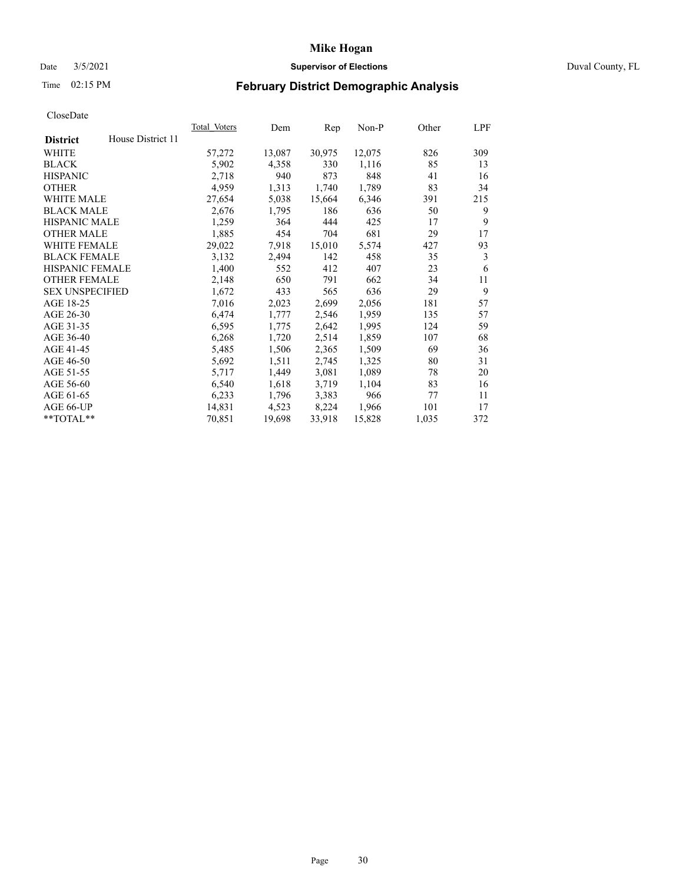# Date 3/5/2021 **Supervisor of Elections** Duval County, FL

# Time 02:15 PM **February District Demographic Analysis**

|                        |                   | Total Voters | Dem    | Rep    | Non-P  | Other | LPF |
|------------------------|-------------------|--------------|--------|--------|--------|-------|-----|
| <b>District</b>        | House District 11 |              |        |        |        |       |     |
| WHITE                  |                   | 57,272       | 13,087 | 30,975 | 12,075 | 826   | 309 |
| <b>BLACK</b>           |                   | 5,902        | 4,358  | 330    | 1,116  | 85    | 13  |
| <b>HISPANIC</b>        |                   | 2,718        | 940    | 873    | 848    | 41    | 16  |
| <b>OTHER</b>           |                   | 4,959        | 1,313  | 1,740  | 1,789  | 83    | 34  |
| WHITE MALE             |                   | 27,654       | 5,038  | 15,664 | 6,346  | 391   | 215 |
| <b>BLACK MALE</b>      |                   | 2,676        | 1,795  | 186    | 636    | 50    | 9   |
| <b>HISPANIC MALE</b>   |                   | 1,259        | 364    | 444    | 425    | 17    | 9   |
| <b>OTHER MALE</b>      |                   | 1,885        | 454    | 704    | 681    | 29    | 17  |
| WHITE FEMALE           |                   | 29,022       | 7,918  | 15,010 | 5,574  | 427   | 93  |
| <b>BLACK FEMALE</b>    |                   | 3,132        | 2,494  | 142    | 458    | 35    | 3   |
| <b>HISPANIC FEMALE</b> |                   | 1,400        | 552    | 412    | 407    | 23    | 6   |
| <b>OTHER FEMALE</b>    |                   | 2,148        | 650    | 791    | 662    | 34    | 11  |
| <b>SEX UNSPECIFIED</b> |                   | 1,672        | 433    | 565    | 636    | 29    | 9   |
| AGE 18-25              |                   | 7,016        | 2,023  | 2,699  | 2,056  | 181   | 57  |
| AGE 26-30              |                   | 6,474        | 1,777  | 2,546  | 1,959  | 135   | 57  |
| AGE 31-35              |                   | 6,595        | 1,775  | 2,642  | 1,995  | 124   | 59  |
| AGE 36-40              |                   | 6,268        | 1,720  | 2,514  | 1,859  | 107   | 68  |
| AGE 41-45              |                   | 5,485        | 1,506  | 2,365  | 1,509  | 69    | 36  |
| AGE 46-50              |                   | 5,692        | 1,511  | 2,745  | 1,325  | 80    | 31  |
| AGE 51-55              |                   | 5,717        | 1,449  | 3,081  | 1,089  | 78    | 20  |
| AGE 56-60              |                   | 6,540        | 1,618  | 3,719  | 1,104  | 83    | 16  |
| AGE 61-65              |                   | 6,233        | 1,796  | 3,383  | 966    | 77    | 11  |
| AGE 66-UP              |                   | 14,831       | 4,523  | 8,224  | 1,966  | 101   | 17  |
| $*$ TOTAL $*$          |                   | 70,851       | 19,698 | 33,918 | 15,828 | 1,035 | 372 |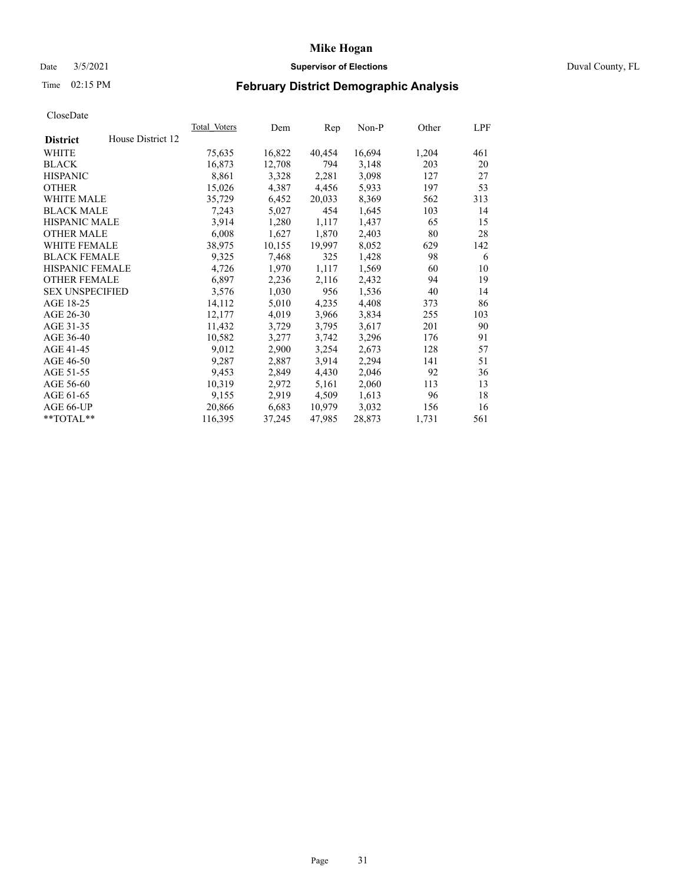# Date 3/5/2021 **Supervisor of Elections** Duval County, FL

# Time 02:15 PM **February District Demographic Analysis**

|                        |                   | Total Voters | Dem    | Rep    | Non-P  | Other | LPF |
|------------------------|-------------------|--------------|--------|--------|--------|-------|-----|
| <b>District</b>        | House District 12 |              |        |        |        |       |     |
| WHITE                  |                   | 75,635       | 16,822 | 40,454 | 16,694 | 1,204 | 461 |
| <b>BLACK</b>           |                   | 16,873       | 12,708 | 794    | 3,148  | 203   | 20  |
| <b>HISPANIC</b>        |                   | 8,861        | 3,328  | 2,281  | 3,098  | 127   | 27  |
| <b>OTHER</b>           |                   | 15,026       | 4,387  | 4,456  | 5,933  | 197   | 53  |
| <b>WHITE MALE</b>      |                   | 35,729       | 6,452  | 20,033 | 8,369  | 562   | 313 |
| <b>BLACK MALE</b>      |                   | 7,243        | 5,027  | 454    | 1,645  | 103   | 14  |
| <b>HISPANIC MALE</b>   |                   | 3,914        | 1,280  | 1,117  | 1,437  | 65    | 15  |
| <b>OTHER MALE</b>      |                   | 6,008        | 1,627  | 1,870  | 2,403  | 80    | 28  |
| <b>WHITE FEMALE</b>    |                   | 38,975       | 10,155 | 19,997 | 8,052  | 629   | 142 |
| <b>BLACK FEMALE</b>    |                   | 9,325        | 7,468  | 325    | 1,428  | 98    | 6   |
| <b>HISPANIC FEMALE</b> |                   | 4,726        | 1,970  | 1,117  | 1,569  | 60    | 10  |
| <b>OTHER FEMALE</b>    |                   | 6,897        | 2,236  | 2,116  | 2,432  | 94    | 19  |
| <b>SEX UNSPECIFIED</b> |                   | 3,576        | 1,030  | 956    | 1,536  | 40    | 14  |
| AGE 18-25              |                   | 14,112       | 5,010  | 4,235  | 4,408  | 373   | 86  |
| AGE 26-30              |                   | 12,177       | 4,019  | 3,966  | 3,834  | 255   | 103 |
| AGE 31-35              |                   | 11,432       | 3,729  | 3,795  | 3,617  | 201   | 90  |
| AGE 36-40              |                   | 10,582       | 3,277  | 3,742  | 3,296  | 176   | 91  |
| AGE 41-45              |                   | 9,012        | 2,900  | 3,254  | 2,673  | 128   | 57  |
| AGE 46-50              |                   | 9,287        | 2,887  | 3,914  | 2,294  | 141   | 51  |
| AGE 51-55              |                   | 9,453        | 2,849  | 4,430  | 2,046  | 92    | 36  |
| AGE 56-60              |                   | 10,319       | 2,972  | 5,161  | 2,060  | 113   | 13  |
| AGE 61-65              |                   | 9,155        | 2,919  | 4,509  | 1,613  | 96    | 18  |
| AGE 66-UP              |                   | 20,866       | 6,683  | 10,979 | 3,032  | 156   | 16  |
| $*$ TOTAL $*$          |                   | 116,395      | 37,245 | 47,985 | 28,873 | 1,731 | 561 |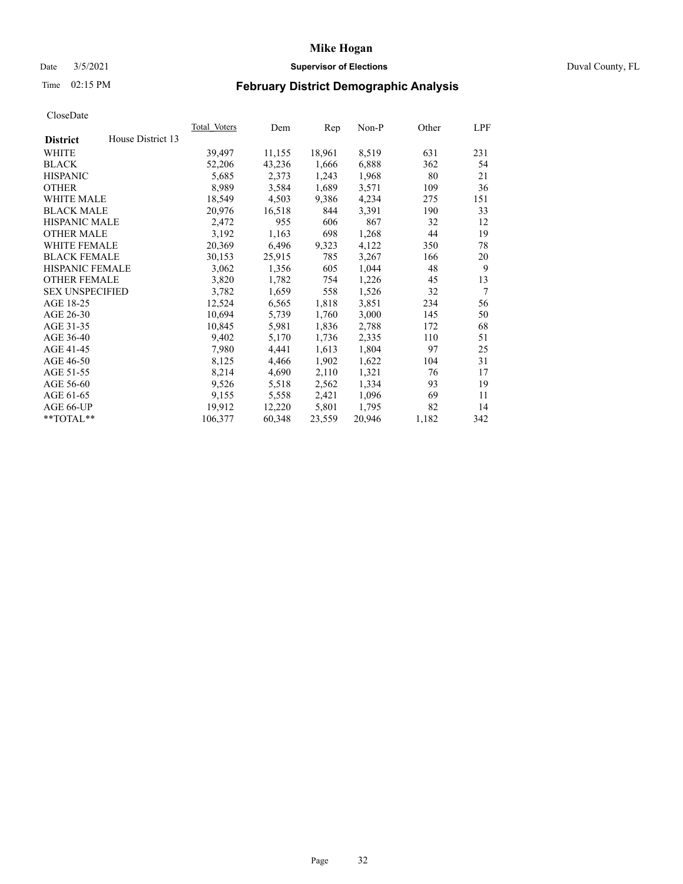# Date 3/5/2021 **Supervisor of Elections** Duval County, FL

# Time 02:15 PM **February District Demographic Analysis**

| Total Voters | Dem    | Rep    | $Non-P$ | Other | LPF             |
|--------------|--------|--------|---------|-------|-----------------|
|              |        |        |         |       |                 |
| 39,497       | 11,155 | 18,961 | 8,519   | 631   | 231             |
| 52,206       | 43,236 | 1,666  | 6,888   | 362   | 54              |
| 5,685        | 2,373  | 1,243  | 1,968   | 80    | 21              |
| 8,989        | 3,584  | 1,689  | 3,571   | 109   | 36              |
| 18,549       | 4,503  | 9,386  | 4,234   | 275   | 151             |
| 20,976       | 16,518 | 844    | 3,391   | 190   | 33              |
| 2,472        | 955    | 606    | 867     | 32    | 12              |
| 3,192        | 1,163  | 698    | 1,268   | 44    | 19              |
| 20,369       | 6,496  | 9,323  | 4,122   | 350   | 78              |
| 30,153       | 25,915 | 785    | 3,267   | 166   | 20              |
| 3,062        | 1,356  | 605    | 1,044   | 48    | 9               |
| 3,820        | 1,782  | 754    | 1,226   | 45    | 13              |
| 3,782        | 1,659  | 558    | 1,526   | 32    | $7\phantom{.0}$ |
| 12,524       | 6,565  | 1,818  | 3,851   | 234   | 56              |
| 10,694       | 5,739  | 1,760  | 3,000   | 145   | 50              |
| 10,845       | 5,981  | 1,836  | 2,788   | 172   | 68              |
| 9,402        | 5,170  | 1,736  | 2,335   | 110   | 51              |
| 7,980        | 4,441  | 1,613  | 1,804   | 97    | 25              |
| 8,125        | 4,466  | 1,902  | 1,622   | 104   | 31              |
| 8,214        | 4,690  | 2,110  | 1,321   | 76    | 17              |
| 9,526        | 5,518  | 2,562  | 1,334   | 93    | 19              |
| 9,155        | 5,558  | 2,421  | 1,096   | 69    | 11              |
| 19,912       | 12,220 | 5,801  | 1,795   | 82    | 14              |
| 106,377      | 60,348 | 23,559 | 20,946  | 1,182 | 342             |
|              |        |        |         |       |                 |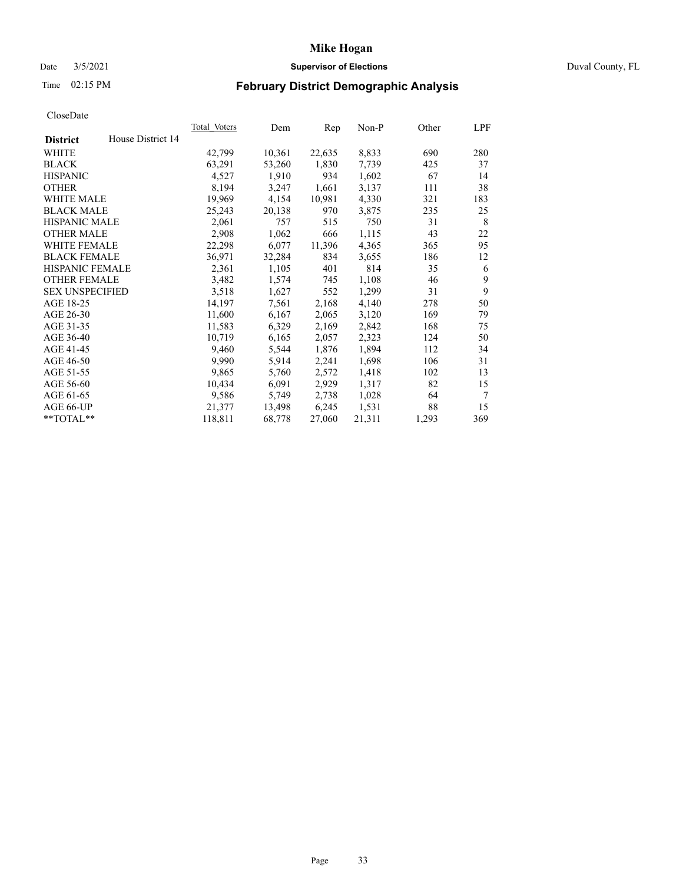# Date 3/5/2021 **Supervisor of Elections** Duval County, FL

# Time 02:15 PM **February District Demographic Analysis**

|                        |                   | <b>Total Voters</b> | Dem    | Rep    | $Non-P$ | Other | LPF |
|------------------------|-------------------|---------------------|--------|--------|---------|-------|-----|
| <b>District</b>        | House District 14 |                     |        |        |         |       |     |
| WHITE                  |                   | 42,799              | 10,361 | 22,635 | 8,833   | 690   | 280 |
| <b>BLACK</b>           |                   | 63,291              | 53,260 | 1,830  | 7,739   | 425   | 37  |
| <b>HISPANIC</b>        |                   | 4,527               | 1,910  | 934    | 1,602   | 67    | 14  |
| <b>OTHER</b>           |                   | 8,194               | 3,247  | 1,661  | 3,137   | 111   | 38  |
| WHITE MALE             |                   | 19,969              | 4,154  | 10,981 | 4,330   | 321   | 183 |
| <b>BLACK MALE</b>      |                   | 25,243              | 20,138 | 970    | 3,875   | 235   | 25  |
| <b>HISPANIC MALE</b>   |                   | 2,061               | 757    | 515    | 750     | 31    | 8   |
| <b>OTHER MALE</b>      |                   | 2,908               | 1,062  | 666    | 1,115   | 43    | 22  |
| WHITE FEMALE           |                   | 22,298              | 6,077  | 11,396 | 4,365   | 365   | 95  |
| <b>BLACK FEMALE</b>    |                   | 36,971              | 32,284 | 834    | 3,655   | 186   | 12  |
| HISPANIC FEMALE        |                   | 2,361               | 1,105  | 401    | 814     | 35    | 6   |
| <b>OTHER FEMALE</b>    |                   | 3,482               | 1,574  | 745    | 1,108   | 46    | 9   |
| <b>SEX UNSPECIFIED</b> |                   | 3,518               | 1,627  | 552    | 1,299   | 31    | 9   |
| AGE 18-25              |                   | 14,197              | 7,561  | 2,168  | 4,140   | 278   | 50  |
| AGE 26-30              |                   | 11,600              | 6,167  | 2,065  | 3,120   | 169   | 79  |
| AGE 31-35              |                   | 11,583              | 6,329  | 2,169  | 2,842   | 168   | 75  |
| AGE 36-40              |                   | 10,719              | 6,165  | 2,057  | 2,323   | 124   | 50  |
| AGE 41-45              |                   | 9,460               | 5,544  | 1,876  | 1,894   | 112   | 34  |
| AGE 46-50              |                   | 9,990               | 5,914  | 2,241  | 1,698   | 106   | 31  |
| AGE 51-55              |                   | 9,865               | 5,760  | 2,572  | 1,418   | 102   | 13  |
| AGE 56-60              |                   | 10,434              | 6,091  | 2,929  | 1,317   | 82    | 15  |
| AGE 61-65              |                   | 9,586               | 5,749  | 2,738  | 1,028   | 64    | 7   |
| AGE 66-UP              |                   | 21,377              | 13,498 | 6,245  | 1,531   | 88    | 15  |
| **TOTAL**              |                   | 118,811             | 68,778 | 27,060 | 21,311  | 1,293 | 369 |
|                        |                   |                     |        |        |         |       |     |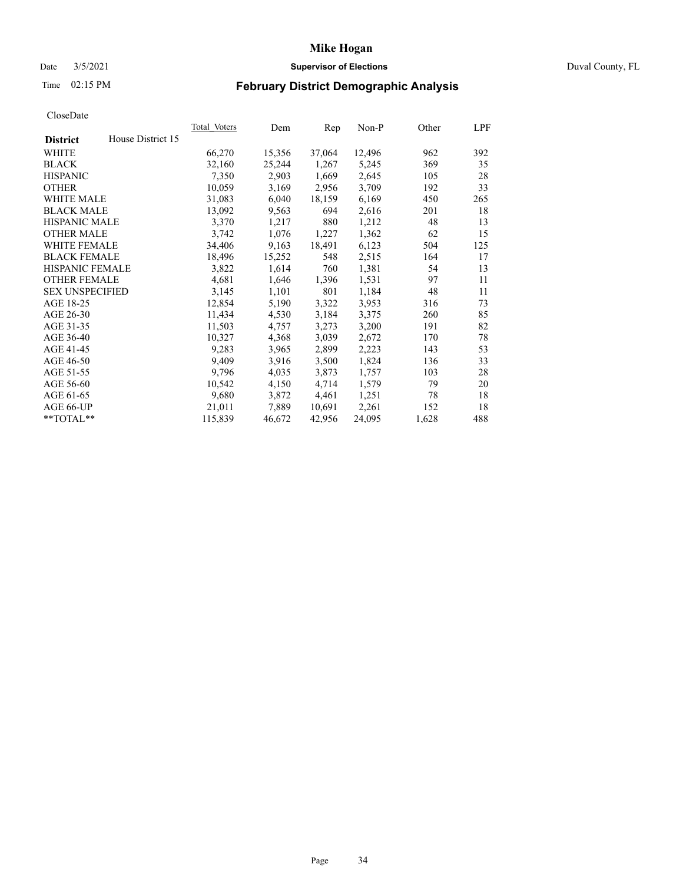# Date 3/5/2021 **Supervisor of Elections** Duval County, FL

# Time 02:15 PM **February District Demographic Analysis**

|                        |                   | Total Voters | Dem    | Rep    | $Non-P$ | Other | LPF |
|------------------------|-------------------|--------------|--------|--------|---------|-------|-----|
| <b>District</b>        | House District 15 |              |        |        |         |       |     |
| WHITE                  |                   | 66,270       | 15,356 | 37,064 | 12,496  | 962   | 392 |
| <b>BLACK</b>           |                   | 32,160       | 25,244 | 1,267  | 5,245   | 369   | 35  |
| <b>HISPANIC</b>        |                   | 7,350        | 2,903  | 1,669  | 2,645   | 105   | 28  |
| <b>OTHER</b>           |                   | 10,059       | 3,169  | 2,956  | 3,709   | 192   | 33  |
| WHITE MALE             |                   | 31,083       | 6,040  | 18,159 | 6,169   | 450   | 265 |
| <b>BLACK MALE</b>      |                   | 13,092       | 9,563  | 694    | 2,616   | 201   | 18  |
| <b>HISPANIC MALE</b>   |                   | 3,370        | 1,217  | 880    | 1,212   | 48    | 13  |
| <b>OTHER MALE</b>      |                   | 3,742        | 1,076  | 1,227  | 1,362   | 62    | 15  |
| WHITE FEMALE           |                   | 34,406       | 9,163  | 18,491 | 6,123   | 504   | 125 |
| <b>BLACK FEMALE</b>    |                   | 18,496       | 15,252 | 548    | 2,515   | 164   | 17  |
| HISPANIC FEMALE        |                   | 3,822        | 1,614  | 760    | 1,381   | 54    | 13  |
| <b>OTHER FEMALE</b>    |                   | 4,681        | 1,646  | 1,396  | 1,531   | 97    | 11  |
| <b>SEX UNSPECIFIED</b> |                   | 3,145        | 1,101  | 801    | 1,184   | 48    | 11  |
| AGE 18-25              |                   | 12,854       | 5,190  | 3,322  | 3,953   | 316   | 73  |
| AGE 26-30              |                   | 11,434       | 4,530  | 3,184  | 3,375   | 260   | 85  |
| AGE 31-35              |                   | 11,503       | 4,757  | 3,273  | 3,200   | 191   | 82  |
| AGE 36-40              |                   | 10,327       | 4,368  | 3,039  | 2,672   | 170   | 78  |
| AGE 41-45              |                   | 9,283        | 3,965  | 2,899  | 2,223   | 143   | 53  |
| AGE 46-50              |                   | 9,409        | 3,916  | 3,500  | 1,824   | 136   | 33  |
| AGE 51-55              |                   | 9,796        | 4,035  | 3,873  | 1,757   | 103   | 28  |
| AGE 56-60              |                   | 10,542       | 4,150  | 4,714  | 1,579   | 79    | 20  |
| AGE 61-65              |                   | 9,680        | 3,872  | 4,461  | 1,251   | 78    | 18  |
| AGE 66-UP              |                   | 21,011       | 7,889  | 10,691 | 2,261   | 152   | 18  |
| **TOTAL**              |                   | 115,839      | 46,672 | 42,956 | 24,095  | 1,628 | 488 |
|                        |                   |              |        |        |         |       |     |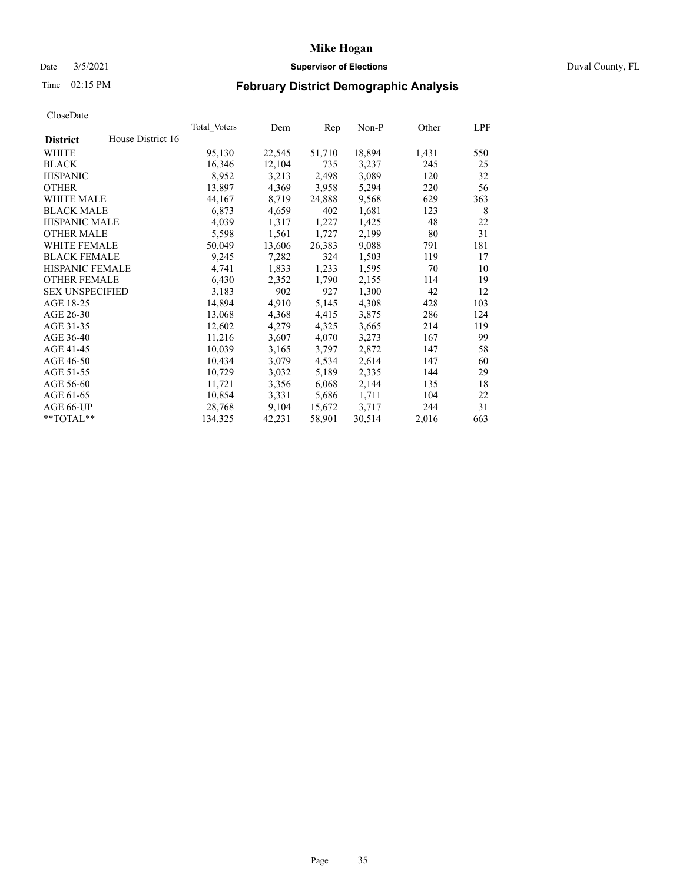# Date 3/5/2021 **Supervisor of Elections** Duval County, FL

# Time 02:15 PM **February District Demographic Analysis**

|                        |                   | Total Voters | Dem    | Rep    | Non-P  | Other | LPF |
|------------------------|-------------------|--------------|--------|--------|--------|-------|-----|
| <b>District</b>        | House District 16 |              |        |        |        |       |     |
| WHITE                  |                   | 95,130       | 22,545 | 51,710 | 18,894 | 1,431 | 550 |
| <b>BLACK</b>           |                   | 16,346       | 12,104 | 735    | 3,237  | 245   | 25  |
| <b>HISPANIC</b>        |                   | 8,952        | 3,213  | 2,498  | 3,089  | 120   | 32  |
| <b>OTHER</b>           |                   | 13,897       | 4,369  | 3,958  | 5,294  | 220   | 56  |
| WHITE MALE             |                   | 44,167       | 8,719  | 24,888 | 9,568  | 629   | 363 |
| <b>BLACK MALE</b>      |                   | 6,873        | 4,659  | 402    | 1,681  | 123   | 8   |
| <b>HISPANIC MALE</b>   |                   | 4,039        | 1,317  | 1,227  | 1,425  | 48    | 22  |
| <b>OTHER MALE</b>      |                   | 5,598        | 1,561  | 1,727  | 2,199  | 80    | 31  |
| <b>WHITE FEMALE</b>    |                   | 50,049       | 13,606 | 26,383 | 9,088  | 791   | 181 |
| <b>BLACK FEMALE</b>    |                   | 9,245        | 7,282  | 324    | 1,503  | 119   | 17  |
| <b>HISPANIC FEMALE</b> |                   | 4,741        | 1,833  | 1,233  | 1,595  | 70    | 10  |
| <b>OTHER FEMALE</b>    |                   | 6,430        | 2,352  | 1,790  | 2,155  | 114   | 19  |
| <b>SEX UNSPECIFIED</b> |                   | 3,183        | 902    | 927    | 1,300  | 42    | 12  |
| AGE 18-25              |                   | 14,894       | 4,910  | 5,145  | 4,308  | 428   | 103 |
| AGE 26-30              |                   | 13,068       | 4,368  | 4,415  | 3,875  | 286   | 124 |
| AGE 31-35              |                   | 12,602       | 4,279  | 4,325  | 3,665  | 214   | 119 |
| AGE 36-40              |                   | 11,216       | 3,607  | 4,070  | 3,273  | 167   | 99  |
| AGE 41-45              |                   | 10,039       | 3,165  | 3,797  | 2,872  | 147   | 58  |
| AGE 46-50              |                   | 10,434       | 3,079  | 4,534  | 2,614  | 147   | 60  |
| AGE 51-55              |                   | 10,729       | 3,032  | 5,189  | 2,335  | 144   | 29  |
| AGE 56-60              |                   | 11,721       | 3,356  | 6,068  | 2,144  | 135   | 18  |
| AGE 61-65              |                   | 10,854       | 3,331  | 5,686  | 1,711  | 104   | 22  |
| AGE 66-UP              |                   | 28,768       | 9,104  | 15,672 | 3,717  | 244   | 31  |
| $*$ TOTAL $*$          |                   | 134,325      | 42,231 | 58,901 | 30,514 | 2,016 | 663 |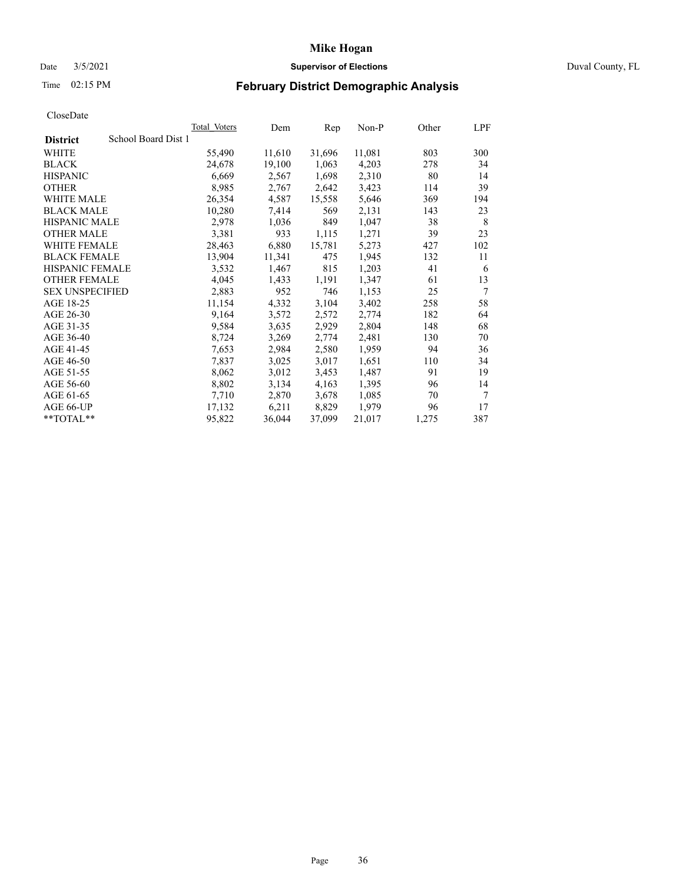# Date 3/5/2021 **Supervisor of Elections** Duval County, FL

# Time 02:15 PM **February District Demographic Analysis**

|                        |                     | <b>Total Voters</b> | Dem    | Rep    | Non-P  | Other | LPF    |
|------------------------|---------------------|---------------------|--------|--------|--------|-------|--------|
| <b>District</b>        | School Board Dist 1 |                     |        |        |        |       |        |
| WHITE                  |                     | 55,490              | 11,610 | 31,696 | 11,081 | 803   | 300    |
| <b>BLACK</b>           |                     | 24,678              | 19,100 | 1,063  | 4,203  | 278   | 34     |
| <b>HISPANIC</b>        |                     | 6,669               | 2,567  | 1,698  | 2,310  | 80    | 14     |
| <b>OTHER</b>           |                     | 8,985               | 2,767  | 2,642  | 3,423  | 114   | 39     |
| WHITE MALE             |                     | 26,354              | 4,587  | 15,558 | 5,646  | 369   | 194    |
| <b>BLACK MALE</b>      |                     | 10,280              | 7,414  | 569    | 2,131  | 143   | 23     |
| <b>HISPANIC MALE</b>   |                     | 2,978               | 1,036  | 849    | 1,047  | 38    | 8      |
| <b>OTHER MALE</b>      |                     | 3,381               | 933    | 1,115  | 1,271  | 39    | 23     |
| <b>WHITE FEMALE</b>    |                     | 28,463              | 6,880  | 15,781 | 5,273  | 427   | 102    |
| <b>BLACK FEMALE</b>    |                     | 13,904              | 11,341 | 475    | 1,945  | 132   | 11     |
| HISPANIC FEMALE        |                     | 3,532               | 1,467  | 815    | 1,203  | 41    | 6      |
| <b>OTHER FEMALE</b>    |                     | 4,045               | 1,433  | 1,191  | 1,347  | 61    | 13     |
| <b>SEX UNSPECIFIED</b> |                     | 2,883               | 952    | 746    | 1,153  | 25    | 7      |
| AGE 18-25              |                     | 11,154              | 4,332  | 3,104  | 3,402  | 258   | 58     |
| AGE 26-30              |                     | 9,164               | 3,572  | 2,572  | 2,774  | 182   | 64     |
| AGE 31-35              |                     | 9,584               | 3,635  | 2,929  | 2,804  | 148   | 68     |
| AGE 36-40              |                     | 8,724               | 3,269  | 2,774  | 2,481  | 130   | 70     |
| AGE 41-45              |                     | 7,653               | 2,984  | 2,580  | 1,959  | 94    | 36     |
| AGE 46-50              |                     | 7,837               | 3,025  | 3,017  | 1,651  | 110   | 34     |
| AGE 51-55              |                     | 8,062               | 3,012  | 3,453  | 1,487  | 91    | 19     |
| AGE 56-60              |                     | 8,802               | 3,134  | 4,163  | 1,395  | 96    | 14     |
| AGE 61-65              |                     | 7,710               | 2,870  | 3,678  | 1,085  | 70    | $\tau$ |
| AGE 66-UP              |                     | 17,132              | 6,211  | 8,829  | 1,979  | 96    | 17     |
| $*$ TOTAL $*$          |                     | 95,822              | 36,044 | 37,099 | 21,017 | 1,275 | 387    |
|                        |                     |                     |        |        |        |       |        |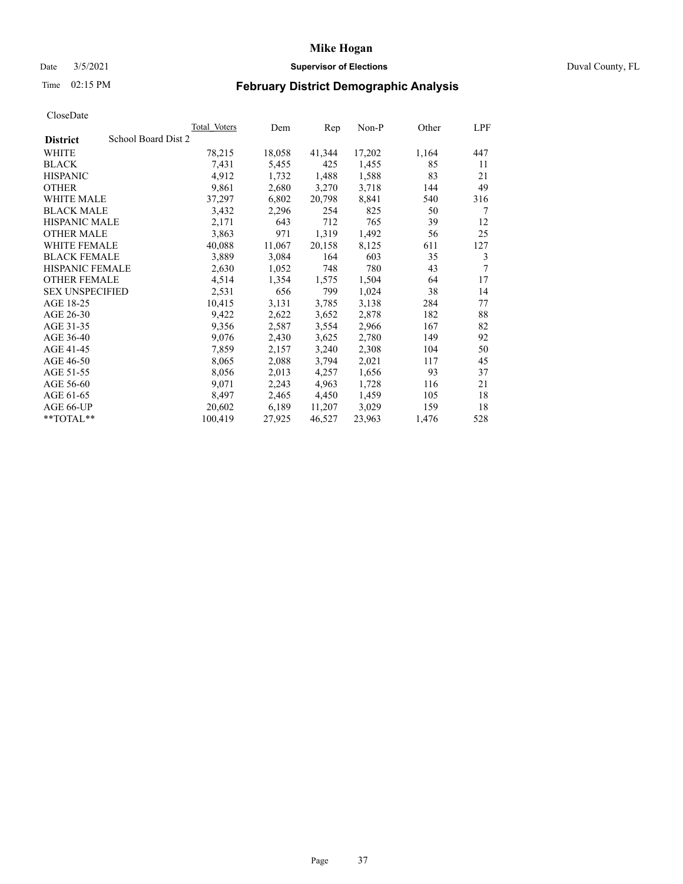# Date 3/5/2021 **Supervisor of Elections** Duval County, FL

# Time 02:15 PM **February District Demographic Analysis**

| Total Voters | Dem                 | Rep    | $Non-P$ | Other | LPF |
|--------------|---------------------|--------|---------|-------|-----|
|              |                     |        |         |       |     |
| 78,215       | 18,058              | 41,344 | 17,202  | 1,164 | 447 |
| 7,431        | 5,455               | 425    | 1,455   | 85    | 11  |
| 4,912        | 1,732               | 1,488  | 1,588   | 83    | 21  |
| 9,861        | 2,680               | 3,270  | 3,718   | 144   | 49  |
| 37,297       | 6,802               | 20,798 | 8,841   | 540   | 316 |
| 3,432        | 2,296               | 254    | 825     | 50    | 7   |
| 2,171        | 643                 | 712    | 765     | 39    | 12  |
| 3,863        | 971                 | 1,319  | 1,492   | 56    | 25  |
| 40,088       | 11,067              | 20,158 | 8,125   | 611   | 127 |
| 3,889        | 3,084               | 164    | 603     | 35    | 3   |
| 2,630        | 1,052               | 748    | 780     | 43    | 7   |
| 4,514        | 1,354               | 1,575  | 1,504   | 64    | 17  |
| 2,531        | 656                 | 799    | 1,024   | 38    | 14  |
| 10,415       | 3,131               | 3,785  | 3,138   | 284   | 77  |
| 9,422        | 2,622               | 3,652  | 2,878   | 182   | 88  |
| 9,356        | 2,587               | 3,554  | 2,966   | 167   | 82  |
| 9,076        | 2,430               | 3,625  | 2,780   | 149   | 92  |
| 7,859        | 2,157               | 3,240  | 2,308   | 104   | 50  |
| 8,065        | 2,088               | 3,794  | 2,021   | 117   | 45  |
| 8,056        | 2,013               | 4,257  | 1,656   | 93    | 37  |
| 9,071        | 2,243               | 4,963  | 1,728   | 116   | 21  |
| 8,497        | 2,465               | 4,450  | 1,459   | 105   | 18  |
| 20,602       | 6,189               | 11,207 | 3,029   | 159   | 18  |
| 100,419      | 27,925              | 46,527 | 23,963  | 1,476 | 528 |
|              | School Board Dist 2 |        |         |       |     |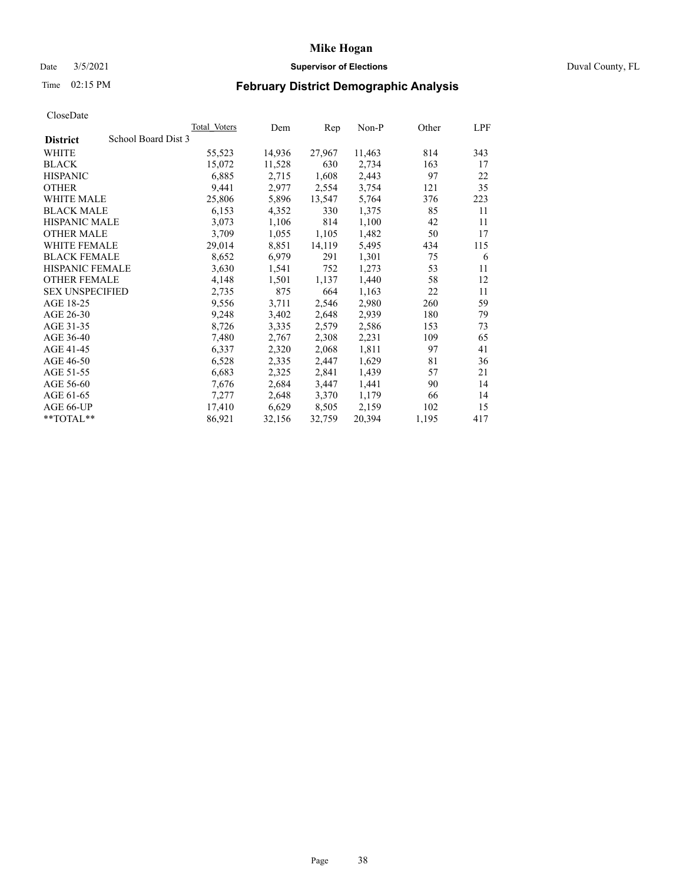# Date 3/5/2021 **Supervisor of Elections** Duval County, FL

# Time 02:15 PM **February District Demographic Analysis**

|                        |                     | Total Voters | Dem    | Rep    | $Non-P$ | Other | LPF |
|------------------------|---------------------|--------------|--------|--------|---------|-------|-----|
| <b>District</b>        | School Board Dist 3 |              |        |        |         |       |     |
| WHITE                  |                     | 55,523       | 14,936 | 27,967 | 11,463  | 814   | 343 |
| <b>BLACK</b>           |                     | 15,072       | 11,528 | 630    | 2,734   | 163   | 17  |
| <b>HISPANIC</b>        |                     | 6,885        | 2,715  | 1,608  | 2,443   | 97    | 22  |
| <b>OTHER</b>           |                     | 9,441        | 2,977  | 2,554  | 3,754   | 121   | 35  |
| WHITE MALE             |                     | 25,806       | 5,896  | 13,547 | 5,764   | 376   | 223 |
| <b>BLACK MALE</b>      |                     | 6,153        | 4,352  | 330    | 1,375   | 85    | 11  |
| <b>HISPANIC MALE</b>   |                     | 3,073        | 1,106  | 814    | 1,100   | 42    | 11  |
| <b>OTHER MALE</b>      |                     | 3,709        | 1,055  | 1,105  | 1,482   | 50    | 17  |
| <b>WHITE FEMALE</b>    |                     | 29,014       | 8,851  | 14,119 | 5,495   | 434   | 115 |
| <b>BLACK FEMALE</b>    |                     | 8,652        | 6,979  | 291    | 1,301   | 75    | 6   |
| <b>HISPANIC FEMALE</b> |                     | 3,630        | 1,541  | 752    | 1,273   | 53    | 11  |
| <b>OTHER FEMALE</b>    |                     | 4,148        | 1,501  | 1,137  | 1,440   | 58    | 12  |
| <b>SEX UNSPECIFIED</b> |                     | 2,735        | 875    | 664    | 1,163   | 22    | 11  |
| AGE 18-25              |                     | 9,556        | 3,711  | 2,546  | 2,980   | 260   | 59  |
| AGE 26-30              |                     | 9,248        | 3,402  | 2,648  | 2,939   | 180   | 79  |
| AGE 31-35              |                     | 8,726        | 3,335  | 2,579  | 2,586   | 153   | 73  |
| AGE 36-40              |                     | 7,480        | 2,767  | 2,308  | 2,231   | 109   | 65  |
| AGE 41-45              |                     | 6,337        | 2,320  | 2,068  | 1,811   | 97    | 41  |
| AGE 46-50              |                     | 6,528        | 2,335  | 2,447  | 1,629   | 81    | 36  |
| AGE 51-55              |                     | 6,683        | 2,325  | 2,841  | 1,439   | 57    | 21  |
| AGE 56-60              |                     | 7,676        | 2,684  | 3,447  | 1,441   | 90    | 14  |
| AGE 61-65              |                     | 7,277        | 2,648  | 3,370  | 1,179   | 66    | 14  |
| AGE 66-UP              |                     | 17,410       | 6,629  | 8,505  | 2,159   | 102   | 15  |
| **TOTAL**              |                     | 86,921       | 32,156 | 32,759 | 20,394  | 1,195 | 417 |
|                        |                     |              |        |        |         |       |     |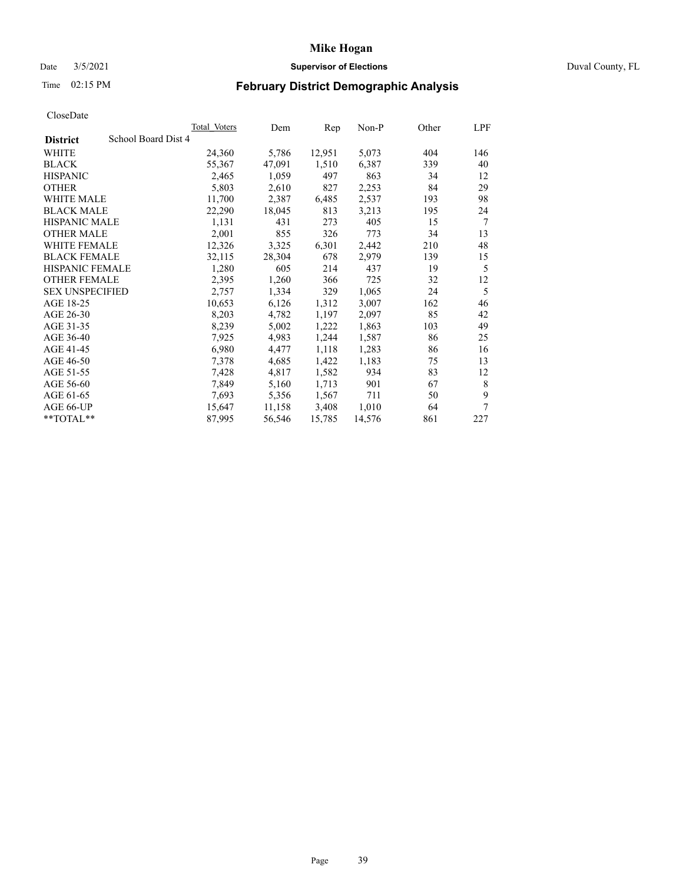# Date 3/5/2021 **Supervisor of Elections** Duval County, FL

# Time 02:15 PM **February District Demographic Analysis**

| <b>Total Voters</b> | Dem                 | Rep    | $Non-P$ | Other | LPF |
|---------------------|---------------------|--------|---------|-------|-----|
|                     |                     |        |         |       |     |
| 24,360              | 5,786               | 12,951 | 5,073   | 404   | 146 |
| 55,367              | 47,091              | 1,510  | 6,387   | 339   | 40  |
| 2,465               | 1,059               | 497    | 863     | 34    | 12  |
| 5,803               | 2,610               | 827    | 2,253   | 84    | 29  |
| 11,700              | 2,387               | 6,485  | 2,537   | 193   | 98  |
| 22,290              | 18,045              | 813    | 3,213   | 195   | 24  |
| 1,131               | 431                 | 273    | 405     | 15    | 7   |
| 2,001               | 855                 | 326    | 773     | 34    | 13  |
| 12,326              | 3,325               | 6,301  | 2,442   | 210   | 48  |
| 32,115              | 28,304              | 678    | 2,979   | 139   | 15  |
| 1,280               | 605                 | 214    | 437     | 19    | 5   |
| 2,395               | 1,260               | 366    | 725     | 32    | 12  |
| 2,757               | 1,334               | 329    | 1,065   | 24    | 5   |
| 10,653              | 6,126               | 1,312  | 3,007   | 162   | 46  |
| 8,203               | 4,782               | 1,197  | 2,097   | 85    | 42  |
| 8,239               | 5,002               | 1,222  | 1,863   | 103   | 49  |
| 7,925               | 4,983               | 1,244  | 1,587   | 86    | 25  |
| 6,980               | 4,477               | 1,118  | 1,283   | 86    | 16  |
| 7,378               | 4,685               | 1,422  | 1,183   | 75    | 13  |
| 7,428               | 4,817               | 1,582  | 934     | 83    | 12  |
| 7,849               | 5,160               | 1,713  | 901     | 67    | 8   |
| 7,693               | 5,356               | 1,567  | 711     | 50    | 9   |
| 15,647              | 11,158              | 3,408  | 1,010   | 64    | 7   |
| 87,995              | 56,546              | 15,785 | 14,576  | 861   | 227 |
|                     | School Board Dist 4 |        |         |       |     |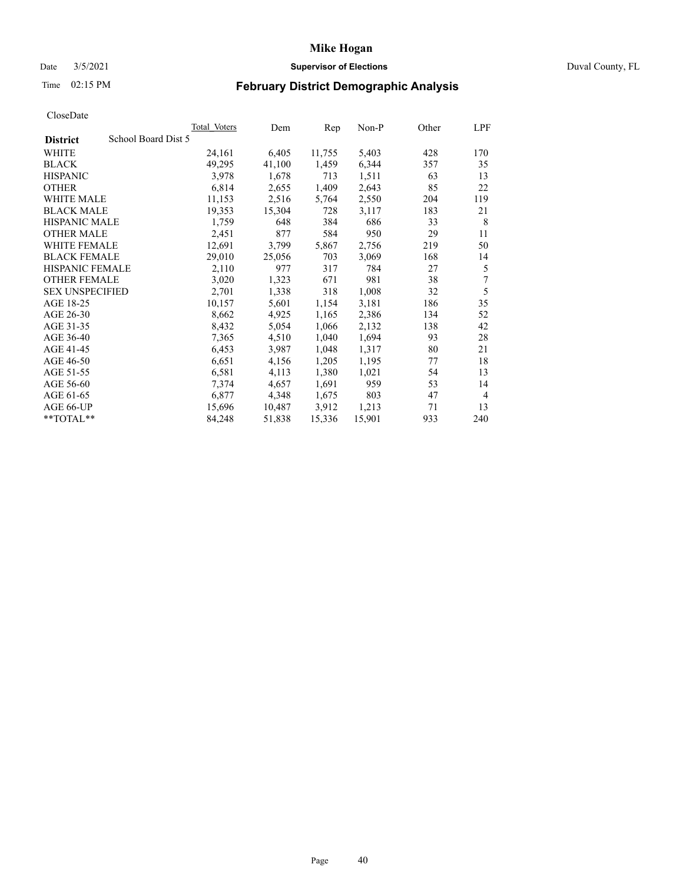# Date 3/5/2021 **Supervisor of Elections** Duval County, FL

# Time 02:15 PM **February District Demographic Analysis**

|                                        | Total Voters | Dem    | Rep    | $Non-P$ | Other | LPF            |
|----------------------------------------|--------------|--------|--------|---------|-------|----------------|
| School Board Dist 5<br><b>District</b> |              |        |        |         |       |                |
| WHITE                                  | 24,161       | 6,405  | 11,755 | 5,403   | 428   | 170            |
| <b>BLACK</b>                           | 49,295       | 41,100 | 1,459  | 6,344   | 357   | 35             |
| <b>HISPANIC</b>                        | 3,978        | 1,678  | 713    | 1,511   | 63    | 13             |
| <b>OTHER</b>                           | 6,814        | 2,655  | 1,409  | 2,643   | 85    | 22             |
| WHITE MALE                             | 11,153       | 2,516  | 5,764  | 2,550   | 204   | 119            |
| <b>BLACK MALE</b>                      | 19,353       | 15,304 | 728    | 3,117   | 183   | 21             |
| <b>HISPANIC MALE</b>                   | 1,759        | 648    | 384    | 686     | 33    | 8              |
| <b>OTHER MALE</b>                      | 2,451        | 877    | 584    | 950     | 29    | 11             |
| <b>WHITE FEMALE</b>                    | 12,691       | 3,799  | 5,867  | 2,756   | 219   | 50             |
| <b>BLACK FEMALE</b>                    | 29,010       | 25,056 | 703    | 3,069   | 168   | 14             |
| HISPANIC FEMALE                        | 2,110        | 977    | 317    | 784     | 27    | 5              |
| <b>OTHER FEMALE</b>                    | 3,020        | 1,323  | 671    | 981     | 38    | 7              |
| <b>SEX UNSPECIFIED</b>                 | 2,701        | 1,338  | 318    | 1,008   | 32    | 5              |
| AGE 18-25                              | 10,157       | 5,601  | 1,154  | 3,181   | 186   | 35             |
| AGE 26-30                              | 8,662        | 4,925  | 1,165  | 2,386   | 134   | 52             |
| AGE 31-35                              | 8,432        | 5,054  | 1,066  | 2,132   | 138   | 42             |
| AGE 36-40                              | 7,365        | 4,510  | 1,040  | 1,694   | 93    | 28             |
| AGE 41-45                              | 6,453        | 3,987  | 1,048  | 1,317   | 80    | 21             |
| AGE 46-50                              | 6,651        | 4,156  | 1,205  | 1,195   | 77    | 18             |
| AGE 51-55                              | 6,581        | 4,113  | 1,380  | 1,021   | 54    | 13             |
| AGE 56-60                              | 7,374        | 4,657  | 1,691  | 959     | 53    | 14             |
| AGE 61-65                              | 6,877        | 4,348  | 1,675  | 803     | 47    | $\overline{4}$ |
| AGE 66-UP                              | 15,696       | 10,487 | 3,912  | 1,213   | 71    | 13             |
| **TOTAL**                              | 84,248       | 51,838 | 15,336 | 15,901  | 933   | 240            |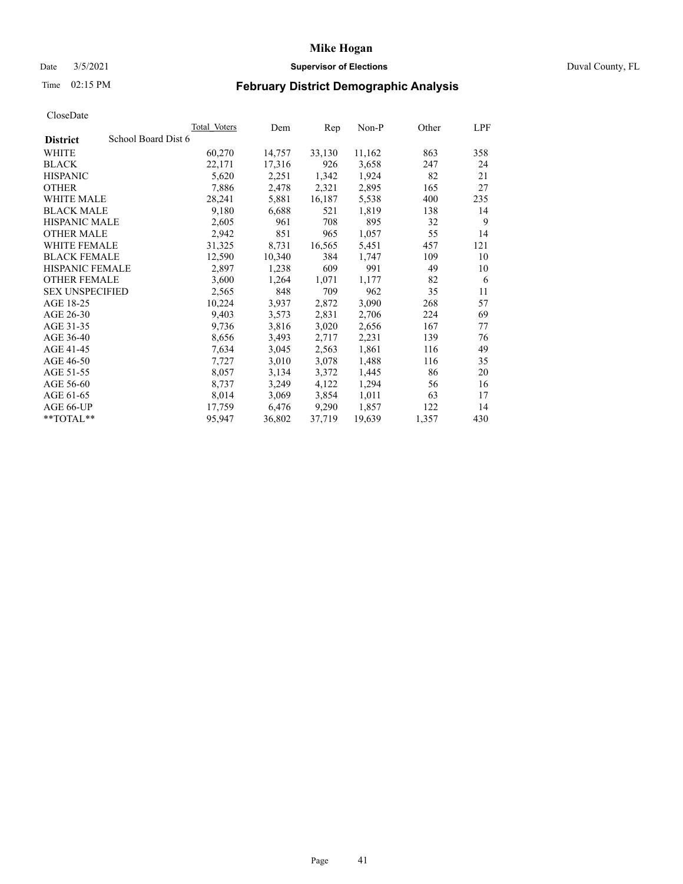# Date 3/5/2021 **Supervisor of Elections** Duval County, FL

# Time 02:15 PM **February District Demographic Analysis**

| ⊂i∪əviJuw              |                     |              |        |        |        |       |     |
|------------------------|---------------------|--------------|--------|--------|--------|-------|-----|
|                        |                     | Total Voters | Dem    | Rep    | Non-P  | Other | LPF |
| <b>District</b>        | School Board Dist 6 |              |        |        |        |       |     |
| <b>WHITE</b>           |                     | 60,270       | 14,757 | 33,130 | 11,162 | 863   | 358 |
| <b>BLACK</b>           |                     | 22,171       | 17,316 | 926    | 3,658  | 247   | 24  |
| <b>HISPANIC</b>        |                     | 5,620        | 2,251  | 1,342  | 1,924  | 82    | 21  |
| <b>OTHER</b>           |                     | 7,886        | 2,478  | 2,321  | 2,895  | 165   | 27  |
| <b>WHITE MALE</b>      |                     | 28,241       | 5,881  | 16,187 | 5,538  | 400   | 235 |
| <b>BLACK MALE</b>      |                     | 9,180        | 6,688  | 521    | 1,819  | 138   | 14  |
| <b>HISPANIC MALE</b>   |                     | 2,605        | 961    | 708    | 895    | 32    | 9   |
| <b>OTHER MALE</b>      |                     | 2,942        | 851    | 965    | 1,057  | 55    | 14  |
| <b>WHITE FEMALE</b>    |                     | 31,325       | 8,731  | 16,565 | 5,451  | 457   | 121 |
| <b>BLACK FEMALE</b>    |                     | 12,590       | 10,340 | 384    | 1,747  | 109   | 10  |
| HISPANIC FEMALE        |                     | 2,897        | 1,238  | 609    | 991    | 49    | 10  |
| <b>OTHER FEMALE</b>    |                     | 3,600        | 1,264  | 1,071  | 1,177  | 82    | 6   |
| <b>SEX UNSPECIFIED</b> |                     | 2,565        | 848    | 709    | 962    | 35    | 11  |
| AGE 18-25              |                     | 10,224       | 3,937  | 2,872  | 3,090  | 268   | 57  |
| AGE 26-30              |                     | 9,403        | 3,573  | 2,831  | 2,706  | 224   | 69  |
| AGE 31-35              |                     | 9,736        | 3,816  | 3,020  | 2,656  | 167   | 77  |
| AGE 36-40              |                     | 8,656        | 3,493  | 2,717  | 2,231  | 139   | 76  |
| AGE 41-45              |                     | 7,634        | 3,045  | 2,563  | 1,861  | 116   | 49  |
| AGE 46-50              |                     | 7,727        | 3,010  | 3,078  | 1,488  | 116   | 35  |
| AGE 51-55              |                     | 8,057        | 3,134  | 3,372  | 1,445  | 86    | 20  |
| AGE 56-60              |                     | 8,737        | 3,249  | 4,122  | 1,294  | 56    | 16  |
| AGE 61-65              |                     | 8,014        | 3,069  | 3,854  | 1,011  | 63    | 17  |
| AGE 66-UP              |                     | 17,759       | 6,476  | 9,290  | 1,857  | 122   | 14  |
| $*$ $TOTAL**$          |                     | 95,947       | 36,802 | 37,719 | 19,639 | 1,357 | 430 |
|                        |                     |              |        |        |        |       |     |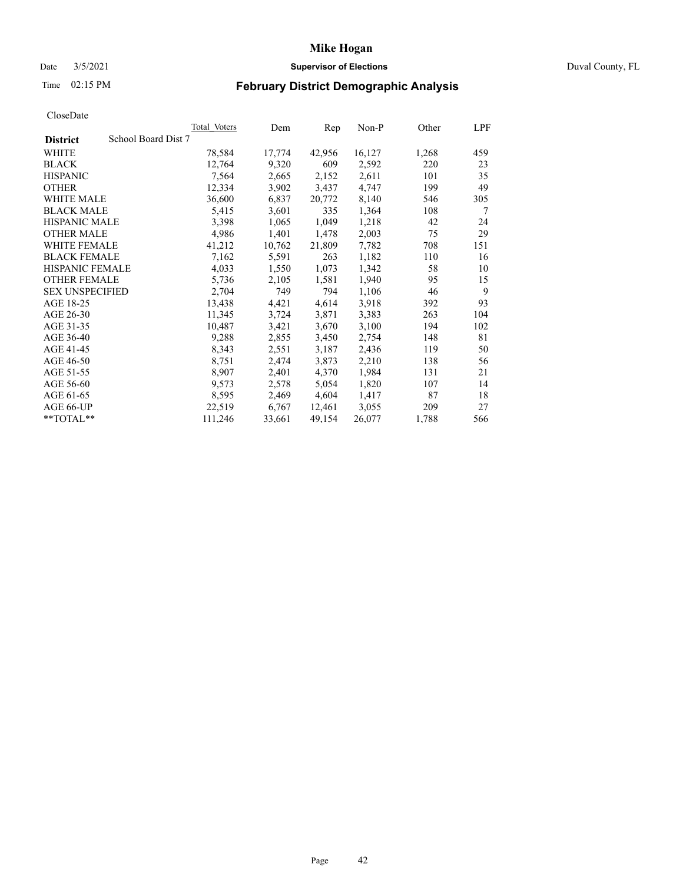# Date 3/5/2021 **Supervisor of Elections** Duval County, FL

# Time 02:15 PM **February District Demographic Analysis**

| ⊂i∪əviJuw              |                     |              |        |        |        |       |     |
|------------------------|---------------------|--------------|--------|--------|--------|-------|-----|
|                        |                     | Total Voters | Dem    | Rep    | Non-P  | Other | LPF |
| <b>District</b>        | School Board Dist 7 |              |        |        |        |       |     |
| <b>WHITE</b>           |                     | 78,584       | 17,774 | 42,956 | 16,127 | 1,268 | 459 |
| <b>BLACK</b>           |                     | 12,764       | 9,320  | 609    | 2,592  | 220   | 23  |
| <b>HISPANIC</b>        |                     | 7,564        | 2,665  | 2,152  | 2,611  | 101   | 35  |
| <b>OTHER</b>           |                     | 12,334       | 3,902  | 3,437  | 4,747  | 199   | 49  |
| <b>WHITE MALE</b>      |                     | 36,600       | 6,837  | 20,772 | 8,140  | 546   | 305 |
| <b>BLACK MALE</b>      |                     | 5,415        | 3,601  | 335    | 1,364  | 108   | 7   |
| <b>HISPANIC MALE</b>   |                     | 3,398        | 1,065  | 1,049  | 1,218  | 42    | 24  |
| <b>OTHER MALE</b>      |                     | 4,986        | 1,401  | 1,478  | 2,003  | 75    | 29  |
| <b>WHITE FEMALE</b>    |                     | 41,212       | 10,762 | 21,809 | 7,782  | 708   | 151 |
| <b>BLACK FEMALE</b>    |                     | 7,162        | 5,591  | 263    | 1,182  | 110   | 16  |
| HISPANIC FEMALE        |                     | 4,033        | 1,550  | 1,073  | 1,342  | 58    | 10  |
| <b>OTHER FEMALE</b>    |                     | 5,736        | 2,105  | 1,581  | 1,940  | 95    | 15  |
| <b>SEX UNSPECIFIED</b> |                     | 2,704        | 749    | 794    | 1,106  | 46    | 9   |
| AGE 18-25              |                     | 13,438       | 4,421  | 4,614  | 3,918  | 392   | 93  |
| AGE 26-30              |                     | 11,345       | 3,724  | 3,871  | 3,383  | 263   | 104 |
| AGE 31-35              |                     | 10,487       | 3,421  | 3,670  | 3,100  | 194   | 102 |
| AGE 36-40              |                     | 9,288        | 2,855  | 3,450  | 2,754  | 148   | 81  |
| AGE 41-45              |                     | 8,343        | 2,551  | 3,187  | 2,436  | 119   | 50  |
| AGE 46-50              |                     | 8,751        | 2,474  | 3,873  | 2,210  | 138   | 56  |
| AGE 51-55              |                     | 8,907        | 2,401  | 4,370  | 1,984  | 131   | 21  |
| AGE 56-60              |                     | 9,573        | 2,578  | 5,054  | 1,820  | 107   | 14  |
| AGE 61-65              |                     | 8,595        | 2,469  | 4,604  | 1,417  | 87    | 18  |
| AGE 66-UP              |                     | 22,519       | 6,767  | 12,461 | 3,055  | 209   | 27  |
| $*$ TOTAL $*$          |                     | 111,246      | 33,661 | 49,154 | 26,077 | 1,788 | 566 |
|                        |                     |              |        |        |        |       |     |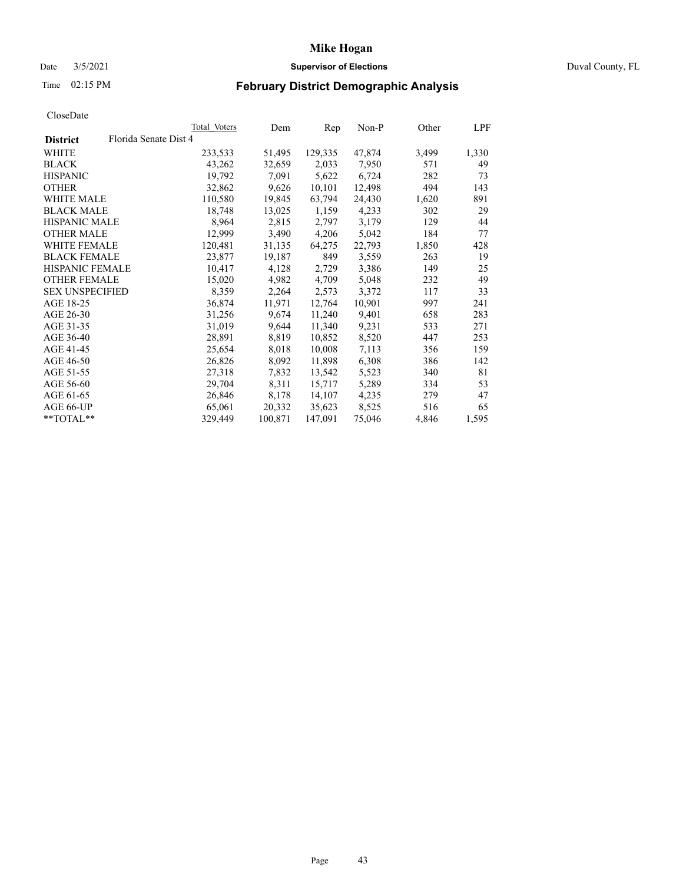# Date 3/5/2021 **Supervisor of Elections** Duval County, FL

# Time 02:15 PM **February District Demographic Analysis**

|                        | Total Voters          | Dem     | Rep     | Non-P  | Other | LPF   |
|------------------------|-----------------------|---------|---------|--------|-------|-------|
| <b>District</b>        | Florida Senate Dist 4 |         |         |        |       |       |
| WHITE                  | 233,533               | 51,495  | 129,335 | 47,874 | 3,499 | 1,330 |
| <b>BLACK</b>           | 43,262                | 32,659  | 2,033   | 7,950  | 571   | 49    |
| <b>HISPANIC</b>        | 19,792                | 7,091   | 5,622   | 6,724  | 282   | 73    |
| <b>OTHER</b>           | 32,862                | 9,626   | 10,101  | 12,498 | 494   | 143   |
| WHITE MALE             | 110,580               | 19,845  | 63,794  | 24,430 | 1,620 | 891   |
| <b>BLACK MALE</b>      | 18,748                | 13,025  | 1,159   | 4,233  | 302   | 29    |
| <b>HISPANIC MALE</b>   | 8,964                 | 2,815   | 2,797   | 3,179  | 129   | 44    |
| <b>OTHER MALE</b>      | 12,999                | 3,490   | 4,206   | 5,042  | 184   | 77    |
| <b>WHITE FEMALE</b>    | 120,481               | 31,135  | 64,275  | 22,793 | 1,850 | 428   |
| <b>BLACK FEMALE</b>    | 23,877                | 19,187  | 849     | 3,559  | 263   | 19    |
| <b>HISPANIC FEMALE</b> | 10,417                | 4,128   | 2,729   | 3,386  | 149   | 25    |
| <b>OTHER FEMALE</b>    | 15,020                | 4,982   | 4,709   | 5,048  | 232   | 49    |
| <b>SEX UNSPECIFIED</b> | 8,359                 | 2,264   | 2,573   | 3,372  | 117   | 33    |
| AGE 18-25              | 36,874                | 11,971  | 12,764  | 10,901 | 997   | 241   |
| AGE 26-30              | 31,256                | 9,674   | 11,240  | 9,401  | 658   | 283   |
| AGE 31-35              | 31,019                | 9,644   | 11,340  | 9,231  | 533   | 271   |
| AGE 36-40              | 28,891                | 8,819   | 10,852  | 8,520  | 447   | 253   |
| AGE 41-45              | 25,654                | 8,018   | 10,008  | 7,113  | 356   | 159   |
| AGE 46-50              | 26,826                | 8,092   | 11,898  | 6,308  | 386   | 142   |
| AGE 51-55              | 27,318                | 7,832   | 13,542  | 5,523  | 340   | 81    |
| AGE 56-60              | 29,704                | 8,311   | 15,717  | 5,289  | 334   | 53    |
| AGE 61-65              | 26,846                | 8,178   | 14,107  | 4,235  | 279   | 47    |
| AGE 66-UP              | 65,061                | 20,332  | 35,623  | 8,525  | 516   | 65    |
| $*$ TOTAL $*$          | 329,449               | 100,871 | 147,091 | 75,046 | 4,846 | 1,595 |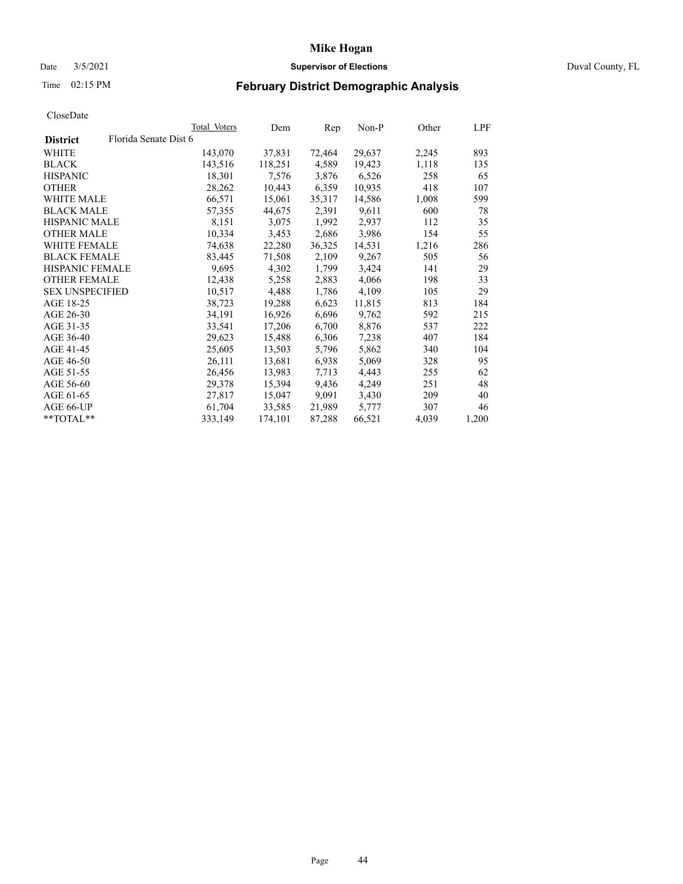# Date 3/5/2021 **Supervisor of Elections** Duval County, FL

# Time 02:15 PM **February District Demographic Analysis**

|                        |                       | Total Voters | Dem     | Rep    | Non-P  | Other | LPF   |
|------------------------|-----------------------|--------------|---------|--------|--------|-------|-------|
| <b>District</b>        | Florida Senate Dist 6 |              |         |        |        |       |       |
| WHITE                  |                       | 143,070      | 37,831  | 72,464 | 29,637 | 2,245 | 893   |
| <b>BLACK</b>           |                       | 143,516      | 118,251 | 4,589  | 19,423 | 1,118 | 135   |
| <b>HISPANIC</b>        |                       | 18,301       | 7,576   | 3,876  | 6,526  | 258   | 65    |
| <b>OTHER</b>           |                       | 28,262       | 10,443  | 6,359  | 10,935 | 418   | 107   |
| WHITE MALE             |                       | 66,571       | 15,061  | 35,317 | 14,586 | 1,008 | 599   |
| <b>BLACK MALE</b>      |                       | 57,355       | 44,675  | 2,391  | 9,611  | 600   | 78    |
| <b>HISPANIC MALE</b>   |                       | 8,151        | 3,075   | 1,992  | 2,937  | 112   | 35    |
| <b>OTHER MALE</b>      |                       | 10,334       | 3,453   | 2,686  | 3,986  | 154   | 55    |
| <b>WHITE FEMALE</b>    |                       | 74,638       | 22,280  | 36,325 | 14,531 | 1,216 | 286   |
| <b>BLACK FEMALE</b>    |                       | 83,445       | 71,508  | 2,109  | 9,267  | 505   | 56    |
| <b>HISPANIC FEMALE</b> |                       | 9,695        | 4,302   | 1,799  | 3,424  | 141   | 29    |
| <b>OTHER FEMALE</b>    |                       | 12,438       | 5,258   | 2,883  | 4,066  | 198   | 33    |
| <b>SEX UNSPECIFIED</b> |                       | 10,517       | 4,488   | 1,786  | 4,109  | 105   | 29    |
| AGE 18-25              |                       | 38,723       | 19,288  | 6,623  | 11,815 | 813   | 184   |
| AGE 26-30              |                       | 34,191       | 16,926  | 6,696  | 9,762  | 592   | 215   |
| AGE 31-35              |                       | 33,541       | 17,206  | 6,700  | 8,876  | 537   | 222   |
| AGE 36-40              |                       | 29,623       | 15,488  | 6,306  | 7,238  | 407   | 184   |
| AGE 41-45              |                       | 25,605       | 13,503  | 5,796  | 5,862  | 340   | 104   |
| AGE 46-50              |                       | 26,111       | 13,681  | 6,938  | 5,069  | 328   | 95    |
| AGE 51-55              |                       | 26,456       | 13,983  | 7,713  | 4,443  | 255   | 62    |
| AGE 56-60              |                       | 29,378       | 15,394  | 9,436  | 4,249  | 251   | 48    |
| AGE 61-65              |                       | 27,817       | 15,047  | 9,091  | 3,430  | 209   | 40    |
| AGE 66-UP              |                       | 61,704       | 33,585  | 21,989 | 5,777  | 307   | 46    |
| $*$ TOTAL $*$          |                       | 333,149      | 174,101 | 87,288 | 66,521 | 4,039 | 1,200 |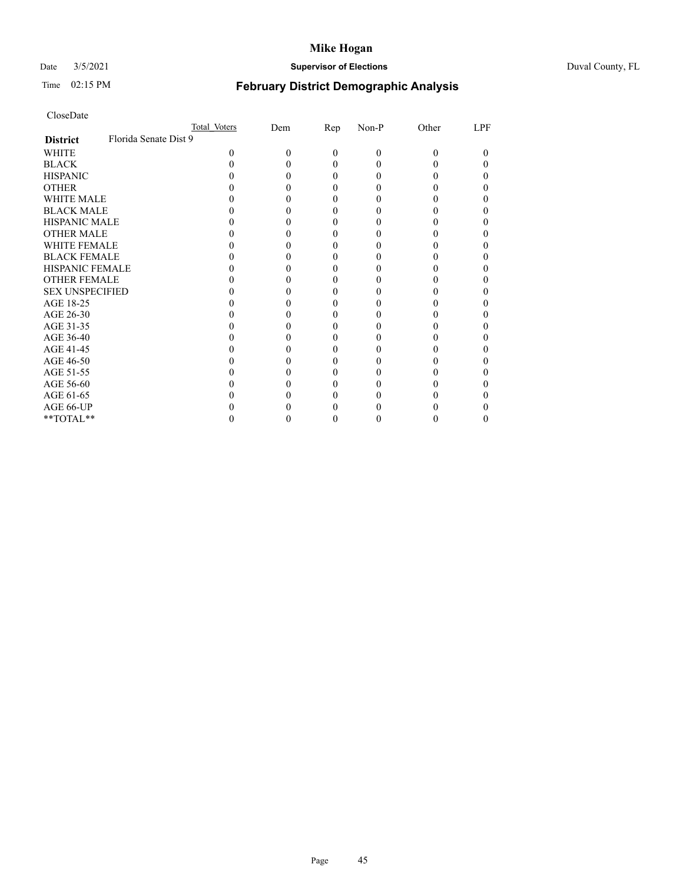# Date 3/5/2021 **Supervisor of Elections** Duval County, FL

# Time 02:15 PM **February District Demographic Analysis**

| CloseDate |
|-----------|
|-----------|

|                        |                       | Total Voters | Dem | Rep | Non-P | Other | LPF |
|------------------------|-----------------------|--------------|-----|-----|-------|-------|-----|
| <b>District</b>        | Florida Senate Dist 9 |              |     |     |       |       |     |
| WHITE                  |                       |              | 0   | 0   | 0     |       | 0   |
| BLACK                  |                       |              |     |     |       |       |     |
| <b>HISPANIC</b>        |                       |              |     |     |       |       |     |
| OTHER                  |                       |              |     |     |       |       |     |
| <b>WHITE MALE</b>      |                       |              |     |     |       |       |     |
| <b>BLACK MALE</b>      |                       |              |     |     |       |       |     |
| <b>HISPANIC MALE</b>   |                       |              |     |     |       |       |     |
| <b>OTHER MALE</b>      |                       |              |     |     |       |       |     |
| <b>WHITE FEMALE</b>    |                       |              |     |     |       |       |     |
| <b>BLACK FEMALE</b>    |                       |              |     |     |       |       |     |
| <b>HISPANIC FEMALE</b> |                       |              |     |     |       |       |     |
| <b>OTHER FEMALE</b>    |                       |              |     |     |       |       |     |
| <b>SEX UNSPECIFIED</b> |                       |              |     |     |       |       |     |
| AGE 18-25              |                       |              |     |     |       |       |     |
| AGE 26-30              |                       |              |     |     |       |       |     |
| AGE 31-35              |                       |              |     |     |       |       |     |
| AGE 36-40              |                       |              |     |     |       |       |     |
| AGE 41-45              |                       |              |     |     |       |       |     |
| AGE 46-50              |                       |              |     |     |       |       |     |
| AGE 51-55              |                       |              |     |     |       |       |     |
| AGE 56-60              |                       |              |     |     |       |       |     |
| AGE 61-65              |                       |              |     |     |       |       |     |
| AGE 66-UP              |                       |              |     |     |       |       |     |
| **TOTAL**              |                       |              |     |     |       |       |     |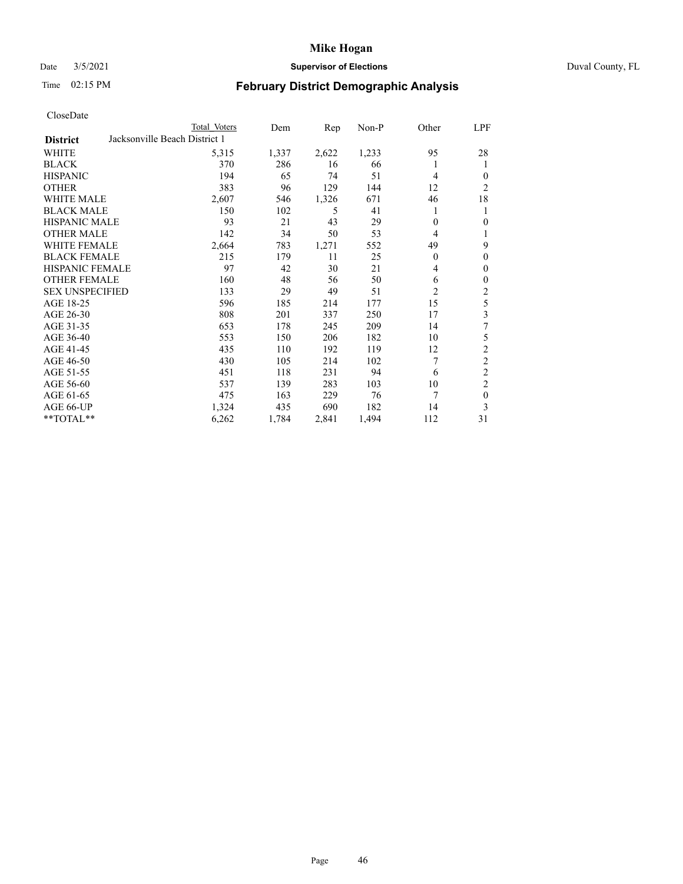# Date 3/5/2021 **Supervisor of Elections** Duval County, FL

# Time 02:15 PM **February District Demographic Analysis**

|                        |                               | Total Voters | Dem   | Rep   | Non-P | Other          | LPF            |
|------------------------|-------------------------------|--------------|-------|-------|-------|----------------|----------------|
| <b>District</b>        | Jacksonville Beach District 1 |              |       |       |       |                |                |
| WHITE                  |                               | 5,315        | 1,337 | 2,622 | 1,233 | 95             | 28             |
| <b>BLACK</b>           |                               | 370          | 286   | 16    | 66    | 1              |                |
| <b>HISPANIC</b>        |                               | 194          | 65    | 74    | 51    | 4              | 0              |
| <b>OTHER</b>           |                               | 383          | 96    | 129   | 144   | 12             | $\overline{c}$ |
| WHITE MALE             |                               | 2,607        | 546   | 1,326 | 671   | 46             | 18             |
| <b>BLACK MALE</b>      |                               | 150          | 102   | 5     | 41    | 1              | 1              |
| <b>HISPANIC MALE</b>   |                               | 93           | 21    | 43    | 29    | 0              | 0              |
| <b>OTHER MALE</b>      |                               | 142          | 34    | 50    | 53    | 4              | 1              |
| WHITE FEMALE           |                               | 2,664        | 783   | 1,271 | 552   | 49             | 9              |
| <b>BLACK FEMALE</b>    |                               | 215          | 179   | 11    | 25    | 0              | 0              |
| <b>HISPANIC FEMALE</b> |                               | 97           | 42    | 30    | 21    | 4              | $\theta$       |
| <b>OTHER FEMALE</b>    |                               | 160          | 48    | 56    | 50    | 6              | $\theta$       |
| <b>SEX UNSPECIFIED</b> |                               | 133          | 29    | 49    | 51    | $\overline{c}$ | $\mathfrak{2}$ |
| AGE 18-25              |                               | 596          | 185   | 214   | 177   | 15             | 5              |
| AGE 26-30              |                               | 808          | 201   | 337   | 250   | 17             | 3              |
| AGE 31-35              |                               | 653          | 178   | 245   | 209   | 14             | 7              |
| AGE 36-40              |                               | 553          | 150   | 206   | 182   | 10             | 5              |
| AGE 41-45              |                               | 435          | 110   | 192   | 119   | 12             | $\overline{2}$ |
| AGE 46-50              |                               | 430          | 105   | 214   | 102   | 7              | $\mathfrak{2}$ |
| AGE 51-55              |                               | 451          | 118   | 231   | 94    | 6              | $\overline{c}$ |
| AGE 56-60              |                               | 537          | 139   | 283   | 103   | 10             | $\overline{c}$ |
| AGE 61-65              |                               | 475          | 163   | 229   | 76    | 7              | $\mathbf{0}$   |
| AGE 66-UP              |                               | 1,324        | 435   | 690   | 182   | 14             | 3              |
| **TOTAL**              |                               | 6,262        | 1,784 | 2,841 | 1,494 | 112            | 31             |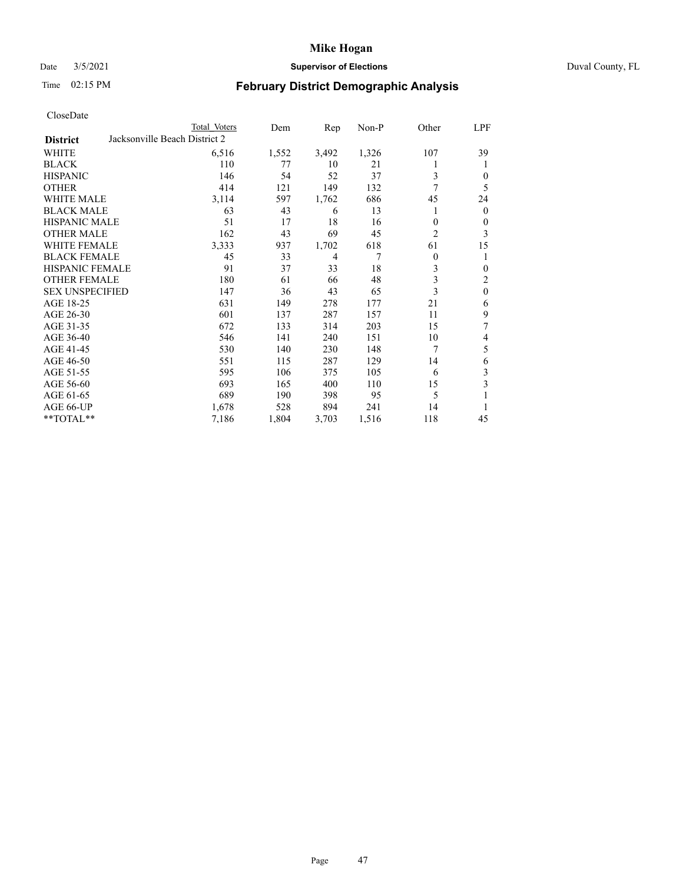# Date 3/5/2021 **Supervisor of Elections** Duval County, FL

# Time 02:15 PM **February District Demographic Analysis**

| CloseDate |  |
|-----------|--|
|-----------|--|

|                        | Total Voters                  | Dem   | Rep            | $Non-P$ | Other | LPF              |
|------------------------|-------------------------------|-------|----------------|---------|-------|------------------|
| <b>District</b>        | Jacksonville Beach District 2 |       |                |         |       |                  |
| WHITE                  | 6,516                         | 1,552 | 3,492          | 1,326   | 107   | 39               |
| <b>BLACK</b>           | 110                           | 77    | 10             | 21      | 1     | 1                |
| <b>HISPANIC</b>        | 146                           | 54    | 52             | 37      | 3     | $\mathbf{0}$     |
| <b>OTHER</b>           | 414                           | 121   | 149            | 132     | 7     | 5                |
| <b>WHITE MALE</b>      | 3,114                         | 597   | 1,762          | 686     | 45    | 24               |
| <b>BLACK MALE</b>      | 63                            | 43    | 6              | 13      | 1     | $\mathbf{0}$     |
| <b>HISPANIC MALE</b>   | 51                            | 17    | 18             | 16      | 0     | $\boldsymbol{0}$ |
| <b>OTHER MALE</b>      | 162                           | 43    | 69             | 45      | 2     | 3                |
| WHITE FEMALE           | 3,333                         | 937   | 1,702          | 618     | 61    | 15               |
| <b>BLACK FEMALE</b>    | 45                            | 33    | $\overline{4}$ | 7       | 0     | 1                |
| HISPANIC FEMALE        | 91                            | 37    | 33             | 18      | 3     | $\boldsymbol{0}$ |
| <b>OTHER FEMALE</b>    | 180                           | 61    | 66             | 48      | 3     | $\overline{c}$   |
| <b>SEX UNSPECIFIED</b> | 147                           | 36    | 43             | 65      | 3     | $\boldsymbol{0}$ |
| AGE 18-25              | 631                           | 149   | 278            | 177     | 21    | 6                |
| AGE 26-30              | 601                           | 137   | 287            | 157     | 11    | 9                |
| AGE 31-35              | 672                           | 133   | 314            | 203     | 15    | 7                |
| AGE 36-40              | 546                           | 141   | 240            | 151     | 10    | 4                |
| AGE 41-45              | 530                           | 140   | 230            | 148     | 7     | 5                |
| AGE 46-50              | 551                           | 115   | 287            | 129     | 14    | 6                |
| AGE 51-55              | 595                           | 106   | 375            | 105     | 6     | 3                |
| AGE 56-60              | 693                           | 165   | 400            | 110     | 15    | 3                |
| AGE 61-65              | 689                           | 190   | 398            | 95      | 5     | 1                |
| AGE 66-UP              | 1,678                         | 528   | 894            | 241     | 14    | 1                |
| **TOTAL**              | 7,186                         | 1,804 | 3,703          | 1,516   | 118   | 45               |
|                        |                               |       |                |         |       |                  |